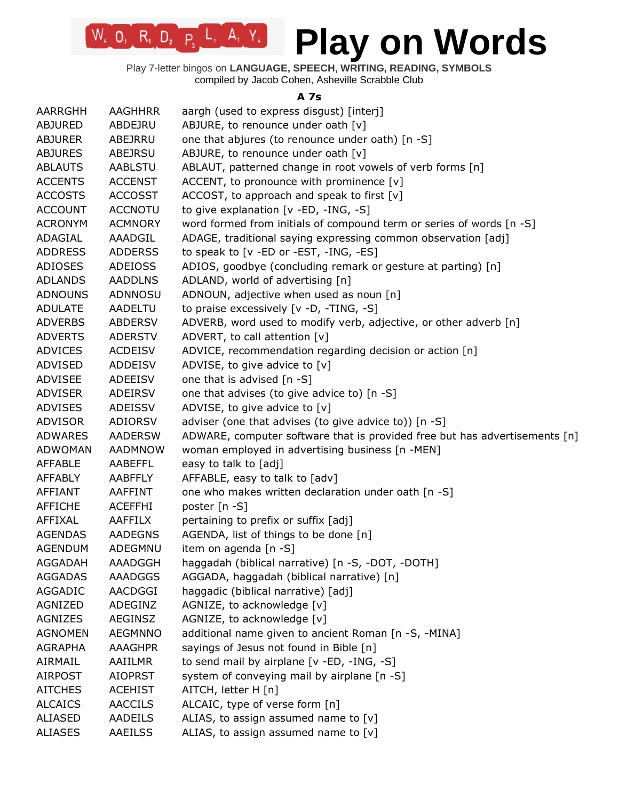Play 7-letter bingos on **LANGUAGE, SPEECH, WRITING, READING, SYMBOLS** compiled by Jacob Cohen, Asheville Scrabble Club

**A 7s**

| AARRGHH        | <b>AAGHHRR</b> | aargh (used to express disgust) [interj]                                   |
|----------------|----------------|----------------------------------------------------------------------------|
| <b>ABJURED</b> | ABDEJRU        | ABJURE, to renounce under oath [v]                                         |
| <b>ABJURER</b> | ABEJRRU        | one that abjures (to renounce under oath) [n -S]                           |
| <b>ABJURES</b> | ABEJRSU        | ABJURE, to renounce under oath [v]                                         |
| <b>ABLAUTS</b> | AABLSTU        | ABLAUT, patterned change in root vowels of verb forms [n]                  |
| <b>ACCENTS</b> | <b>ACCENST</b> | ACCENT, to pronounce with prominence [v]                                   |
| <b>ACCOSTS</b> | <b>ACCOSST</b> | ACCOST, to approach and speak to first [v]                                 |
| <b>ACCOUNT</b> | <b>ACCNOTU</b> | to give explanation [v -ED, -ING, -S]                                      |
| <b>ACRONYM</b> | <b>ACMNORY</b> | word formed from initials of compound term or series of words [n -S]       |
| ADAGIAL        | AAADGIL        | ADAGE, traditional saying expressing common observation [adj]              |
| <b>ADDRESS</b> | <b>ADDERSS</b> | to speak to [v -ED or -EST, -ING, -ES]                                     |
| ADIOSES        | <b>ADEIOSS</b> | ADIOS, goodbye (concluding remark or gesture at parting) [n]               |
| <b>ADLANDS</b> | <b>AADDLNS</b> | ADLAND, world of advertising [n]                                           |
| <b>ADNOUNS</b> | ADNNOSU        | ADNOUN, adjective when used as noun [n]                                    |
| <b>ADULATE</b> | AADELTU        | to praise excessively [v -D, -TING, -S]                                    |
| <b>ADVERBS</b> | <b>ABDERSV</b> | ADVERB, word used to modify verb, adjective, or other adverb [n]           |
| <b>ADVERTS</b> | <b>ADERSTV</b> | ADVERT, to call attention [v]                                              |
| <b>ADVICES</b> | <b>ACDEISV</b> | ADVICE, recommendation regarding decision or action [n]                    |
| ADVISED        | ADDEISV        | ADVISE, to give advice to [v]                                              |
| <b>ADVISEE</b> | ADEEISV        | one that is advised [n -S]                                                 |
| <b>ADVISER</b> | ADEIRSV        | one that advises (to give advice to) [n -S]                                |
| <b>ADVISES</b> | ADEISSV        | ADVISE, to give advice to [v]                                              |
| <b>ADVISOR</b> | ADIORSV        | adviser (one that advises (to give advice to)) [n -S]                      |
| <b>ADWARES</b> | <b>AADERSW</b> | ADWARE, computer software that is provided free but has advertisements [n] |
| <b>ADWOMAN</b> | <b>AADMNOW</b> | woman employed in advertising business [n -MEN]                            |
| <b>AFFABLE</b> | AABEFFL        | easy to talk to [adj]                                                      |
| <b>AFFABLY</b> | AABFFLY        | AFFABLE, easy to talk to [adv]                                             |
| AFFIANT        | AAFFINT        | one who makes written declaration under oath [n -S]                        |
| <b>AFFICHE</b> | <b>ACEFFHI</b> | poster [n -S]                                                              |
| AFFIXAL        | <b>AAFFILX</b> | pertaining to prefix or suffix [adj]                                       |
| <b>AGENDAS</b> | <b>AADEGNS</b> | AGENDA, list of things to be done [n]                                      |
| <b>AGENDUM</b> | ADEGMNU        | item on agenda [n -S]                                                      |
| AGGADAH        | AAADGGH        | haggadah (biblical narrative) [n -S, -DOT, -DOTH]                          |
| <b>AGGADAS</b> | AAADGGS        | AGGADA, haggadah (biblical narrative) [n]                                  |
| AGGADIC        | AACDGGI        | haggadic (biblical narrative) [adj]                                        |
| AGNIZED        | ADEGINZ        | AGNIZE, to acknowledge [v]                                                 |
| <b>AGNIZES</b> | <b>AEGINSZ</b> | AGNIZE, to acknowledge [v]                                                 |
| <b>AGNOMEN</b> | <b>AEGMNNO</b> | additional name given to ancient Roman [n -S, -MINA]                       |
| <b>AGRAPHA</b> | AAAGHPR        | sayings of Jesus not found in Bible [n]                                    |
| AIRMAIL        | AAIILMR        | to send mail by airplane [v -ED, -ING, -S]                                 |
| <b>AIRPOST</b> | <b>AIOPRST</b> | system of conveying mail by airplane [n -S]                                |
| <b>AITCHES</b> | <b>ACEHIST</b> | AITCH, letter H [n]                                                        |
| <b>ALCAICS</b> | <b>AACCILS</b> | ALCAIC, type of verse form [n]                                             |
| <b>ALIASED</b> | AADEILS        | ALIAS, to assign assumed name to $[v]$                                     |
| <b>ALIASES</b> | AAEILSS        | ALIAS, to assign assumed name to $[v]$                                     |
|                |                |                                                                            |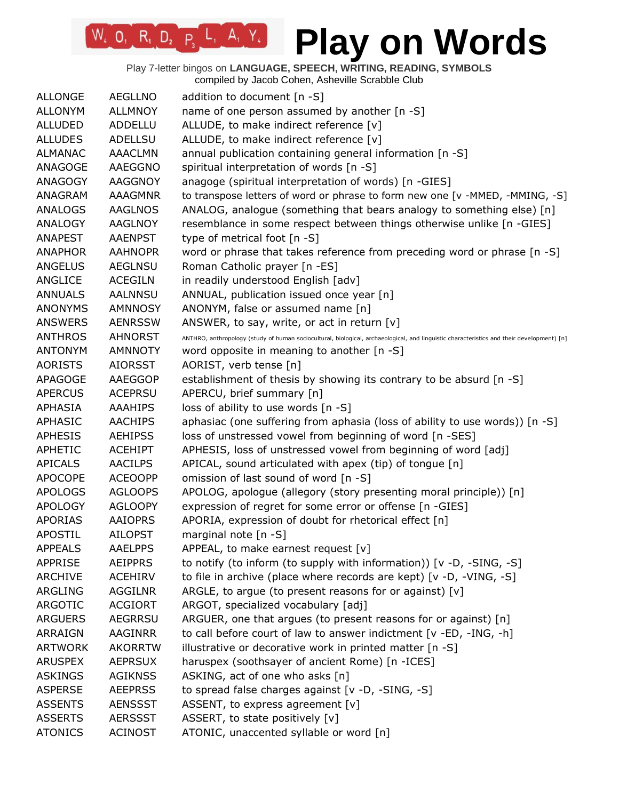| <b>ALLONGE</b> | <b>AEGLLNO</b> | addition to document $[n - S]$                                                                                                            |
|----------------|----------------|-------------------------------------------------------------------------------------------------------------------------------------------|
| <b>ALLONYM</b> | <b>ALLMNOY</b> | name of one person assumed by another [n -S]                                                                                              |
| <b>ALLUDED</b> | ADDELLU        | ALLUDE, to make indirect reference [v]                                                                                                    |
| <b>ALLUDES</b> | <b>ADELLSU</b> | ALLUDE, to make indirect reference [v]                                                                                                    |
| <b>ALMANAC</b> | <b>AAACLMN</b> | annual publication containing general information [n -S]                                                                                  |
| ANAGOGE        | AAEGGNO        | spiritual interpretation of words [n -S]                                                                                                  |
| ANAGOGY        | AAGGNOY        | anagoge (spiritual interpretation of words) [n -GIES]                                                                                     |
| ANAGRAM        | <b>AAAGMNR</b> | to transpose letters of word or phrase to form new one [v -MMED, -MMING, -S]                                                              |
| <b>ANALOGS</b> | <b>AAGLNOS</b> | ANALOG, analogue (something that bears analogy to something else) [n]                                                                     |
| <b>ANALOGY</b> | <b>AAGLNOY</b> | resemblance in some respect between things otherwise unlike [n -GIES]                                                                     |
| <b>ANAPEST</b> | <b>AAENPST</b> | type of metrical foot [n -S]                                                                                                              |
| <b>ANAPHOR</b> | <b>AAHNOPR</b> | word or phrase that takes reference from preceding word or phrase [n -S]                                                                  |
| <b>ANGELUS</b> | <b>AEGLNSU</b> | Roman Catholic prayer [n -ES]                                                                                                             |
| ANGLICE        | <b>ACEGILN</b> | in readily understood English [adv]                                                                                                       |
| <b>ANNUALS</b> | <b>AALNNSU</b> | ANNUAL, publication issued once year [n]                                                                                                  |
| <b>ANONYMS</b> | <b>AMNNOSY</b> | ANONYM, false or assumed name [n]                                                                                                         |
| <b>ANSWERS</b> | <b>AENRSSW</b> | ANSWER, to say, write, or act in return $[v]$                                                                                             |
| <b>ANTHROS</b> | <b>AHNORST</b> | ANTHRO, anthropology (study of human sociocultural, biological, archaeological, and linguistic characteristics and their development) [n] |
| <b>ANTONYM</b> | <b>AMNNOTY</b> | word opposite in meaning to another [n -S]                                                                                                |
| <b>AORISTS</b> | <b>AIORSST</b> | AORIST, verb tense [n]                                                                                                                    |
| <b>APAGOGE</b> | <b>AAEGGOP</b> | establishment of thesis by showing its contrary to be absurd [n -S]                                                                       |
| <b>APERCUS</b> | <b>ACEPRSU</b> | APERCU, brief summary [n]                                                                                                                 |
| <b>APHASIA</b> | <b>AAAHIPS</b> | loss of ability to use words [n -S]                                                                                                       |
| <b>APHASIC</b> | <b>AACHIPS</b> | aphasiac (one suffering from aphasia (loss of ability to use words)) [n -S]                                                               |
| <b>APHESIS</b> | <b>AEHIPSS</b> | loss of unstressed vowel from beginning of word [n -SES]                                                                                  |
| APHETIC        | <b>ACEHIPT</b> | APHESIS, loss of unstressed vowel from beginning of word [adj]                                                                            |
| <b>APICALS</b> | <b>AACILPS</b> | APICAL, sound articulated with apex (tip) of tongue [n]                                                                                   |
| <b>APOCOPE</b> | <b>ACEOOPP</b> | omission of last sound of word [n -S]                                                                                                     |
| <b>APOLOGS</b> | <b>AGLOOPS</b> | APOLOG, apologue (allegory (story presenting moral principle)) [n]                                                                        |
| <b>APOLOGY</b> | <b>AGLOOPY</b> | expression of regret for some error or offense [n -GIES]                                                                                  |
| <b>APORIAS</b> | <b>AAIOPRS</b> | APORIA, expression of doubt for rhetorical effect [n]                                                                                     |
| <b>APOSTIL</b> | <b>AILOPST</b> | marginal note $[n - S]$                                                                                                                   |
| <b>APPEALS</b> | <b>AAELPPS</b> | APPEAL, to make earnest request $[v]$                                                                                                     |
| APPRISE        | <b>AEIPPRS</b> | to notify (to inform (to supply with information)) [v -D, -SING, -S]                                                                      |
| <b>ARCHIVE</b> | <b>ACEHIRV</b> | to file in archive (place where records are kept) [v -D, -VING, -S]                                                                       |
| ARGLING        | <b>AGGILNR</b> | ARGLE, to argue (to present reasons for or against) $[v]$                                                                                 |
| ARGOTIC        | <b>ACGIORT</b> | ARGOT, specialized vocabulary [adj]                                                                                                       |
| <b>ARGUERS</b> | <b>AEGRRSU</b> | ARGUER, one that argues (to present reasons for or against) [n]                                                                           |
| <b>ARRAIGN</b> | <b>AAGINRR</b> | to call before court of law to answer indictment [v -ED, -ING, -h]                                                                        |
| <b>ARTWORK</b> | <b>AKORRTW</b> | illustrative or decorative work in printed matter [n -S]                                                                                  |
| <b>ARUSPEX</b> | <b>AEPRSUX</b> | haruspex (soothsayer of ancient Rome) [n -ICES]                                                                                           |
| <b>ASKINGS</b> | <b>AGIKNSS</b> | ASKING, act of one who asks [n]                                                                                                           |
| <b>ASPERSE</b> | <b>AEEPRSS</b> | to spread false charges against [v -D, -SING, -S]                                                                                         |
| <b>ASSENTS</b> | <b>AENSSST</b> | ASSENT, to express agreement [v]                                                                                                          |
| <b>ASSERTS</b> | <b>AERSSST</b> | ASSERT, to state positively [v]                                                                                                           |
| <b>ATONICS</b> | <b>ACINOST</b> | ATONIC, unaccented syllable or word [n]                                                                                                   |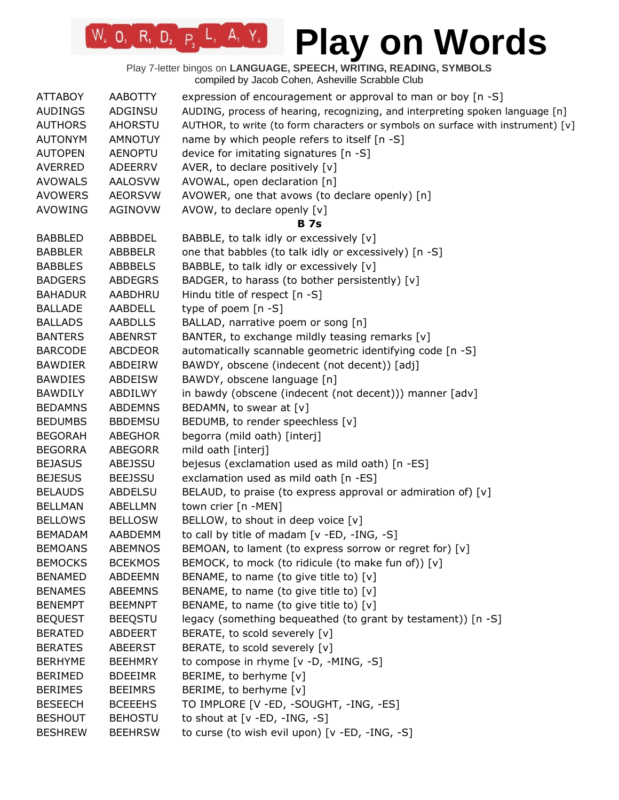# **Play on Words**

| <b>ATTABOY</b>                   | <b>AABOTTY</b> | expression of encouragement or approval to man or boy [n -S]                    |
|----------------------------------|----------------|---------------------------------------------------------------------------------|
| <b>AUDINGS</b>                   | ADGINSU        | AUDING, process of hearing, recognizing, and interpreting spoken language [n]   |
| <b>AUTHORS</b>                   | <b>AHORSTU</b> | AUTHOR, to write (to form characters or symbols on surface with instrument) [v] |
| <b>AUTONYM</b>                   | <b>AMNOTUY</b> | name by which people refers to itself [n -S]                                    |
| <b>AUTOPEN</b>                   | <b>AENOPTU</b> | device for imitating signatures [n -S]                                          |
| <b>AVERRED</b>                   | <b>ADEERRV</b> | AVER, to declare positively [v]                                                 |
| <b>AVOWALS</b>                   | <b>AALOSVW</b> | AVOWAL, open declaration [n]                                                    |
| <b>AVOWERS</b>                   | <b>AEORSVW</b> | AVOWER, one that avows (to declare openly) [n]                                  |
| <b>AVOWING</b>                   | <b>AGINOVW</b> | AVOW, to declare openly [v]                                                     |
|                                  |                | <b>B</b> 7s                                                                     |
| <b>BABBLED</b>                   | ABBBDEL        | BABBLE, to talk idly or excessively [v]                                         |
| <b>BABBLER</b>                   | <b>ABBBELR</b> | one that babbles (to talk idly or excessively) [n -S]                           |
| <b>BABBLES</b>                   | <b>ABBBELS</b> | BABBLE, to talk idly or excessively [v]                                         |
| <b>BADGERS</b>                   | <b>ABDEGRS</b> | BADGER, to harass (to bother persistently) [v]                                  |
| <b>BAHADUR</b>                   | AABDHRU        | Hindu title of respect [n -S]                                                   |
| <b>BALLADE</b>                   | AABDELL        | type of poem $[n - S]$                                                          |
| <b>BALLADS</b>                   | <b>AABDLLS</b> | BALLAD, narrative poem or song [n]                                              |
| <b>BANTERS</b>                   | <b>ABENRST</b> | BANTER, to exchange mildly teasing remarks [v]                                  |
| <b>BARCODE</b>                   | <b>ABCDEOR</b> | automatically scannable geometric identifying code [n -S]                       |
| <b>BAWDIER</b>                   | ABDEIRW        | BAWDY, obscene (indecent (not decent)) [adj]                                    |
| <b>BAWDIES</b>                   | <b>ABDEISW</b> | BAWDY, obscene language [n]                                                     |
| <b>BAWDILY</b>                   | ABDILWY        | in bawdy (obscene (indecent (not decent))) manner [adv]                         |
| <b>BEDAMNS</b>                   | <b>ABDEMNS</b> | BEDAMN, to swear at [v]                                                         |
| <b>BEDUMBS</b>                   | <b>BBDEMSU</b> | BEDUMB, to render speechless [v]                                                |
| <b>BEGORAH</b>                   | <b>ABEGHOR</b> | begorra (mild oath) [interj]                                                    |
| <b>BEGORRA</b>                   | <b>ABEGORR</b> | mild oath [interj]                                                              |
| <b>BEJASUS</b>                   | ABEJSSU        | bejesus (exclamation used as mild oath) [n -ES]                                 |
| <b>BEJESUS</b>                   | <b>BEEJSSU</b> | exclamation used as mild oath [n -ES]                                           |
| <b>BELAUDS</b>                   | <b>ABDELSU</b> | BELAUD, to praise (to express approval or admiration of) [v]                    |
| <b>BELLMAN</b>                   | ABELLMN        | town crier [n -MEN]                                                             |
| <b>BELLOWS</b>                   | <b>BELLOSW</b> | BELLOW, to shout in deep voice [v]                                              |
| <b>BEMADAM</b>                   | <b>AABDEMM</b> | to call by title of madam [v -ED, -ING, -S]                                     |
| <b>BEMOANS</b>                   | <b>ABEMNOS</b> | BEMOAN, to lament (to express sorrow or regret for) [v]                         |
| <b>BEMOCKS</b>                   | <b>BCEKMOS</b> | BEMOCK, to mock (to ridicule (to make fun of)) [v]                              |
| <b>BENAMED</b>                   | ABDEEMN        | BENAME, to name (to give title to) [v]                                          |
| <b>BENAMES</b>                   | <b>ABEEMNS</b> | BENAME, to name (to give title to) [v]                                          |
| <b>BENEMPT</b>                   | <b>BEEMNPT</b> | BENAME, to name (to give title to) [v]                                          |
|                                  |                | legacy (something bequeathed (to grant by testament)) [n -S]                    |
| <b>BEQUEST</b><br><b>BERATED</b> | <b>BEEQSTU</b> |                                                                                 |
|                                  | ABDEERT        | BERATE, to scold severely [v]                                                   |
| <b>BERATES</b>                   | <b>ABEERST</b> | BERATE, to scold severely [v]                                                   |
| <b>BERHYME</b>                   | <b>BEEHMRY</b> | to compose in rhyme [v -D, -MING, -S]                                           |
| <b>BERIMED</b>                   | <b>BDEEIMR</b> | BERIME, to berhyme [v]                                                          |
| <b>BERIMES</b>                   | <b>BEEIMRS</b> | BERIME, to berhyme [v]                                                          |
| <b>BESEECH</b>                   | <b>BCEEEHS</b> | TO IMPLORE [V -ED, -SOUGHT, -ING, -ES]                                          |
| <b>BESHOUT</b>                   | <b>BEHOSTU</b> | to shout at $[v - ED, -ING, -S]$                                                |
| <b>BESHREW</b>                   | <b>BEEHRSW</b> | to curse (to wish evil upon) [v -ED, -ING, -S]                                  |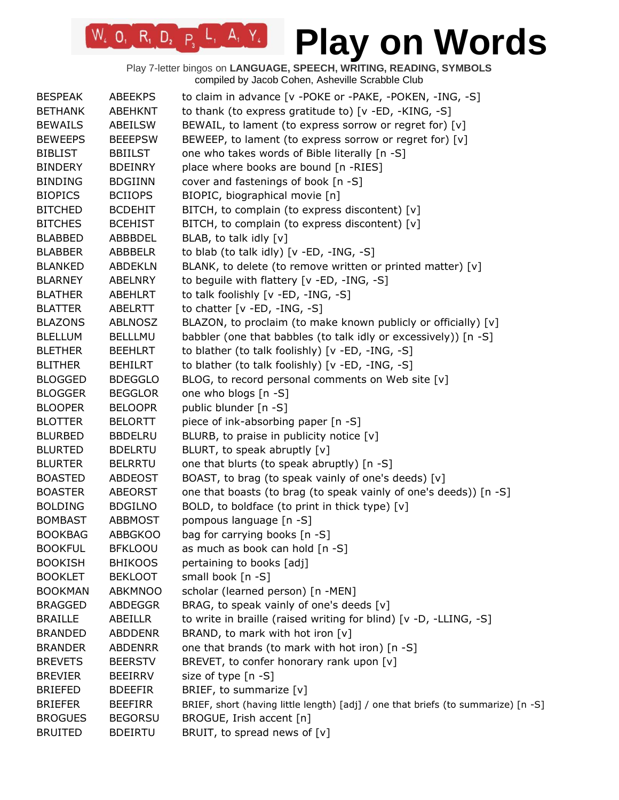| <b>BESPEAK</b> | <b>ABEEKPS</b> | to claim in advance [v -POKE or -PAKE, -POKEN, -ING, -S]                          |
|----------------|----------------|-----------------------------------------------------------------------------------|
| <b>BETHANK</b> | <b>ABEHKNT</b> | to thank (to express gratitude to) [v -ED, -KING, -S]                             |
| <b>BEWAILS</b> | ABEILSW        | BEWAIL, to lament (to express sorrow or regret for) [v]                           |
| <b>BEWEEPS</b> | <b>BEEEPSW</b> | BEWEEP, to lament (to express sorrow or regret for) [v]                           |
| <b>BIBLIST</b> | <b>BBIILST</b> | one who takes words of Bible literally [n -S]                                     |
| <b>BINDERY</b> | <b>BDEINRY</b> | place where books are bound [n -RIES]                                             |
| <b>BINDING</b> | <b>BDGIINN</b> | cover and fastenings of book [n -S]                                               |
| <b>BIOPICS</b> | <b>BCIIOPS</b> | BIOPIC, biographical movie [n]                                                    |
| <b>BITCHED</b> | <b>BCDEHIT</b> | BITCH, to complain (to express discontent) [v]                                    |
| <b>BITCHES</b> | <b>BCEHIST</b> | BITCH, to complain (to express discontent) [v]                                    |
| <b>BLABBED</b> | ABBBDEL        | BLAB, to talk idly [v]                                                            |
| <b>BLABBER</b> | ABBBELR        | to blab (to talk idly) [v -ED, -ING, -S]                                          |
| <b>BLANKED</b> | <b>ABDEKLN</b> | BLANK, to delete (to remove written or printed matter) [v]                        |
| <b>BLARNEY</b> | ABELNRY        | to beguile with flattery [v -ED, -ING, -S]                                        |
| <b>BLATHER</b> | <b>ABEHLRT</b> | to talk foolishly [v -ED, -ING, -S]                                               |
| <b>BLATTER</b> | ABELRTT        | to chatter $[v - ED, -ING, -S]$                                                   |
| <b>BLAZONS</b> | <b>ABLNOSZ</b> | BLAZON, to proclaim (to make known publicly or officially) [v]                    |
| <b>BLELLUM</b> | <b>BELLLMU</b> | babbler (one that babbles (to talk idly or excessively)) [n -S]                   |
| <b>BLETHER</b> | <b>BEEHLRT</b> | to blather (to talk foolishly) [v -ED, -ING, -S]                                  |
| <b>BLITHER</b> | <b>BEHILRT</b> | to blather (to talk foolishly) [v -ED, -ING, -S]                                  |
| <b>BLOGGED</b> | <b>BDEGGLO</b> | BLOG, to record personal comments on Web site [v]                                 |
| <b>BLOGGER</b> | <b>BEGGLOR</b> | one who blogs [n -S]                                                              |
| <b>BLOOPER</b> | <b>BELOOPR</b> | public blunder [n -S]                                                             |
| <b>BLOTTER</b> | <b>BELORTT</b> | piece of ink-absorbing paper [n -S]                                               |
| <b>BLURBED</b> | <b>BBDELRU</b> | BLURB, to praise in publicity notice $[v]$                                        |
| <b>BLURTED</b> | <b>BDELRTU</b> | BLURT, to speak abruptly [v]                                                      |
| <b>BLURTER</b> | <b>BELRRTU</b> | one that blurts (to speak abruptly) [n -S]                                        |
| <b>BOASTED</b> | <b>ABDEOST</b> | BOAST, to brag (to speak vainly of one's deeds) [v]                               |
| <b>BOASTER</b> | <b>ABEORST</b> | one that boasts (to brag (to speak vainly of one's deeds)) [n -S]                 |
| <b>BOLDING</b> | <b>BDGILNO</b> | BOLD, to boldface (to print in thick type) [v]                                    |
| <b>BOMBAST</b> | <b>ABBMOST</b> | pompous language [n -S]                                                           |
| <b>BOOKBAG</b> | <b>ABBGKOO</b> | bag for carrying books [n -S]                                                     |
| <b>BOOKFUL</b> | <b>BFKLOOU</b> | as much as book can hold [n -S]                                                   |
| <b>BOOKISH</b> | <b>BHIKOOS</b> | pertaining to books [adj]                                                         |
| <b>BOOKLET</b> | <b>BEKLOOT</b> | small book [n -S]                                                                 |
| <b>BOOKMAN</b> | <b>ABKMNOO</b> | scholar (learned person) [n -MEN]                                                 |
| <b>BRAGGED</b> | <b>ABDEGGR</b> | BRAG, to speak vainly of one's deeds [v]                                          |
| <b>BRAILLE</b> | <b>ABEILLR</b> | to write in braille (raised writing for blind) [v -D, -LLING, -S]                 |
| <b>BRANDED</b> | <b>ABDDENR</b> | BRAND, to mark with hot iron [v]                                                  |
| <b>BRANDER</b> | <b>ABDENRR</b> | one that brands (to mark with hot iron) [n -S]                                    |
| <b>BREVETS</b> | <b>BEERSTV</b> | BREVET, to confer honorary rank upon [v]                                          |
| <b>BREVIER</b> | <b>BEEIRRV</b> | size of type [n -S]                                                               |
| <b>BRIEFED</b> | <b>BDEEFIR</b> | BRIEF, to summarize [v]                                                           |
| <b>BRIEFER</b> | <b>BEEFIRR</b> | BRIEF, short (having little length) [adj] / one that briefs (to summarize) [n -S] |
| <b>BROGUES</b> | <b>BEGORSU</b> | BROGUE, Irish accent [n]                                                          |
| <b>BRUITED</b> | <b>BDEIRTU</b> | BRUIT, to spread news of [v]                                                      |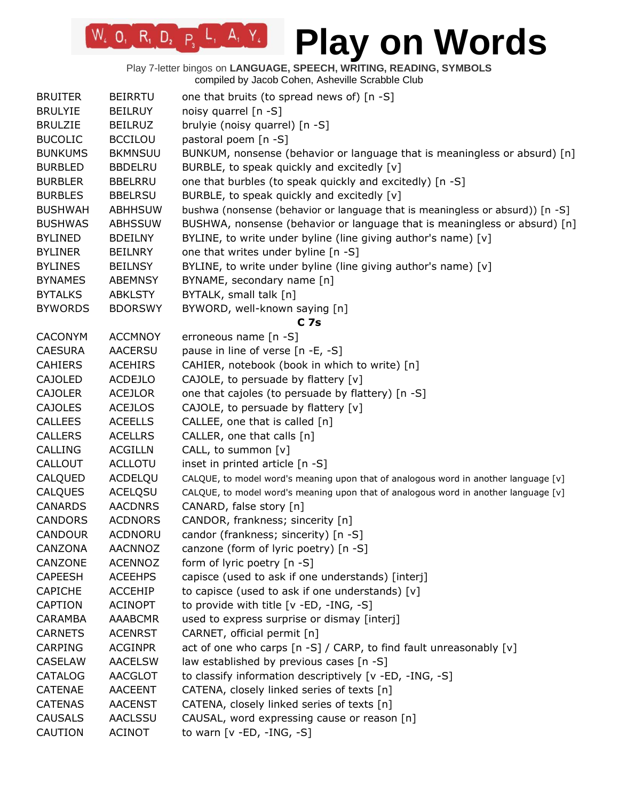Play 7-letter bingos on **LANGUAGE, SPEECH, WRITING, READING, SYMBOLS** compiled by Jacob Cohen, Asheville Scrabble Club

 $W_4$  0, R<sub>1</sub> D<sub>2</sub> P<sub>3</sub> L<sub>1</sub> A<sub>1</sub> Y<sub>4</sub>

| <b>BRUITER</b> | <b>BEIRRTU</b>                   | one that bruits (to spread news of) [n -S]                                          |
|----------------|----------------------------------|-------------------------------------------------------------------------------------|
| <b>BRULYIE</b> | <b>BEILRUY</b>                   | noisy quarrel [n -S]                                                                |
| <b>BRULZIE</b> | <b>BEILRUZ</b>                   | brulyie (noisy quarrel) [n -S]                                                      |
| <b>BUCOLIC</b> | <b>BCCILOU</b>                   | pastoral poem [n -S]                                                                |
| <b>BUNKUMS</b> | <b>BKMNSUU</b>                   | BUNKUM, nonsense (behavior or language that is meaningless or absurd) [n]           |
| <b>BURBLED</b> | <b>BBDELRU</b>                   | BURBLE, to speak quickly and excitedly [v]                                          |
| <b>BURBLER</b> | <b>BBELRRU</b>                   | one that burbles (to speak quickly and excitedly) [n -S]                            |
| <b>BURBLES</b> | <b>BBELRSU</b>                   | BURBLE, to speak quickly and excitedly [v]                                          |
| <b>BUSHWAH</b> | <b>ABHHSUW</b>                   | bushwa (nonsense (behavior or language that is meaningless or absurd)) [n -S]       |
| <b>BUSHWAS</b> | <b>ABHSSUW</b>                   | BUSHWA, nonsense (behavior or language that is meaningless or absurd) [n]           |
| <b>BYLINED</b> | <b>BDEILNY</b>                   | BYLINE, to write under byline (line giving author's name) [v]                       |
| <b>BYLINER</b> | <b>BEILNRY</b>                   | one that writes under byline [n -S]                                                 |
| <b>BYLINES</b> | <b>BEILNSY</b>                   | BYLINE, to write under byline (line giving author's name) [v]                       |
| <b>BYNAMES</b> | <b>ABEMNSY</b>                   | BYNAME, secondary name [n]                                                          |
| <b>BYTALKS</b> | <b>ABKLSTY</b>                   | BYTALK, small talk [n]                                                              |
| <b>BYWORDS</b> | <b>BDORSWY</b>                   | BYWORD, well-known saying [n]                                                       |
|                |                                  | C <sub>7s</sub>                                                                     |
| <b>CACONYM</b> | <b>ACCMNOY</b>                   | erroneous name [n -S]                                                               |
| <b>CAESURA</b> | <b>AACERSU</b>                   | pause in line of verse [n -E, -S]                                                   |
| <b>CAHIERS</b> | <b>ACEHIRS</b>                   | CAHIER, notebook (book in which to write) [n]                                       |
| <b>CAJOLED</b> | <b>ACDEJLO</b>                   | CAJOLE, to persuade by flattery [v]                                                 |
| <b>CAJOLER</b> | <b>ACEJLOR</b>                   | one that cajoles (to persuade by flattery) [n -S]                                   |
| <b>CAJOLES</b> | <b>ACEJLOS</b>                   | CAJOLE, to persuade by flattery [v]                                                 |
| <b>CALLEES</b> | <b>ACEELLS</b>                   | CALLEE, one that is called [n]                                                      |
| <b>CALLERS</b> | <b>ACELLRS</b>                   | CALLER, one that calls [n]                                                          |
| <b>CALLING</b> |                                  |                                                                                     |
| CALLOUT        | <b>ACGILLN</b><br><b>ACLLOTU</b> | CALL, to summon [v]<br>inset in printed article [n -S]                              |
|                |                                  |                                                                                     |
| CALQUED        | ACDELQU                          | CALQUE, to model word's meaning upon that of analogous word in another language [v] |
| <b>CALQUES</b> | <b>ACELQSU</b>                   | CALQUE, to model word's meaning upon that of analogous word in another language [v] |
| <b>CANARDS</b> | <b>AACDNRS</b>                   | CANARD, false story [n]                                                             |
| <b>CANDORS</b> | <b>ACDNORS</b>                   | CANDOR, frankness; sincerity [n]                                                    |
| <b>CANDOUR</b> | <b>ACDNORU</b>                   | candor (frankness; sincerity) [n -S]                                                |
| CANZONA        | <b>AACNNOZ</b>                   | canzone (form of lyric poetry) $[n -S]$                                             |
| CANZONE        | <b>ACENNOZ</b>                   | form of lyric poetry [n -S]                                                         |
| <b>CAPEESH</b> | <b>ACEEHPS</b>                   | capisce (used to ask if one understands) [interj]                                   |
| <b>CAPICHE</b> | ACCEHIP                          | to capisce (used to ask if one understands) $[v]$                                   |
| <b>CAPTION</b> | <b>ACINOPT</b>                   | to provide with title [v -ED, -ING, -S]                                             |
| <b>CARAMBA</b> | <b>AAABCMR</b>                   | used to express surprise or dismay [interj]                                         |
| <b>CARNETS</b> | <b>ACENRST</b>                   | CARNET, official permit [n]                                                         |
| <b>CARPING</b> | <b>ACGINPR</b>                   | act of one who carps [n -S] / CARP, to find fault unreasonably [v]                  |
| <b>CASELAW</b> | <b>AACELSW</b>                   | law established by previous cases [n -S]                                            |
| <b>CATALOG</b> | <b>AACGLOT</b>                   | to classify information descriptively [v -ED, -ING, -S]                             |
| CATENAE        | <b>AACEENT</b>                   | CATENA, closely linked series of texts [n]                                          |
| <b>CATENAS</b> | <b>AACENST</b>                   | CATENA, closely linked series of texts [n]                                          |
| <b>CAUSALS</b> | <b>AACLSSU</b>                   | CAUSAL, word expressing cause or reason [n]                                         |
| CAUTION        | <b>ACINOT</b>                    | to warn $[v - ED, -ING, -S]$                                                        |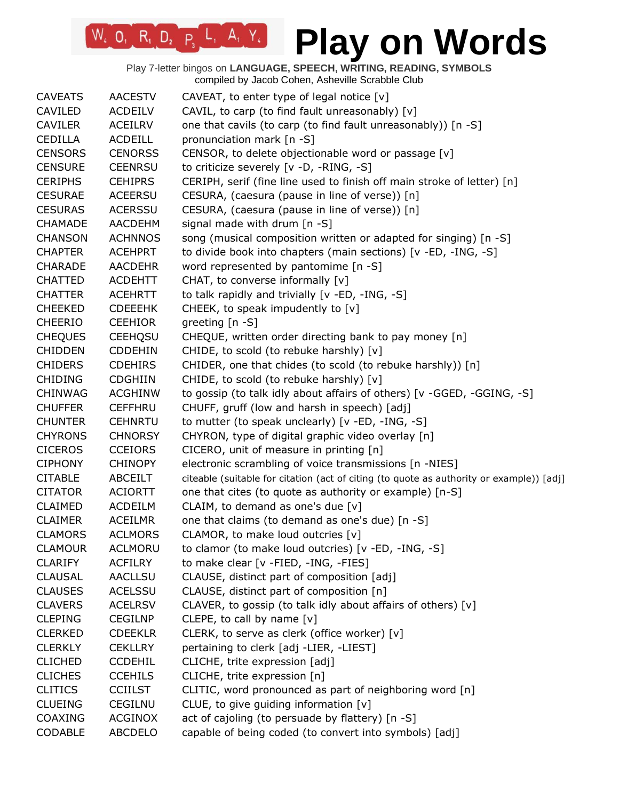| <b>CAVEATS</b> | <b>AACESTV</b> | CAVEAT, to enter type of legal notice $[v]$                                              |
|----------------|----------------|------------------------------------------------------------------------------------------|
| CAVILED        | <b>ACDEILV</b> | CAVIL, to carp (to find fault unreasonably) [v]                                          |
| <b>CAVILER</b> | <b>ACEILRV</b> | one that cavils (to carp (to find fault unreasonably)) [n -S]                            |
| <b>CEDILLA</b> | <b>ACDEILL</b> | pronunciation mark [n -S]                                                                |
| <b>CENSORS</b> | <b>CENORSS</b> | CENSOR, to delete objectionable word or passage [v]                                      |
| <b>CENSURE</b> | <b>CEENRSU</b> | to criticize severely [v -D, -RING, -S]                                                  |
| <b>CERIPHS</b> | <b>CEHIPRS</b> | CERIPH, serif (fine line used to finish off main stroke of letter) [n]                   |
| <b>CESURAE</b> | <b>ACEERSU</b> | CESURA, (caesura (pause in line of verse)) [n]                                           |
| <b>CESURAS</b> | <b>ACERSSU</b> | CESURA, (caesura (pause in line of verse)) [n]                                           |
| CHAMADE        | <b>AACDEHM</b> | signal made with drum [n -S]                                                             |
| <b>CHANSON</b> | <b>ACHNNOS</b> | song (musical composition written or adapted for singing) [n -S]                         |
| <b>CHAPTER</b> | <b>ACEHPRT</b> | to divide book into chapters (main sections) [v -ED, -ING, -S]                           |
| <b>CHARADE</b> | <b>AACDEHR</b> | word represented by pantomime [n -S]                                                     |
| <b>CHATTED</b> | <b>ACDEHTT</b> | CHAT, to converse informally [v]                                                         |
| <b>CHATTER</b> | <b>ACEHRTT</b> | to talk rapidly and trivially [v -ED, -ING, -S]                                          |
| <b>CHEEKED</b> | <b>CDEEEHK</b> | CHEEK, to speak impudently to [v]                                                        |
| <b>CHEERIO</b> | <b>CEEHIOR</b> | greeting [n -S]                                                                          |
| <b>CHEQUES</b> | <b>CEEHQSU</b> | CHEQUE, written order directing bank to pay money [n]                                    |
| <b>CHIDDEN</b> | <b>CDDEHIN</b> | CHIDE, to scold (to rebuke harshly) [v]                                                  |
| <b>CHIDERS</b> | <b>CDEHIRS</b> | CHIDER, one that chides (to scold (to rebuke harshly)) [n]                               |
| <b>CHIDING</b> | <b>CDGHIIN</b> | CHIDE, to scold (to rebuke harshly) [v]                                                  |
| <b>CHINWAG</b> | <b>ACGHINW</b> | to gossip (to talk idly about affairs of others) [v -GGED, -GGING, -S]                   |
| <b>CHUFFER</b> | <b>CEFFHRU</b> | CHUFF, gruff (low and harsh in speech) [adj]                                             |
| <b>CHUNTER</b> | <b>CEHNRTU</b> | to mutter (to speak unclearly) [v -ED, -ING, -S]                                         |
| <b>CHYRONS</b> | <b>CHNORSY</b> | CHYRON, type of digital graphic video overlay [n]                                        |
| <b>CICEROS</b> | <b>CCEIORS</b> | CICERO, unit of measure in printing [n]                                                  |
| <b>CIPHONY</b> | <b>CHINOPY</b> | electronic scrambling of voice transmissions [n -NIES]                                   |
| <b>CITABLE</b> | ABCEILT        | citeable (suitable for citation (act of citing (to quote as authority or example)) [adj] |
| <b>CITATOR</b> | <b>ACIORTT</b> | one that cites (to quote as authority or example) [n-S]                                  |
| <b>CLAIMED</b> | <b>ACDEILM</b> | CLAIM, to demand as one's due $[v]$                                                      |
| <b>CLAIMER</b> | <b>ACEILMR</b> | one that claims (to demand as one's due) [n -S]                                          |
| <b>CLAMORS</b> | <b>ACLMORS</b> | CLAMOR, to make loud outcries [v]                                                        |
| <b>CLAMOUR</b> | <b>ACLMORU</b> | to clamor (to make loud outcries) [v -ED, -ING, -S]                                      |
| <b>CLARIFY</b> | <b>ACFILRY</b> | to make clear [v -FIED, -ING, -FIES]                                                     |
| <b>CLAUSAL</b> | <b>AACLLSU</b> | CLAUSE, distinct part of composition [adj]                                               |
| <b>CLAUSES</b> | <b>ACELSSU</b> | CLAUSE, distinct part of composition [n]                                                 |
| <b>CLAVERS</b> | <b>ACELRSV</b> | CLAVER, to gossip (to talk idly about affairs of others) [v]                             |
| <b>CLEPING</b> | <b>CEGILNP</b> | CLEPE, to call by name [v]                                                               |
| <b>CLERKED</b> | <b>CDEEKLR</b> | CLERK, to serve as clerk (office worker) [v]                                             |
| <b>CLERKLY</b> | <b>CEKLLRY</b> | pertaining to clerk [adj -LIER, -LIEST]                                                  |
| <b>CLICHED</b> | <b>CCDEHIL</b> | CLICHE, trite expression [adj]                                                           |
| <b>CLICHES</b> | <b>CCEHILS</b> | CLICHE, trite expression [n]                                                             |
| <b>CLITICS</b> | <b>CCIILST</b> | CLITIC, word pronounced as part of neighboring word [n]                                  |
| <b>CLUEING</b> | CEGILNU        | CLUE, to give guiding information [v]                                                    |
| <b>COAXING</b> | <b>ACGINOX</b> | act of cajoling (to persuade by flattery) [n -S]                                         |
| CODABLE        | <b>ABCDELO</b> | capable of being coded (to convert into symbols) [adj]                                   |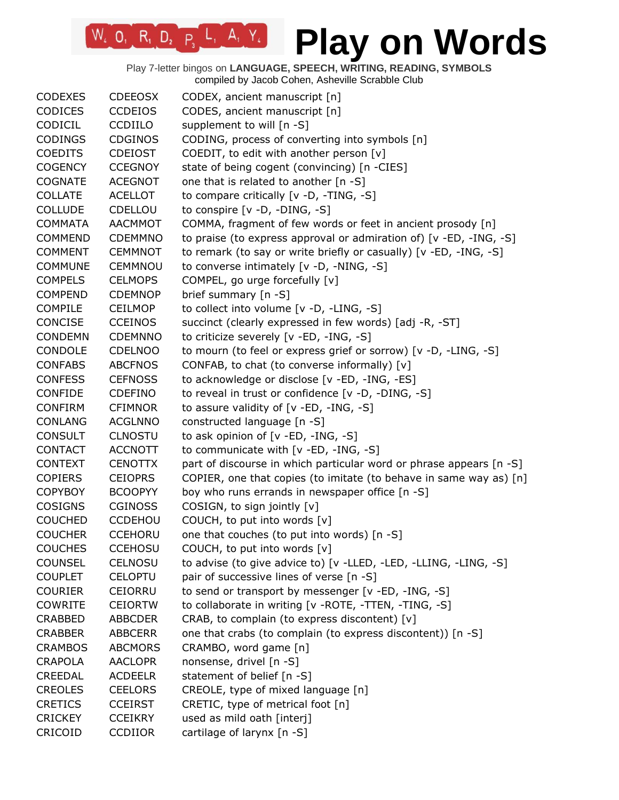| <b>CODEXES</b> | <b>CDEEOSX</b> | CODEX, ancient manuscript [n]                                       |
|----------------|----------------|---------------------------------------------------------------------|
| <b>CODICES</b> | <b>CCDEIOS</b> | CODES, ancient manuscript [n]                                       |
| CODICIL        | <b>CCDIILO</b> | supplement to will [n -S]                                           |
| <b>CODINGS</b> | <b>CDGINOS</b> | CODING, process of converting into symbols [n]                      |
| <b>COEDITS</b> | <b>CDEIOST</b> | COEDIT, to edit with another person [v]                             |
| <b>COGENCY</b> | <b>CCEGNOY</b> | state of being cogent (convincing) [n -CIES]                        |
| <b>COGNATE</b> | <b>ACEGNOT</b> | one that is related to another [n -S]                               |
| <b>COLLATE</b> | <b>ACELLOT</b> | to compare critically [v -D, -TING, -S]                             |
| <b>COLLUDE</b> | CDELLOU        | to conspire $[v -D, -DING, -S]$                                     |
| <b>COMMATA</b> | <b>AACMMOT</b> | COMMA, fragment of few words or feet in ancient prosody [n]         |
| <b>COMMEND</b> | <b>CDEMMNO</b> | to praise (to express approval or admiration of) [v -ED, -ING, -S]  |
| <b>COMMENT</b> | <b>CEMMNOT</b> | to remark (to say or write briefly or casually) [v -ED, -ING, -S]   |
| <b>COMMUNE</b> | CEMMNOU        | to converse intimately [v -D, -NING, -S]                            |
| <b>COMPELS</b> | <b>CELMOPS</b> | COMPEL, go urge forcefully [v]                                      |
| <b>COMPEND</b> | <b>CDEMNOP</b> | brief summary [n -S]                                                |
| <b>COMPILE</b> | <b>CEILMOP</b> | to collect into volume [v -D, -LING, -S]                            |
| CONCISE        | <b>CCEINOS</b> | succinct (clearly expressed in few words) [adj -R, -ST]             |
| <b>CONDEMN</b> | <b>CDEMNNO</b> | to criticize severely [v -ED, -ING, -S]                             |
| CONDOLE        | <b>CDELNOO</b> | to mourn (to feel or express grief or sorrow) [v -D, -LING, -S]     |
| <b>CONFABS</b> | <b>ABCFNOS</b> | CONFAB, to chat (to converse informally) [v]                        |
| <b>CONFESS</b> | <b>CEFNOSS</b> | to acknowledge or disclose [v -ED, -ING, -ES]                       |
| <b>CONFIDE</b> | <b>CDEFINO</b> | to reveal in trust or confidence [v -D, -DING, -S]                  |
| <b>CONFIRM</b> | <b>CFIMNOR</b> | to assure validity of $[v - ED, -ING, -S]$                          |
| <b>CONLANG</b> | <b>ACGLNNO</b> | constructed language [n -S]                                         |
| <b>CONSULT</b> | <b>CLNOSTU</b> | to ask opinion of [v -ED, -ING, -S]                                 |
| <b>CONTACT</b> | <b>ACCNOTT</b> | to communicate with [v -ED, -ING, -S]                               |
| <b>CONTEXT</b> | <b>CENOTTX</b> | part of discourse in which particular word or phrase appears [n -S] |
| <b>COPIERS</b> | <b>CEIOPRS</b> | COPIER, one that copies (to imitate (to behave in same way as) [n]  |
| <b>COPYBOY</b> | <b>BCOOPYY</b> | boy who runs errands in newspaper office [n -S]                     |
| <b>COSIGNS</b> | <b>CGINOSS</b> | COSIGN, to sign jointly [v]                                         |
| <b>COUCHED</b> | <b>CCDEHOU</b> | COUCH, to put into words [v]                                        |
| <b>COUCHER</b> | <b>CCEHORU</b> | one that couches (to put into words) [n -S]                         |
| <b>COUCHES</b> | <b>CCEHOSU</b> | COUCH, to put into words [v]                                        |
| <b>COUNSEL</b> | CELNOSU        | to advise (to give advice to) [v -LLED, -LED, -LLING, -LING, -S]    |
| <b>COUPLET</b> | <b>CELOPTU</b> | pair of successive lines of verse [n -S]                            |
| <b>COURIER</b> | <b>CEIORRU</b> | to send or transport by messenger [v -ED, -ING, -S]                 |
| <b>COWRITE</b> | <b>CEIORTW</b> | to collaborate in writing [v -ROTE, -TTEN, -TING, -S]               |
| <b>CRABBED</b> | <b>ABBCDER</b> | CRAB, to complain (to express discontent) [v]                       |
| <b>CRABBER</b> | <b>ABBCERR</b> | one that crabs (to complain (to express discontent)) [n -S]         |
| <b>CRAMBOS</b> | <b>ABCMORS</b> | CRAMBO, word game [n]                                               |
| <b>CRAPOLA</b> | <b>AACLOPR</b> | nonsense, drivel [n -S]                                             |
| <b>CREEDAL</b> | <b>ACDEELR</b> | statement of belief [n -S]                                          |
| <b>CREOLES</b> | <b>CEELORS</b> | CREOLE, type of mixed language [n]                                  |
| <b>CRETICS</b> | <b>CCEIRST</b> | CRETIC, type of metrical foot [n]                                   |
| <b>CRICKEY</b> | <b>CCEIKRY</b> | used as mild oath [interj]                                          |
| CRICOID        | <b>CCDIIOR</b> | cartilage of larynx [n -S]                                          |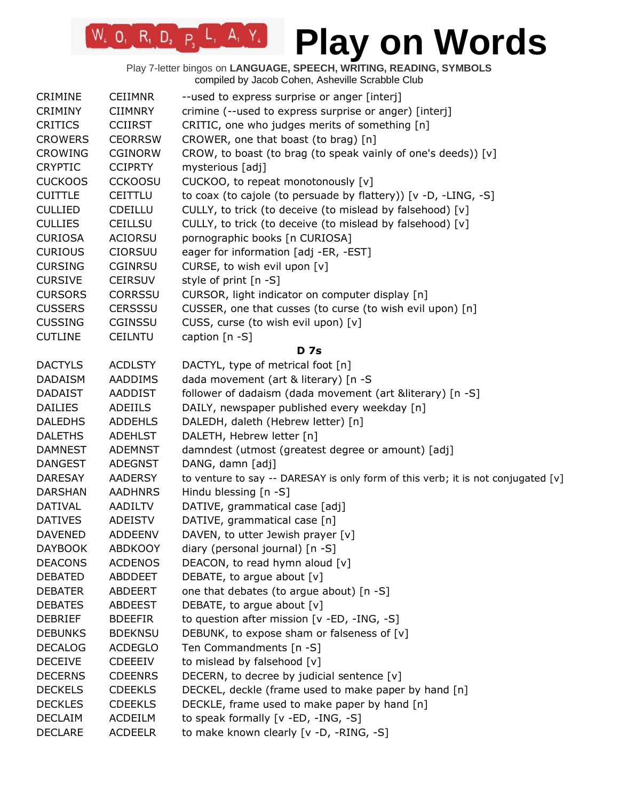# **Play on Words**

| <b>CRIMINE</b> | <b>CEIIMNR</b> | --used to express surprise or anger [interj]                                     |
|----------------|----------------|----------------------------------------------------------------------------------|
| <b>CRIMINY</b> | <b>CIIMNRY</b> | crimine (--used to express surprise or anger) [interj]                           |
| <b>CRITICS</b> | <b>CCIIRST</b> | CRITIC, one who judges merits of something [n]                                   |
| <b>CROWERS</b> | <b>CEORRSW</b> | CROWER, one that boast (to brag) [n]                                             |
| <b>CROWING</b> | <b>CGINORW</b> | CROW, to boast (to brag (to speak vainly of one's deeds)) [v]                    |
| <b>CRYPTIC</b> | <b>CCIPRTY</b> | mysterious [adj]                                                                 |
| <b>CUCKOOS</b> | <b>CCKOOSU</b> | CUCKOO, to repeat monotonously [v]                                               |
| <b>CUITTLE</b> | CEITTLU        | to coax (to cajole (to persuade by flattery)) [v -D, -LING, -S]                  |
| <b>CULLIED</b> | <b>CDEILLU</b> | CULLY, to trick (to deceive (to mislead by falsehood) [v]                        |
| <b>CULLIES</b> | <b>CEILLSU</b> | CULLY, to trick (to deceive (to mislead by falsehood) [v]                        |
| <b>CURIOSA</b> | <b>ACIORSU</b> | pornographic books [n CURIOSA]                                                   |
| <b>CURIOUS</b> | <b>CIORSUU</b> | eager for information [adj -ER, -EST]                                            |
| <b>CURSING</b> | <b>CGINRSU</b> | CURSE, to wish evil upon [v]                                                     |
| <b>CURSIVE</b> | <b>CEIRSUV</b> | style of print [n -S]                                                            |
| <b>CURSORS</b> | <b>CORRSSU</b> | CURSOR, light indicator on computer display [n]                                  |
| <b>CUSSERS</b> | <b>CERSSSU</b> | CUSSER, one that cusses (to curse (to wish evil upon) [n]                        |
| <b>CUSSING</b> | <b>CGINSSU</b> | CUSS, curse (to wish evil upon) [v]                                              |
| <b>CUTLINE</b> | <b>CEILNTU</b> | caption $[n - S]$                                                                |
|                |                | <b>D</b> 7s                                                                      |
| <b>DACTYLS</b> | <b>ACDLSTY</b> | DACTYL, type of metrical foot [n]                                                |
| <b>DADAISM</b> | <b>AADDIMS</b> | dada movement (art & literary) [n -S                                             |
| <b>DADAIST</b> | AADDIST        | follower of dadaism (dada movement (art &literary) [n -S]                        |
| <b>DAILIES</b> | <b>ADEIILS</b> | DAILY, newspaper published every weekday [n]                                     |
| <b>DALEDHS</b> | <b>ADDEHLS</b> | DALEDH, daleth (Hebrew letter) [n]                                               |
| <b>DALETHS</b> | <b>ADEHLST</b> | DALETH, Hebrew letter [n]                                                        |
| <b>DAMNEST</b> | <b>ADEMNST</b> | damndest (utmost (greatest degree or amount) [adj]                               |
| <b>DANGEST</b> | <b>ADEGNST</b> | DANG, damn [adj]                                                                 |
| <b>DARESAY</b> | <b>AADERSY</b> | to venture to say -- DARESAY is only form of this verb; it is not conjugated [v] |
| <b>DARSHAN</b> | <b>AADHNRS</b> | Hindu blessing [n -S]                                                            |
| DATIVAL        | <b>AADILTV</b> | DATIVE, grammatical case [adj]                                                   |
| <b>DATIVES</b> | <b>ADEISTV</b> | DATIVE, grammatical case [n]                                                     |
| <b>DAVENED</b> | <b>ADDEENV</b> | DAVEN, to utter Jewish prayer [v]                                                |
| <b>DAYBOOK</b> | <b>ABDKOOY</b> | diary (personal journal) [n -S]                                                  |
| <b>DEACONS</b> | <b>ACDENOS</b> | DEACON, to read hymn aloud [v]                                                   |
| <b>DEBATED</b> | ABDDEET        | DEBATE, to argue about [v]                                                       |
| <b>DEBATER</b> | ABDEERT        | one that debates (to argue about) [n -S]                                         |
| <b>DEBATES</b> | <b>ABDEEST</b> | DEBATE, to argue about [v]                                                       |
| <b>DEBRIEF</b> | <b>BDEEFIR</b> | to question after mission [v -ED, -ING, -S]                                      |
| <b>DEBUNKS</b> | <b>BDEKNSU</b> | DEBUNK, to expose sham or falseness of [v]                                       |
| <b>DECALOG</b> | <b>ACDEGLO</b> | Ten Commandments [n -S]                                                          |
| <b>DECEIVE</b> | <b>CDEEEIV</b> | to mislead by falsehood [v]                                                      |
| <b>DECERNS</b> | <b>CDEENRS</b> | DECERN, to decree by judicial sentence [v]                                       |
| <b>DECKELS</b> | <b>CDEEKLS</b> | DECKEL, deckle (frame used to make paper by hand [n]                             |
| <b>DECKLES</b> | <b>CDEEKLS</b> | DECKLE, frame used to make paper by hand [n]                                     |
| <b>DECLAIM</b> | <b>ACDEILM</b> | to speak formally [v -ED, -ING, -S]                                              |
| <b>DECLARE</b> | <b>ACDEELR</b> | to make known clearly [v -D, -RING, -S]                                          |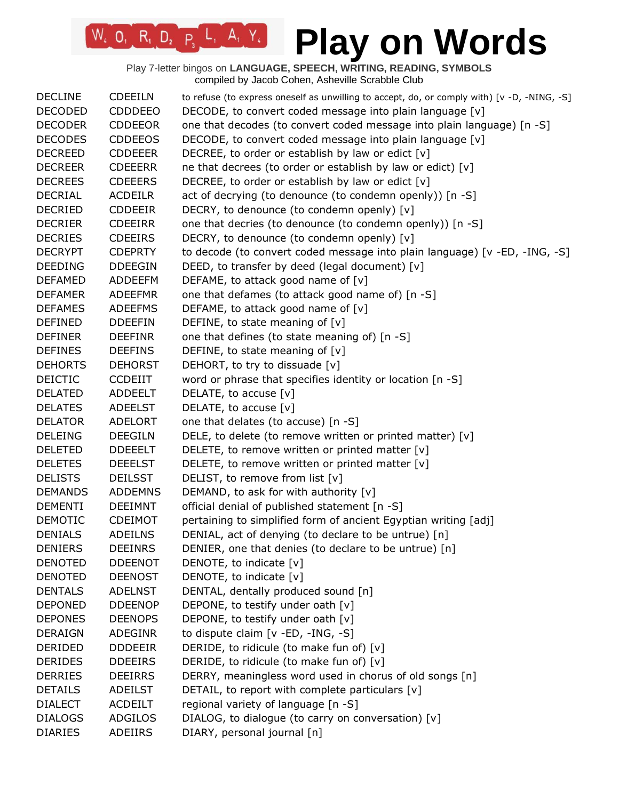| <b>DECLINE</b> | <b>CDEEILN</b> | to refuse (to express oneself as unwilling to accept, do, or comply with) [v -D, -NING, -S] |
|----------------|----------------|---------------------------------------------------------------------------------------------|
| <b>DECODED</b> | <b>CDDDEEO</b> | DECODE, to convert coded message into plain language [v]                                    |
| <b>DECODER</b> | <b>CDDEEOR</b> | one that decodes (to convert coded message into plain language) [n -S]                      |
| <b>DECODES</b> | <b>CDDEEOS</b> | DECODE, to convert coded message into plain language [v]                                    |
| <b>DECREED</b> | <b>CDDEEER</b> | DECREE, to order or establish by law or edict [v]                                           |
| <b>DECREER</b> | <b>CDEEERR</b> | ne that decrees (to order or establish by law or edict) [v]                                 |
| <b>DECREES</b> | <b>CDEEERS</b> | DECREE, to order or establish by law or edict [v]                                           |
| <b>DECRIAL</b> | <b>ACDEILR</b> | act of decrying (to denounce (to condemn openly)) [n -S]                                    |
| <b>DECRIED</b> | <b>CDDEEIR</b> | DECRY, to denounce (to condemn openly) [v]                                                  |
| <b>DECRIER</b> | <b>CDEEIRR</b> | one that decries (to denounce (to condemn openly)) [n -S]                                   |
| <b>DECRIES</b> | <b>CDEEIRS</b> | DECRY, to denounce (to condemn openly) [v]                                                  |
| <b>DECRYPT</b> | <b>CDEPRTY</b> | to decode (to convert coded message into plain language) [v -ED, -ING, -S]                  |
| <b>DEEDING</b> | <b>DDEEGIN</b> | DEED, to transfer by deed (legal document) [v]                                              |
| <b>DEFAMED</b> | <b>ADDEEFM</b> | DEFAME, to attack good name of [v]                                                          |
| <b>DEFAMER</b> | <b>ADEEFMR</b> | one that defames (to attack good name of) [n -S]                                            |
| <b>DEFAMES</b> | <b>ADEEFMS</b> | DEFAME, to attack good name of $[v]$                                                        |
| <b>DEFINED</b> | <b>DDEEFIN</b> | DEFINE, to state meaning of $[v]$                                                           |
| <b>DEFINER</b> | <b>DEEFINR</b> | one that defines (to state meaning of) [n -S]                                               |
| <b>DEFINES</b> | <b>DEEFINS</b> | DEFINE, to state meaning of [v]                                                             |
| <b>DEHORTS</b> | <b>DEHORST</b> | DEHORT, to try to dissuade [v]                                                              |
| <b>DEICTIC</b> | <b>CCDEIIT</b> | word or phrase that specifies identity or location [n -S]                                   |
| <b>DELATED</b> | <b>ADDEELT</b> | DELATE, to accuse [v]                                                                       |
| <b>DELATES</b> | <b>ADEELST</b> | DELATE, to accuse [v]                                                                       |
| <b>DELATOR</b> | <b>ADELORT</b> | one that delates (to accuse) [n -S]                                                         |
| <b>DELEING</b> | <b>DEEGILN</b> | DELE, to delete (to remove written or printed matter) [v]                                   |
| <b>DELETED</b> | <b>DDEEELT</b> | DELETE, to remove written or printed matter [v]                                             |
| <b>DELETES</b> | <b>DEEELST</b> | DELETE, to remove written or printed matter [v]                                             |
| <b>DELISTS</b> | <b>DEILSST</b> | DELIST, to remove from list [v]                                                             |
| <b>DEMANDS</b> | <b>ADDEMNS</b> | DEMAND, to ask for with authority [v]                                                       |
| <b>DEMENTI</b> | <b>DEEIMNT</b> | official denial of published statement [n -S]                                               |
| <b>DEMOTIC</b> | <b>CDEIMOT</b> | pertaining to simplified form of ancient Egyptian writing [adj]                             |
| <b>DENIALS</b> | <b>ADEILNS</b> | DENIAL, act of denying (to declare to be untrue) [n]                                        |
| <b>DENIERS</b> | <b>DEEINRS</b> | DENIER, one that denies (to declare to be untrue) [n]                                       |
| <b>DENOTED</b> | <b>DDEENOT</b> | DENOTE, to indicate [v]                                                                     |
| <b>DENOTED</b> | <b>DEENOST</b> | DENOTE, to indicate [v]                                                                     |
| <b>DENTALS</b> | <b>ADELNST</b> | DENTAL, dentally produced sound [n]                                                         |
| <b>DEPONED</b> | <b>DDEENOP</b> | DEPONE, to testify under oath [v]                                                           |
| <b>DEPONES</b> | <b>DEENOPS</b> | DEPONE, to testify under oath [v]                                                           |
| <b>DERAIGN</b> | <b>ADEGINR</b> | to dispute claim [v -ED, -ING, -S]                                                          |
| DERIDED        | <b>DDDEEIR</b> | DERIDE, to ridicule (to make fun of) [v]                                                    |
| <b>DERIDES</b> | <b>DDEEIRS</b> | DERIDE, to ridicule (to make fun of) [v]                                                    |
| <b>DERRIES</b> | <b>DEEIRRS</b> | DERRY, meaningless word used in chorus of old songs [n]                                     |
| <b>DETAILS</b> | ADEILST        | DETAIL, to report with complete particulars [v]                                             |
| <b>DIALECT</b> | <b>ACDEILT</b> | regional variety of language [n -S]                                                         |
| <b>DIALOGS</b> | ADGILOS        | DIALOG, to dialogue (to carry on conversation) [v]                                          |
| <b>DIARIES</b> | ADEIIRS        | DIARY, personal journal [n]                                                                 |
|                |                |                                                                                             |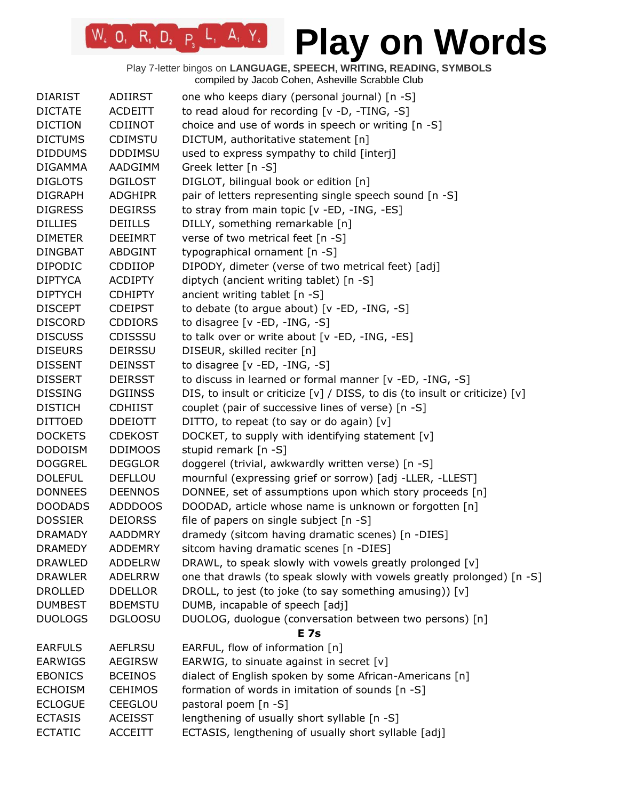| <b>DIARIST</b> | <b>ADIIRST</b> | one who keeps diary (personal journal) [n -S]                                                        |
|----------------|----------------|------------------------------------------------------------------------------------------------------|
| <b>DICTATE</b> | <b>ACDEITT</b> | to read aloud for recording [v -D, -TING, -S]                                                        |
| <b>DICTION</b> | <b>CDIINOT</b> | choice and use of words in speech or writing [n -S]                                                  |
| <b>DICTUMS</b> | <b>CDIMSTU</b> | DICTUM, authoritative statement [n]                                                                  |
| <b>DIDDUMS</b> | <b>DDDIMSU</b> | used to express sympathy to child [interj]                                                           |
| <b>DIGAMMA</b> | AADGIMM        | Greek letter [n -S]                                                                                  |
| <b>DIGLOTS</b> | <b>DGILOST</b> | DIGLOT, bilingual book or edition [n]                                                                |
| <b>DIGRAPH</b> | <b>ADGHIPR</b> | pair of letters representing single speech sound [n -S]                                              |
| <b>DIGRESS</b> | <b>DEGIRSS</b> | to stray from main topic [v -ED, -ING, -ES]                                                          |
| <b>DILLIES</b> | <b>DEIILLS</b> | DILLY, something remarkable [n]                                                                      |
| <b>DIMETER</b> | <b>DEEIMRT</b> | verse of two metrical feet [n -S]                                                                    |
| <b>DINGBAT</b> | <b>ABDGINT</b> | typographical ornament [n -S]                                                                        |
| <b>DIPODIC</b> | CDDIIOP        | DIPODY, dimeter (verse of two metrical feet) [adj]                                                   |
| <b>DIPTYCA</b> | <b>ACDIPTY</b> | diptych (ancient writing tablet) [n -S]                                                              |
| <b>DIPTYCH</b> | <b>CDHIPTY</b> | ancient writing tablet [n -S]                                                                        |
| <b>DISCEPT</b> | <b>CDEIPST</b> | to debate (to argue about) $[v - ED, -ING, -S]$                                                      |
| <b>DISCORD</b> | <b>CDDIORS</b> | to disagree [v -ED, -ING, -S]                                                                        |
| <b>DISCUSS</b> | CDISSSU        | to talk over or write about [v -ED, -ING, -ES]                                                       |
| <b>DISEURS</b> | <b>DEIRSSU</b> | DISEUR, skilled reciter [n]                                                                          |
| <b>DISSENT</b> | <b>DEINSST</b> | to disagree [v -ED, -ING, -S]                                                                        |
| <b>DISSERT</b> | <b>DEIRSST</b> | to discuss in learned or formal manner [v -ED, -ING, -S]                                             |
| <b>DISSING</b> | <b>DGIINSS</b> | DIS, to insult or criticize [v] / DISS, to dis (to insult or criticize) [v]                          |
| <b>DISTICH</b> | <b>CDHIIST</b> | couplet (pair of successive lines of verse) [n -S]                                                   |
| <b>DITTOED</b> | <b>DDEIOTT</b> | DITTO, to repeat (to say or do again) [v]                                                            |
| <b>DOCKETS</b> | <b>CDEKOST</b> | DOCKET, to supply with identifying statement [v]                                                     |
| <b>DODOISM</b> | <b>DDIMOOS</b> | stupid remark [n -S]                                                                                 |
| <b>DOGGREL</b> | <b>DEGGLOR</b> | doggerel (trivial, awkwardly written verse) [n -S]                                                   |
| <b>DOLEFUL</b> | <b>DEFLLOU</b> | mournful (expressing grief or sorrow) [adj -LLER, -LLEST]                                            |
| <b>DONNEES</b> | <b>DEENNOS</b> | DONNEE, set of assumptions upon which story proceeds [n]                                             |
| <b>DOODADS</b> | <b>ADDDOOS</b> |                                                                                                      |
| <b>DOSSIER</b> | <b>DEIORSS</b> | DOODAD, article whose name is unknown or forgotten [n]<br>file of papers on single subject $[n - S]$ |
| <b>DRAMADY</b> | <b>AADDMRY</b> | dramedy (sitcom having dramatic scenes) [n -DIES]                                                    |
|                |                |                                                                                                      |
| <b>DRAMEDY</b> | <b>ADDEMRY</b> | sitcom having dramatic scenes [n -DIES]                                                              |
| <b>DRAWLED</b> | <b>ADDELRW</b> | DRAWL, to speak slowly with vowels greatly prolonged [v]                                             |
| <b>DRAWLER</b> | <b>ADELRRW</b> | one that drawls (to speak slowly with vowels greatly prolonged) [n -S]                               |
| <b>DROLLED</b> | <b>DDELLOR</b> | DROLL, to jest (to joke (to say something amusing)) [v]                                              |
| <b>DUMBEST</b> | <b>BDEMSTU</b> | DUMB, incapable of speech [adj]                                                                      |
| <b>DUOLOGS</b> | <b>DGLOOSU</b> | DUOLOG, duologue (conversation between two persons) [n]<br><b>E</b> 7s                               |
| <b>EARFULS</b> | <b>AEFLRSU</b> | EARFUL, flow of information [n]                                                                      |
| <b>EARWIGS</b> | <b>AEGIRSW</b> | EARWIG, to sinuate against in secret $[v]$                                                           |
|                |                |                                                                                                      |
| <b>EBONICS</b> | <b>BCEINOS</b> | dialect of English spoken by some African-Americans [n]                                              |
| <b>ECHOISM</b> | <b>CEHIMOS</b> | formation of words in imitation of sounds [n -S]                                                     |
| <b>ECLOGUE</b> | CEEGLOU        | pastoral poem [n -S]                                                                                 |
| <b>ECTASIS</b> | <b>ACEISST</b> | lengthening of usually short syllable [n -S]                                                         |
| <b>ECTATIC</b> | <b>ACCEITT</b> | ECTASIS, lengthening of usually short syllable [adj]                                                 |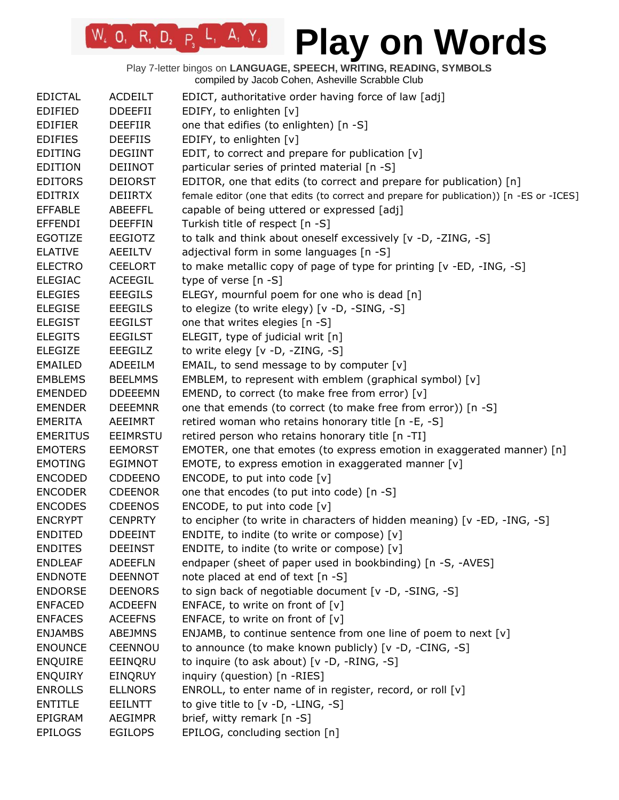### **Play on Words**

| <b>EDICTAL</b>  | <b>ACDEILT</b> | EDICT, authoritative order having force of law [adj]                                     |
|-----------------|----------------|------------------------------------------------------------------------------------------|
| <b>EDIFIED</b>  | <b>DDEEFII</b> | EDIFY, to enlighten [v]                                                                  |
| <b>EDIFIER</b>  | <b>DEEFIIR</b> | one that edifies (to enlighten) [n -S]                                                   |
| <b>EDIFIES</b>  | <b>DEEFIIS</b> | EDIFY, to enlighten [v]                                                                  |
| <b>EDITING</b>  | <b>DEGIINT</b> | EDIT, to correct and prepare for publication [v]                                         |
| <b>EDITION</b>  | <b>DEIINOT</b> | particular series of printed material [n -S]                                             |
| <b>EDITORS</b>  | <b>DEIORST</b> | EDITOR, one that edits (to correct and prepare for publication) [n]                      |
| <b>EDITRIX</b>  | DEIIRTX        | female editor (one that edits (to correct and prepare for publication)) [n -ES or -ICES] |
| <b>EFFABLE</b>  | <b>ABEEFFL</b> | capable of being uttered or expressed [adj]                                              |
| <b>EFFENDI</b>  | <b>DEEFFIN</b> | Turkish title of respect [n -S]                                                          |
| EGOTIZE         | <b>EEGIOTZ</b> | to talk and think about oneself excessively [v -D, -ZING, -S]                            |
| <b>ELATIVE</b>  | AEEILTV        | adjectival form in some languages [n -S]                                                 |
| <b>ELECTRO</b>  | <b>CEELORT</b> | to make metallic copy of page of type for printing [v -ED, -ING, -S]                     |
| <b>ELEGIAC</b>  | ACEEGIL        | type of verse $[n - S]$                                                                  |
| <b>ELEGIES</b>  | <b>EEEGILS</b> | ELEGY, mournful poem for one who is dead [n]                                             |
| <b>ELEGISE</b>  | <b>EEEGILS</b> | to elegize (to write elegy) [v -D, -SING, -S]                                            |
| <b>ELEGIST</b>  | <b>EEGILST</b> | one that writes elegies [n -S]                                                           |
| <b>ELEGITS</b>  | <b>EEGILST</b> | ELEGIT, type of judicial writ [n]                                                        |
| <b>ELEGIZE</b>  | EEEGILZ        | to write elegy [v -D, -ZING, -S]                                                         |
| <b>EMAILED</b>  | ADEEILM        | EMAIL, to send message to by computer [v]                                                |
| <b>EMBLEMS</b>  | <b>BEELMMS</b> | EMBLEM, to represent with emblem (graphical symbol) [v]                                  |
| <b>EMENDED</b>  | <b>DDEEEMN</b> | EMEND, to correct (to make free from error) [v]                                          |
| <b>EMENDER</b>  | <b>DEEEMNR</b> | one that emends (to correct (to make free from error)) [n -S]                            |
| <b>EMERITA</b>  | AEEIMRT        | retired woman who retains honorary title [n -E, -S]                                      |
| <b>EMERITUS</b> | EEIMRSTU       | retired person who retains honorary title [n -TI]                                        |
| <b>EMOTERS</b>  | <b>EEMORST</b> | EMOTER, one that emotes (to express emotion in exaggerated manner) [n]                   |
| <b>EMOTING</b>  | <b>EGIMNOT</b> | EMOTE, to express emotion in exaggerated manner $[v]$                                    |
| <b>ENCODED</b>  | CDDEENO        | ENCODE, to put into code [v]                                                             |
| <b>ENCODER</b>  | <b>CDEENOR</b> | one that encodes (to put into code) [n -S]                                               |
| <b>ENCODES</b>  | <b>CDEENOS</b> | ENCODE, to put into code [v]                                                             |
| <b>ENCRYPT</b>  | <b>CENPRTY</b> | to encipher (to write in characters of hidden meaning) [v -ED, -ING, -S]                 |
| <b>ENDITED</b>  | <b>DDEEINT</b> | ENDITE, to indite (to write or compose) [v]                                              |
| <b>ENDITES</b>  | <b>DEEINST</b> | ENDITE, to indite (to write or compose) [v]                                              |
| <b>ENDLEAF</b>  | <b>ADEEFLN</b> | endpaper (sheet of paper used in bookbinding) [n -S, -AVES]                              |
| <b>ENDNOTE</b>  | <b>DEENNOT</b> | note placed at end of text [n -S]                                                        |
| <b>ENDORSE</b>  | <b>DEENORS</b> | to sign back of negotiable document [v -D, -SING, -S]                                    |
| <b>ENFACED</b>  | <b>ACDEEFN</b> | ENFACE, to write on front of [v]                                                         |
| <b>ENFACES</b>  | <b>ACEEFNS</b> | ENFACE, to write on front of $[v]$                                                       |
| <b>ENJAMBS</b>  | ABEJMNS        | ENJAMB, to continue sentence from one line of poem to next [v]                           |
| <b>ENOUNCE</b>  | CEENNOU        | to announce (to make known publicly) [v -D, -CING, -S]                                   |
| <b>ENQUIRE</b>  | EEINQRU        | to inquire (to ask about) [v -D, -RING, -S]                                              |
| <b>ENQUIRY</b>  | <b>EINQRUY</b> | inquiry (question) [n -RIES]                                                             |
| <b>ENROLLS</b>  | <b>ELLNORS</b> | ENROLL, to enter name of in register, record, or roll [v]                                |
| <b>ENTITLE</b>  | EEILNTT        | to give title to $[v -D, -LING, -S]$                                                     |
| EPIGRAM         | <b>AEGIMPR</b> | brief, witty remark [n -S]                                                               |
| <b>EPILOGS</b>  | <b>EGILOPS</b> | EPILOG, concluding section [n]                                                           |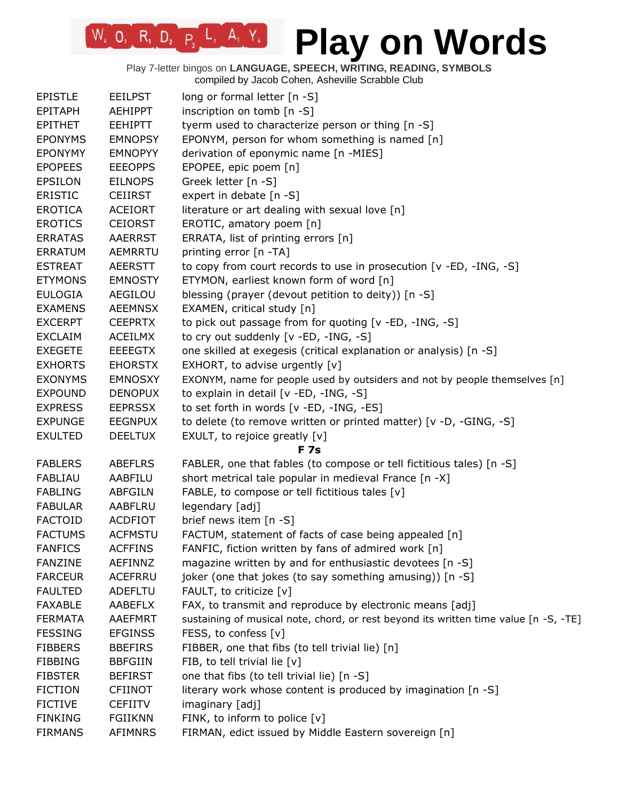| <b>EPISTLE</b> | <b>EEILPST</b> | long or formal letter [n -S]                                                         |
|----------------|----------------|--------------------------------------------------------------------------------------|
| <b>EPITAPH</b> | AEHIPPT        | inscription on tomb [n -S]                                                           |
| <b>EPITHET</b> | <b>EEHIPTT</b> | tyerm used to characterize person or thing [n -S]                                    |
| <b>EPONYMS</b> | <b>EMNOPSY</b> | EPONYM, person for whom something is named [n]                                       |
| <b>EPONYMY</b> | <b>EMNOPYY</b> | derivation of eponymic name [n -MIES]                                                |
| <b>EPOPEES</b> | <b>EEEOPPS</b> | EPOPEE, epic poem [n]                                                                |
| <b>EPSILON</b> | <b>EILNOPS</b> | Greek letter [n -S]                                                                  |
| <b>ERISTIC</b> | <b>CEIIRST</b> | expert in debate [n -S]                                                              |
| <b>EROTICA</b> | <b>ACEIORT</b> | literature or art dealing with sexual love [n]                                       |
| <b>EROTICS</b> | <b>CEIORST</b> | EROTIC, amatory poem [n]                                                             |
| <b>ERRATAS</b> | <b>AAERRST</b> | ERRATA, list of printing errors [n]                                                  |
| <b>ERRATUM</b> | AEMRRTU        | printing error [n -TA]                                                               |
| <b>ESTREAT</b> | <b>AEERSTT</b> | to copy from court records to use in prosecution [v -ED, -ING, -S]                   |
| <b>ETYMONS</b> | <b>EMNOSTY</b> | ETYMON, earliest known form of word [n]                                              |
| <b>EULOGIA</b> | AEGILOU        | blessing (prayer (devout petition to deity)) [n -S]                                  |
| <b>EXAMENS</b> | <b>AEEMNSX</b> | EXAMEN, critical study [n]                                                           |
| <b>EXCERPT</b> | <b>CEEPRTX</b> | to pick out passage from for quoting [v -ED, -ING, -S]                               |
| <b>EXCLAIM</b> | <b>ACEILMX</b> | to cry out suddenly [v -ED, -ING, -S]                                                |
| <b>EXEGETE</b> | <b>EEEEGTX</b> | one skilled at exegesis (critical explanation or analysis) [n -S]                    |
| <b>EXHORTS</b> | <b>EHORSTX</b> | EXHORT, to advise urgently [v]                                                       |
| <b>EXONYMS</b> | <b>EMNOSXY</b> | EXONYM, name for people used by outsiders and not by people themselves [n]           |
| <b>EXPOUND</b> | <b>DENOPUX</b> | to explain in detail [v -ED, -ING, -S]                                               |
| <b>EXPRESS</b> | <b>EEPRSSX</b> | to set forth in words [v -ED, -ING, -ES]                                             |
| <b>EXPUNGE</b> | <b>EEGNPUX</b> | to delete (to remove written or printed matter) [v -D, -GING, -S]                    |
| <b>EXULTED</b> | <b>DEELTUX</b> | EXULT, to rejoice greatly [v]                                                        |
|                |                | <b>F7s</b>                                                                           |
| <b>FABLERS</b> | <b>ABEFLRS</b> | FABLER, one that fables (to compose or tell fictitious tales) [n -S]                 |
| FABLIAU        | AABFILU        | short metrical tale popular in medieval France [n -X]                                |
| <b>FABLING</b> | <b>ABFGILN</b> | FABLE, to compose or tell fictitious tales [v]                                       |
| <b>FABULAR</b> | <b>AABFLRU</b> | legendary [adj]                                                                      |
| <b>FACTOID</b> | <b>ACDFIOT</b> | brief news item [n -S]                                                               |
| <b>FACTUMS</b> | <b>ACFMSTU</b> | FACTUM, statement of facts of case being appealed [n]                                |
| <b>FANFICS</b> | <b>ACFFINS</b> | FANFIC, fiction written by fans of admired work [n]                                  |
| <b>FANZINE</b> | AEFINNZ        | magazine written by and for enthusiastic devotees [n -S]                             |
| <b>FARCEUR</b> | <b>ACEFRRU</b> | joker (one that jokes (to say something amusing)) [n -S]                             |
| <b>FAULTED</b> | <b>ADEFLTU</b> | FAULT, to criticize [v]                                                              |
| <b>FAXABLE</b> | AABEFLX        | FAX, to transmit and reproduce by electronic means [adj]                             |
| <b>FERMATA</b> | <b>AAEFMRT</b> | sustaining of musical note, chord, or rest beyond its written time value [n -S, -TE] |
| <b>FESSING</b> | <b>EFGINSS</b> | FESS, to confess [v]                                                                 |
| <b>FIBBERS</b> | <b>BBEFIRS</b> | FIBBER, one that fibs (to tell trivial lie) [n]                                      |
| <b>FIBBING</b> | <b>BBFGIIN</b> | FIB, to tell trivial lie [v]                                                         |
| <b>FIBSTER</b> | <b>BEFIRST</b> | one that fibs (to tell trivial lie) [n -S]                                           |
| <b>FICTION</b> | <b>CFIINOT</b> | literary work whose content is produced by imagination [n -S]                        |
| <b>FICTIVE</b> | <b>CEFIITV</b> | imaginary [adj]                                                                      |
| <b>FINKING</b> | <b>FGIIKNN</b> | FINK, to inform to police [v]                                                        |
| <b>FIRMANS</b> | <b>AFIMNRS</b> | FIRMAN, edict issued by Middle Eastern sovereign [n]                                 |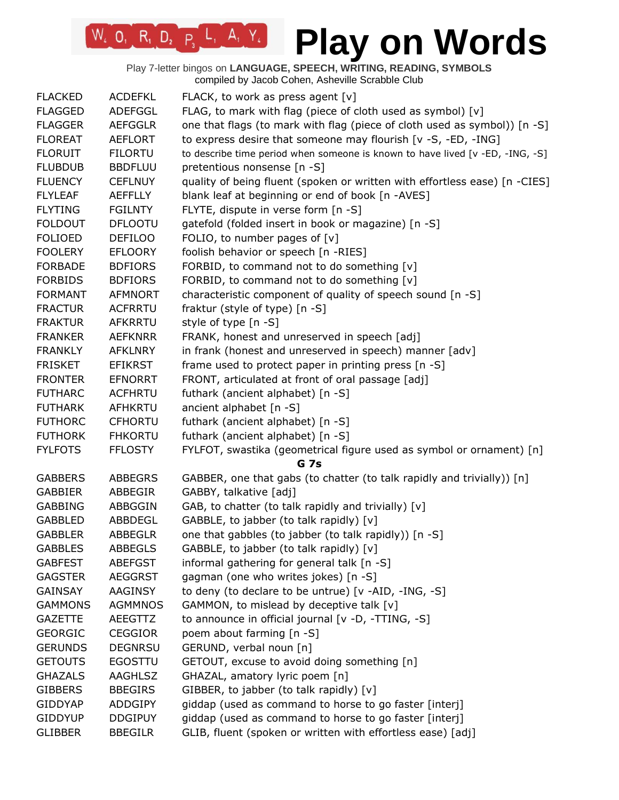Play 7-letter bingos on **LANGUAGE, SPEECH, WRITING, READING, SYMBOLS** compiled by Jacob Cohen, Asheville Scrabble Club

 $W_4$  0, R<sub>1</sub> D<sub>2</sub> P<sub>3</sub> L<sub>1</sub> A<sub>1</sub> Y<sub>4</sub>

| <b>FLACKED</b> | <b>ACDEFKL</b> | FLACK, to work as press agent [v]                                             |
|----------------|----------------|-------------------------------------------------------------------------------|
| <b>FLAGGED</b> | ADEFGGL        | FLAG, to mark with flag (piece of cloth used as symbol) [v]                   |
| <b>FLAGGER</b> | <b>AEFGGLR</b> | one that flags (to mark with flag (piece of cloth used as symbol)) [n -S]     |
| <b>FLOREAT</b> | <b>AEFLORT</b> | to express desire that someone may flourish [v -S, -ED, -ING]                 |
| <b>FLORUIT</b> | <b>FILORTU</b> | to describe time period when someone is known to have lived [v -ED, -ING, -S] |
| <b>FLUBDUB</b> | <b>BBDFLUU</b> | pretentious nonsense [n -S]                                                   |
| <b>FLUENCY</b> | <b>CEFLNUY</b> | quality of being fluent (spoken or written with effortless ease) [n -CIES]    |
| <b>FLYLEAF</b> | <b>AEFFLLY</b> | blank leaf at beginning or end of book [n -AVES]                              |
| <b>FLYTING</b> | <b>FGILNTY</b> | FLYTE, dispute in verse form [n -S]                                           |
| <b>FOLDOUT</b> | <b>DFLOOTU</b> | gatefold (folded insert in book or magazine) [n -S]                           |
| <b>FOLIOED</b> | <b>DEFILOO</b> | FOLIO, to number pages of $[v]$                                               |
| <b>FOOLERY</b> | <b>EFLOORY</b> | foolish behavior or speech [n -RIES]                                          |
| <b>FORBADE</b> | <b>BDFIORS</b> | FORBID, to command not to do something [v]                                    |
| <b>FORBIDS</b> | <b>BDFIORS</b> | FORBID, to command not to do something [v]                                    |
| <b>FORMANT</b> | <b>AFMNORT</b> | characteristic component of quality of speech sound [n -S]                    |
| <b>FRACTUR</b> | <b>ACFRRTU</b> | fraktur (style of type) [n -S]                                                |
| <b>FRAKTUR</b> | <b>AFKRRTU</b> | style of type [n -S]                                                          |
| <b>FRANKER</b> | <b>AEFKNRR</b> | FRANK, honest and unreserved in speech [adj]                                  |
| <b>FRANKLY</b> | <b>AFKLNRY</b> | in frank (honest and unreserved in speech) manner [adv]                       |
|                |                |                                                                               |
| <b>FRISKET</b> | <b>EFIKRST</b> | frame used to protect paper in printing press [n -S]                          |
| <b>FRONTER</b> | <b>EFNORRT</b> | FRONT, articulated at front of oral passage [adj]                             |
| <b>FUTHARC</b> | <b>ACFHRTU</b> | futhark (ancient alphabet) [n -S]                                             |
| <b>FUTHARK</b> | <b>AFHKRTU</b> | ancient alphabet [n -S]                                                       |
| <b>FUTHORC</b> | <b>CFHORTU</b> | futhark (ancient alphabet) [n -S]                                             |
| <b>FUTHORK</b> | <b>FHKORTU</b> | futhark (ancient alphabet) [n -S]                                             |
| <b>FYLFOTS</b> | <b>FFLOSTY</b> | FYLFOT, swastika (geometrical figure used as symbol or ornament) [n]          |
|                |                | <b>G</b> 7s                                                                   |
| <b>GABBERS</b> | <b>ABBEGRS</b> | GABBER, one that gabs (to chatter (to talk rapidly and trivially)) [n]        |
| <b>GABBIER</b> | ABBEGIR        | GABBY, talkative [adj]                                                        |
| <b>GABBING</b> | ABBGGIN        | GAB, to chatter (to talk rapidly and trivially) [v]                           |
| <b>GABBLED</b> | ABBDEGL        | GABBLE, to jabber (to talk rapidly) [v]                                       |
| <b>GABBLER</b> | <b>ABBEGLR</b> | one that gabbles (to jabber (to talk rapidly)) [n -S]                         |
| <b>GABBLES</b> | <b>ABBEGLS</b> | GABBLE, to jabber (to talk rapidly) [v]                                       |
| <b>GABFEST</b> | <b>ABEFGST</b> | informal gathering for general talk [n -S]                                    |
| <b>GAGSTER</b> | <b>AEGGRST</b> | gagman (one who writes jokes) [n -S]                                          |
| <b>GAINSAY</b> | AAGINSY        | to deny (to declare to be untrue) [v -AID, -ING, -S]                          |
| <b>GAMMONS</b> | <b>AGMMNOS</b> | GAMMON, to mislead by deceptive talk [v]                                      |
| <b>GAZETTE</b> | AEEGTTZ        | to announce in official journal [v -D, -TTING, -S]                            |
| <b>GEORGIC</b> | <b>CEGGIOR</b> | poem about farming [n -S]                                                     |
| <b>GERUNDS</b> | <b>DEGNRSU</b> | GERUND, verbal noun [n]                                                       |
| <b>GETOUTS</b> | <b>EGOSTTU</b> | GETOUT, excuse to avoid doing something [n]                                   |
| <b>GHAZALS</b> | <b>AAGHLSZ</b> | GHAZAL, amatory lyric poem [n]                                                |
| <b>GIBBERS</b> | <b>BBEGIRS</b> | GIBBER, to jabber (to talk rapidly) [v]                                       |
| <b>GIDDYAP</b> | <b>ADDGIPY</b> | giddap (used as command to horse to go faster [interj]                        |
| <b>GIDDYUP</b> | <b>DDGIPUY</b> | giddap (used as command to horse to go faster [interj]                        |
| <b>GLIBBER</b> | <b>BBEGILR</b> | GLIB, fluent (spoken or written with effortless ease) [adj]                   |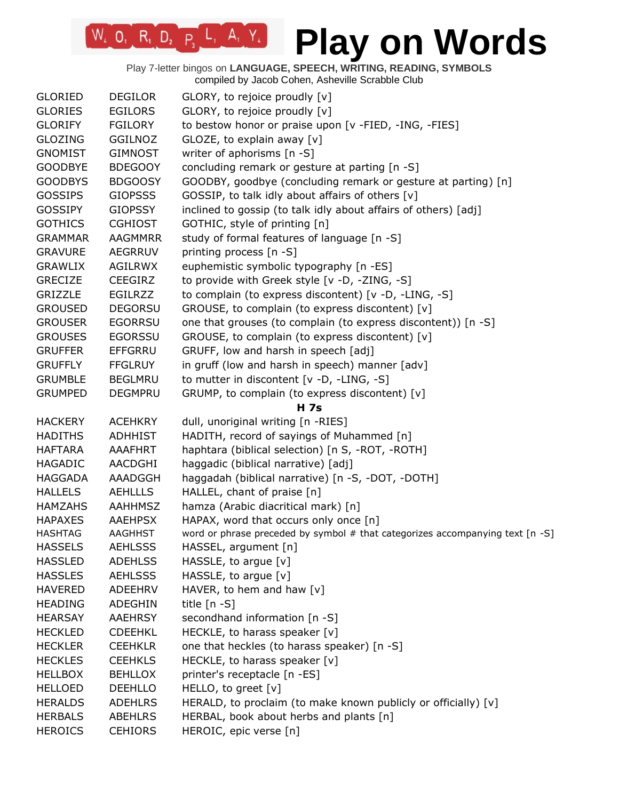| <b>GLORIED</b> | <b>DEGILOR</b> | GLORY, to rejoice proudly [v]                                                   |
|----------------|----------------|---------------------------------------------------------------------------------|
| <b>GLORIES</b> | <b>EGILORS</b> | GLORY, to rejoice proudly [v]                                                   |
| <b>GLORIFY</b> | <b>FGILORY</b> | to bestow honor or praise upon [v -FIED, -ING, -FIES]                           |
| <b>GLOZING</b> | <b>GGILNOZ</b> | GLOZE, to explain away [v]                                                      |
| <b>GNOMIST</b> | <b>GIMNOST</b> | writer of aphorisms [n -S]                                                      |
| <b>GOODBYE</b> | <b>BDEGOOY</b> | concluding remark or gesture at parting [n -S]                                  |
| <b>GOODBYS</b> | <b>BDGOOSY</b> | GOODBY, goodbye (concluding remark or gesture at parting) [n]                   |
| <b>GOSSIPS</b> | <b>GIOPSSS</b> | GOSSIP, to talk idly about affairs of others [v]                                |
| <b>GOSSIPY</b> | <b>GIOPSSY</b> | inclined to gossip (to talk idly about affairs of others) [adj]                 |
| <b>GOTHICS</b> | <b>CGHIOST</b> | GOTHIC, style of printing [n]                                                   |
| <b>GRAMMAR</b> | <b>AAGMMRR</b> | study of formal features of language [n -S]                                     |
| <b>GRAVURE</b> | <b>AEGRRUV</b> | printing process [n -S]                                                         |
| <b>GRAWLIX</b> | AGILRWX        | euphemistic symbolic typography [n -ES]                                         |
| <b>GRECIZE</b> | <b>CEEGIRZ</b> | to provide with Greek style [v -D, -ZING, -S]                                   |
| <b>GRIZZLE</b> | <b>EGILRZZ</b> | to complain (to express discontent) [v -D, -LING, -S]                           |
| <b>GROUSED</b> | <b>DEGORSU</b> | GROUSE, to complain (to express discontent) [v]                                 |
| <b>GROUSER</b> | <b>EGORRSU</b> | one that grouses (to complain (to express discontent)) [n -S]                   |
| <b>GROUSES</b> | <b>EGORSSU</b> | GROUSE, to complain (to express discontent) [v]                                 |
| <b>GRUFFER</b> | <b>EFFGRRU</b> | GRUFF, low and harsh in speech [adj]                                            |
| <b>GRUFFLY</b> | <b>FFGLRUY</b> | in gruff (low and harsh in speech) manner [adv]                                 |
| <b>GRUMBLE</b> | <b>BEGLMRU</b> | to mutter in discontent [v -D, -LING, -S]                                       |
| <b>GRUMPED</b> | <b>DEGMPRU</b> | GRUMP, to complain (to express discontent) [v]                                  |
|                |                | H 7s                                                                            |
| <b>HACKERY</b> | <b>ACEHKRY</b> | dull, unoriginal writing [n -RIES]                                              |
| <b>HADITHS</b> | <b>ADHHIST</b> | HADITH, record of sayings of Muhammed [n]                                       |
| <b>HAFTARA</b> | AAAFHRT        | haphtara (biblical selection) [n S, -ROT, -ROTH]                                |
| <b>HAGADIC</b> | AACDGHI        | haggadic (biblical narrative) [adj]                                             |
|                | AAADGGH        |                                                                                 |
| <b>HAGGADA</b> |                | haggadah (biblical narrative) [n -S, -DOT, -DOTH]                               |
| <b>HALLELS</b> | <b>AEHLLLS</b> | HALLEL, chant of praise [n]                                                     |
| <b>HAMZAHS</b> | <b>AAHHMSZ</b> | hamza (Arabic diacritical mark) [n]                                             |
| <b>HAPAXES</b> | <b>AAEHPSX</b> | HAPAX, word that occurs only once [n]                                           |
| <b>HASHTAG</b> | AAGHHST        | word or phrase preceded by symbol $#$ that categorizes accompanying text [n -S] |
| <b>HASSELS</b> | <b>AEHLSSS</b> | HASSEL, argument [n]                                                            |
| <b>HASSLED</b> | <b>ADEHLSS</b> | HASSLE, to argue [v]                                                            |
| <b>HASSLES</b> | <b>AEHLSSS</b> | HASSLE, to argue [v]                                                            |
| <b>HAVERED</b> | ADEEHRV        | HAVER, to hem and haw $[v]$                                                     |
| <b>HEADING</b> | ADEGHIN        | title $[n - S]$                                                                 |
| <b>HEARSAY</b> | <b>AAEHRSY</b> | secondhand information [n -S]                                                   |
| <b>HECKLED</b> | <b>CDEEHKL</b> | HECKLE, to harass speaker [v]                                                   |
| <b>HECKLER</b> | <b>CEEHKLR</b> | one that heckles (to harass speaker) [n -S]                                     |
| <b>HECKLES</b> | <b>CEEHKLS</b> | HECKLE, to harass speaker [v]                                                   |
| <b>HELLBOX</b> | <b>BEHLLOX</b> | printer's receptacle [n -ES]                                                    |
| <b>HELLOED</b> | <b>DEEHLLO</b> | HELLO, to greet [v]                                                             |
| <b>HERALDS</b> | <b>ADEHLRS</b> | HERALD, to proclaim (to make known publicly or officially) [v]                  |
| <b>HERBALS</b> | <b>ABEHLRS</b> | HERBAL, book about herbs and plants [n]                                         |
| <b>HEROICS</b> | <b>CEHIORS</b> | HEROIC, epic verse [n]                                                          |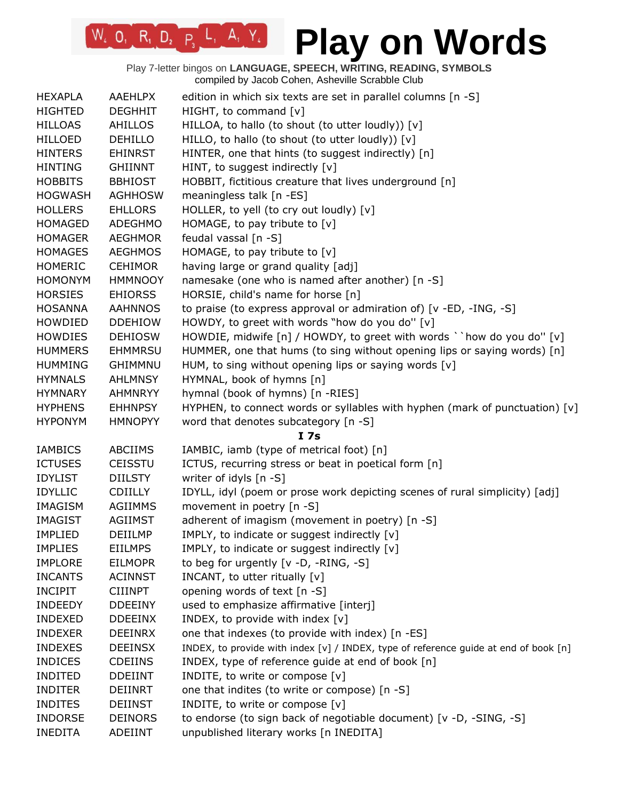| <b>HEXAPLA</b> | <b>AAEHLPX</b> | edition in which six texts are set in parallel columns [n -S]                        |
|----------------|----------------|--------------------------------------------------------------------------------------|
| <b>HIGHTED</b> | <b>DEGHHIT</b> | HIGHT, to command [v]                                                                |
| <b>HILLOAS</b> | <b>AHILLOS</b> | HILLOA, to hallo (to shout (to utter loudly)) [v]                                    |
| <b>HILLOED</b> | <b>DEHILLO</b> | HILLO, to hallo (to shout (to utter loudly)) [v]                                     |
| <b>HINTERS</b> | <b>EHINRST</b> | HINTER, one that hints (to suggest indirectly) [n]                                   |
| <b>HINTING</b> | <b>GHIINNT</b> | HINT, to suggest indirectly [v]                                                      |
| <b>HOBBITS</b> | <b>BBHIOST</b> | HOBBIT, fictitious creature that lives underground [n]                               |
| <b>HOGWASH</b> | <b>AGHHOSW</b> | meaningless talk [n -ES]                                                             |
| <b>HOLLERS</b> | <b>EHLLORS</b> | HOLLER, to yell (to cry out loudly) [v]                                              |
| <b>HOMAGED</b> | <b>ADEGHMO</b> | HOMAGE, to pay tribute to [v]                                                        |
| <b>HOMAGER</b> | <b>AEGHMOR</b> | feudal vassal [n -S]                                                                 |
| <b>HOMAGES</b> | <b>AEGHMOS</b> | HOMAGE, to pay tribute to [v]                                                        |
| <b>HOMERIC</b> | <b>CEHIMOR</b> | having large or grand quality [adj]                                                  |
| <b>HOMONYM</b> | <b>HMMNOOY</b> | namesake (one who is named after another) [n -S]                                     |
| <b>HORSIES</b> | <b>EHIORSS</b> | HORSIE, child's name for horse [n]                                                   |
| <b>HOSANNA</b> | <b>AAHNNOS</b> | to praise (to express approval or admiration of) $[v - ED, -ING, -S]$                |
| HOWDIED        | <b>DDEHIOW</b> | HOWDY, to greet with words "how do you do" [v]                                       |
| <b>HOWDIES</b> | <b>DEHIOSW</b> | HOWDIE, midwife [n] / HOWDY, to greet with words ` ` how do you do" [v]              |
| <b>HUMMERS</b> | <b>EHMMRSU</b> | HUMMER, one that hums (to sing without opening lips or saying words) [n]             |
| <b>HUMMING</b> | <b>GHIMMNU</b> | HUM, to sing without opening lips or saying words [v]                                |
| <b>HYMNALS</b> | <b>AHLMNSY</b> | HYMNAL, book of hymns [n]                                                            |
| <b>HYMNARY</b> | <b>AHMNRYY</b> | hymnal (book of hymns) [n -RIES]                                                     |
| <b>HYPHENS</b> | <b>EHHNPSY</b> | HYPHEN, to connect words or syllables with hyphen (mark of punctuation) [v]          |
|                |                |                                                                                      |
| <b>HYPONYM</b> | <b>HMNOPYY</b> | word that denotes subcategory [n -S]                                                 |
|                |                | I <sub>7s</sub>                                                                      |
| <b>IAMBICS</b> | <b>ABCIIMS</b> | IAMBIC, iamb (type of metrical foot) [n]                                             |
| <b>ICTUSES</b> | <b>CEISSTU</b> | ICTUS, recurring stress or beat in poetical form [n]                                 |
| <b>IDYLIST</b> | <b>DIILSTY</b> | writer of idyls [n -S]                                                               |
| <b>IDYLLIC</b> | <b>CDIILLY</b> | IDYLL, idyl (poem or prose work depicting scenes of rural simplicity) [adj]          |
| IMAGISM        | <b>AGIIMMS</b> | movement in poetry [n -S]                                                            |
| <b>IMAGIST</b> | <b>AGIIMST</b> | adherent of imagism (movement in poetry) [n -S]                                      |
| <b>IMPLIED</b> | DEIILMP        | IMPLY, to indicate or suggest indirectly [v]                                         |
| <b>IMPLIES</b> | <b>EIILMPS</b> | IMPLY, to indicate or suggest indirectly [v]                                         |
| <b>IMPLORE</b> | <b>EILMOPR</b> | to beg for urgently [v -D, -RING, -S]                                                |
| <b>INCANTS</b> | <b>ACINNST</b> | INCANT, to utter ritually [v]                                                        |
| <b>INCIPIT</b> | <b>CIIINPT</b> | opening words of text [n -S]                                                         |
| <b>INDEEDY</b> | <b>DDEEINY</b> | used to emphasize affirmative [interj]                                               |
| <b>INDEXED</b> | <b>DDEEINX</b> | INDEX, to provide with index [v]                                                     |
| <b>INDEXER</b> | <b>DEEINRX</b> | one that indexes (to provide with index) [n -ES]                                     |
| <b>INDEXES</b> | <b>DEEINSX</b> | INDEX, to provide with index [v] / INDEX, type of reference guide at end of book [n] |
| <b>INDICES</b> | <b>CDEIINS</b> | INDEX, type of reference guide at end of book [n]                                    |
| <b>INDITED</b> | <b>DDEIINT</b> | INDITE, to write or compose [v]                                                      |
| <b>INDITER</b> | DEIINRT        | one that indites (to write or compose) [n -S]                                        |
| <b>INDITES</b> | <b>DEIINST</b> | INDITE, to write or compose [v]                                                      |
| <b>INDORSE</b> | <b>DEINORS</b> | to endorse (to sign back of negotiable document) [v -D, -SING, -S]                   |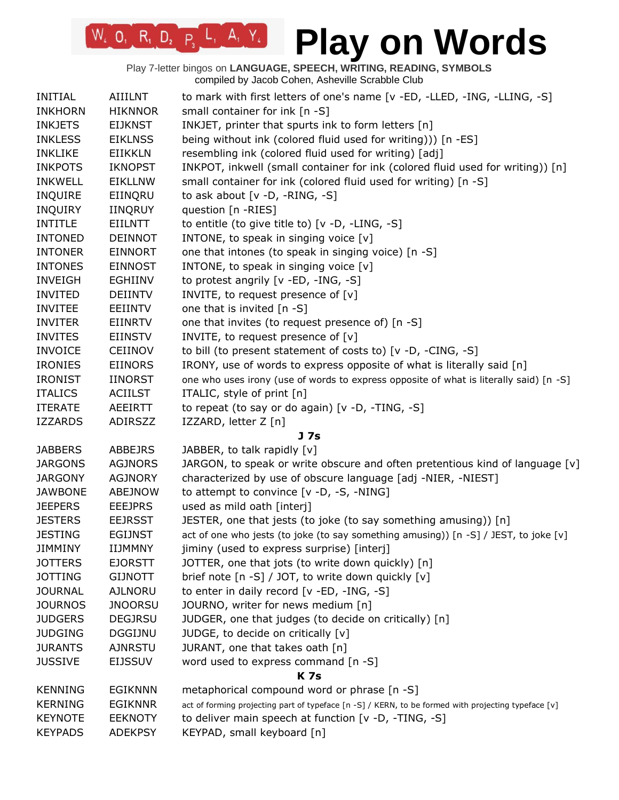| INITIAL        | <b>AIIILNT</b> | to mark with first letters of one's name [v -ED, -LLED, -ING, -LLING, -S]                           |
|----------------|----------------|-----------------------------------------------------------------------------------------------------|
| <b>INKHORN</b> | <b>HIKNNOR</b> | small container for ink [n -S]                                                                      |
| <b>INKJETS</b> | <b>EIJKNST</b> | INKJET, printer that spurts ink to form letters [n]                                                 |
| <b>INKLESS</b> | <b>EIKLNSS</b> | being without ink (colored fluid used for writing))) [n -ES]                                        |
| <b>INKLIKE</b> | <b>EIIKKLN</b> | resembling ink (colored fluid used for writing) [adj]                                               |
| <b>INKPOTS</b> | <b>IKNOPST</b> | INKPOT, inkwell (small container for ink (colored fluid used for writing)) [n]                      |
| <b>INKWELL</b> | <b>EIKLLNW</b> | small container for ink (colored fluid used for writing) [n -S]                                     |
| <b>INQUIRE</b> | EIINQRU        | to ask about $[v - D, -RING, -S]$                                                                   |
| <b>INQUIRY</b> | <b>IINQRUY</b> | question [n -RIES]                                                                                  |
| <b>INTITLE</b> | EIILNTT        | to entitle (to give title to) [v -D, -LING, -S]                                                     |
| <b>INTONED</b> | <b>DEINNOT</b> | INTONE, to speak in singing voice [v]                                                               |
| <b>INTONER</b> | <b>EINNORT</b> | one that intones (to speak in singing voice) [n -S]                                                 |
| <b>INTONES</b> | <b>EINNOST</b> | INTONE, to speak in singing voice [v]                                                               |
| <b>INVEIGH</b> | EGHIINV        | to protest angrily [v -ED, -ING, -S]                                                                |
| <b>INVITED</b> | <b>DEIINTV</b> | INVITE, to request presence of [v]                                                                  |
| <b>INVITEE</b> | EEIINTV        | one that is invited $[n - S]$                                                                       |
| <b>INVITER</b> | <b>EIINRTV</b> | one that invites (to request presence of) [n -S]                                                    |
| <b>INVITES</b> | <b>EIINSTV</b> | INVITE, to request presence of [v]                                                                  |
| <b>INVOICE</b> | <b>CEIINOV</b> | to bill (to present statement of costs to) [v -D, -CING, -S]                                        |
| <b>IRONIES</b> | <b>EIINORS</b> | IRONY, use of words to express opposite of what is literally said [n]                               |
| <b>IRONIST</b> | <b>IINORST</b> | one who uses irony (use of words to express opposite of what is literally said) [n -S]              |
| <b>ITALICS</b> | <b>ACIILST</b> | ITALIC, style of print [n]                                                                          |
| <b>ITERATE</b> | AEEIRTT        | to repeat (to say or do again) [v -D, -TING, -S]                                                    |
| <b>IZZARDS</b> | ADIRSZZ        | IZZARD, letter Z [n]                                                                                |
|                |                | J 7s                                                                                                |
| <b>JABBERS</b> | <b>ABBEJRS</b> | JABBER, to talk rapidly [v]                                                                         |
| <b>JARGONS</b> | <b>AGJNORS</b> | JARGON, to speak or write obscure and often pretentious kind of language [v]                        |
| <b>JARGONY</b> | <b>AGJNORY</b> | characterized by use of obscure language [adj -NIER, -NIEST]                                        |
| <b>JAWBONE</b> | <b>ABEJNOW</b> | to attempt to convince [v -D, -S, -NING]                                                            |
| <b>JEEPERS</b> | <b>EEEJPRS</b> | used as mild oath [interj]                                                                          |
| <b>JESTERS</b> | <b>EEJRSST</b> | JESTER, one that jests (to joke (to say something amusing)) [n]                                     |
| <b>JESTING</b> | <b>EGIJNST</b> | act of one who jests (to joke (to say something amusing)) [n -S] / JEST, to joke [v]                |
| <b>JIMMINY</b> | <b>IIJMMNY</b> | jiminy (used to express surprise) [interj]                                                          |
| <b>JOTTERS</b> | <b>EJORSTT</b> | JOTTER, one that jots (to write down quickly) [n]                                                   |
| <b>JOTTING</b> | <b>GIJNOTT</b> | brief note [n -S] / JOT, to write down quickly [v]                                                  |
| <b>JOURNAL</b> | <b>AJLNORU</b> | to enter in daily record [v -ED, -ING, -S]                                                          |
| <b>JOURNOS</b> | <b>JNOORSU</b> | JOURNO, writer for news medium [n]                                                                  |
| <b>JUDGERS</b> | <b>DEGJRSU</b> | JUDGER, one that judges (to decide on critically) [n]                                               |
| <b>JUDGING</b> | <b>DGGIJNU</b> | JUDGE, to decide on critically [v]                                                                  |
| <b>JURANTS</b> | <b>AJNRSTU</b> | JURANT, one that takes oath [n]                                                                     |
| <b>JUSSIVE</b> | EIJSSUV        | word used to express command [n -S]                                                                 |
|                |                | <b>K7s</b>                                                                                          |
| <b>KENNING</b> | <b>EGIKNNN</b> | metaphorical compound word or phrase [n -S]                                                         |
| <b>KERNING</b> | <b>EGIKNNR</b> | act of forming projecting part of typeface [n -S] / KERN, to be formed with projecting typeface [v] |
| <b>KEYNOTE</b> | <b>EEKNOTY</b> | to deliver main speech at function [v -D, -TING, -S]                                                |
| <b>KEYPADS</b> | <b>ADEKPSY</b> | KEYPAD, small keyboard [n]                                                                          |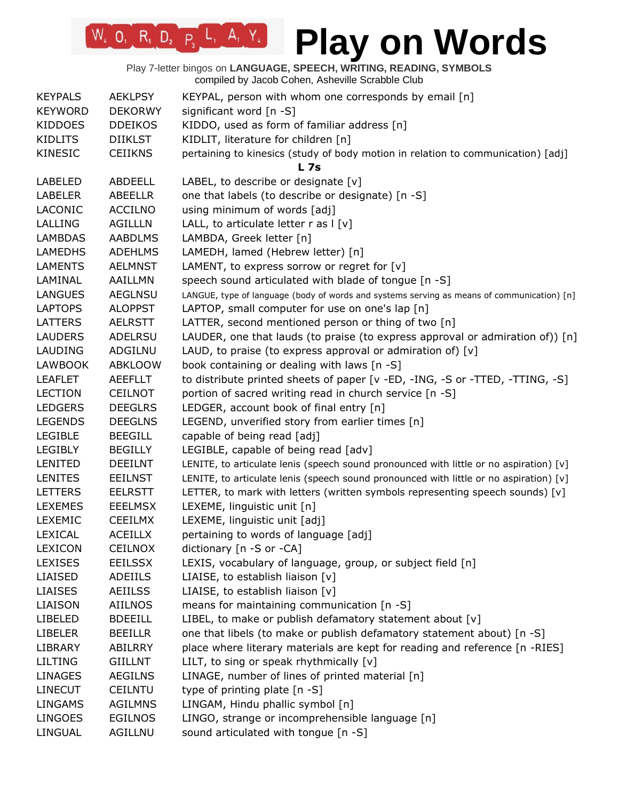Play 7-letter bingos on **LANGUAGE, SPEECH, WRITING, READING, SYMBOLS** compiled by Jacob Cohen, Asheville Scrabble Club

 $W_4$  O, R<sub>1</sub> D<sub>2</sub> P<sub>3</sub> L<sub>1</sub> A<sub>1</sub> Y<sub>4</sub>

| <b>KEYPALS</b> | <b>AEKLPSY</b> | KEYPAL, person with whom one corresponds by email [n]                                      |
|----------------|----------------|--------------------------------------------------------------------------------------------|
| <b>KEYWORD</b> | <b>DEKORWY</b> | significant word [n -S]                                                                    |
| <b>KIDDOES</b> | <b>DDEIKOS</b> | KIDDO, used as form of familiar address [n]                                                |
| <b>KIDLITS</b> | <b>DIIKLST</b> | KIDLIT, literature for children [n]                                                        |
| <b>KINESIC</b> | <b>CEIIKNS</b> | pertaining to kinesics (study of body motion in relation to communication) [adj]           |
|                |                | L 7s                                                                                       |
| <b>LABELED</b> | ABDEELL        | LABEL, to describe or designate [v]                                                        |
| <b>LABELER</b> | ABEELLR        | one that labels (to describe or designate) [n -S]                                          |
| LACONIC        | <b>ACCILNO</b> | using minimum of words [adj]                                                               |
| LALLING        | <b>AGILLLN</b> | LALL, to articulate letter $r$ as $ v $                                                    |
| <b>LAMBDAS</b> | <b>AABDLMS</b> | LAMBDA, Greek letter [n]                                                                   |
| <b>LAMEDHS</b> | <b>ADEHLMS</b> | LAMEDH, lamed (Hebrew letter) [n]                                                          |
| <b>LAMENTS</b> | <b>AELMNST</b> | LAMENT, to express sorrow or regret for [v]                                                |
| LAMINAL        | AAILLMN        | speech sound articulated with blade of tongue [n -S]                                       |
| <b>LANGUES</b> | <b>AEGLNSU</b> | LANGUE, type of language (body of words and systems serving as means of communication) [n] |
| <b>LAPTOPS</b> | <b>ALOPPST</b> | LAPTOP, small computer for use on one's lap [n]                                            |
| <b>LATTERS</b> | <b>AELRSTT</b> | LATTER, second mentioned person or thing of two [n]                                        |
| <b>LAUDERS</b> | ADELRSU        | LAUDER, one that lauds (to praise (to express approval or admiration of)) [n]              |
| LAUDING        | ADGILNU        | LAUD, to praise (to express approval or admiration of) $[v]$                               |
| <b>LAWBOOK</b> | <b>ABKLOOW</b> | book containing or dealing with laws [n -S]                                                |
| <b>LEAFLET</b> | <b>AEEFLLT</b> | to distribute printed sheets of paper [v -ED, -ING, -S or -TTED, -TTING, -S]               |
| <b>LECTION</b> | <b>CEILNOT</b> | portion of sacred writing read in church service [n -S]                                    |
| <b>LEDGERS</b> | <b>DEEGLRS</b> | LEDGER, account book of final entry [n]                                                    |
| <b>LEGENDS</b> | <b>DEEGLNS</b> | LEGEND, unverified story from earlier times [n]                                            |
| <b>LEGIBLE</b> | <b>BEEGILL</b> | capable of being read [adj]                                                                |
| <b>LEGIBLY</b> | <b>BEGILLY</b> | LEGIBLE, capable of being read [adv]                                                       |
| LENITED        | <b>DEEILNT</b> | LENITE, to articulate lenis (speech sound pronounced with little or no aspiration) [v]     |
| <b>LENITES</b> | <b>EEILNST</b> | LENITE, to articulate lenis (speech sound pronounced with little or no aspiration) [v]     |
| <b>LETTERS</b> | <b>EELRSTT</b> | LETTER, to mark with letters (written symbols representing speech sounds) $[v]$            |
| <b>LEXEMES</b> | <b>EEELMSX</b> | LEXEME, linguistic unit [n]                                                                |
| <b>LEXEMIC</b> | <b>CEEILMX</b> | LEXEME, linguistic unit [adj]                                                              |
| LEXICAL        | <b>ACEILLX</b> | pertaining to words of language [adj]                                                      |
| <b>LEXICON</b> | <b>CEILNOX</b> | dictionary [n -S or -CA]                                                                   |
| <b>LEXISES</b> | <b>EEILSSX</b> | LEXIS, vocabulary of language, group, or subject field [n]                                 |
| LIAISED        | ADEIILS        | LIAISE, to establish liaison [v]                                                           |
| <b>LIAISES</b> | <b>AEIILSS</b> | LIAISE, to establish liaison [v]                                                           |
| LIAISON        | AIILNOS        | means for maintaining communication [n -S]                                                 |
| <b>LIBELED</b> | <b>BDEEILL</b> | LIBEL, to make or publish defamatory statement about [v]                                   |
| <b>LIBELER</b> | <b>BEEILLR</b> | one that libels (to make or publish defamatory statement about) [n -S]                     |
| LIBRARY        | ABILRRY        | place where literary materials are kept for reading and reference [n -RIES]                |
|                |                |                                                                                            |
| <b>LILTING</b> | <b>GIILLNT</b> | LILT, to sing or speak rhythmically $[v]$                                                  |
| <b>LINAGES</b> | <b>AEGILNS</b> | LINAGE, number of lines of printed material [n]                                            |
| <b>LINECUT</b> | <b>CEILNTU</b> | type of printing plate [n -S]                                                              |
| <b>LINGAMS</b> | <b>AGILMNS</b> | LINGAM, Hindu phallic symbol [n]                                                           |
| <b>LINGOES</b> | <b>EGILNOS</b> | LINGO, strange or incomprehensible language [n]                                            |
| LINGUAL        | AGILLNU        | sound articulated with tongue [n -S]                                                       |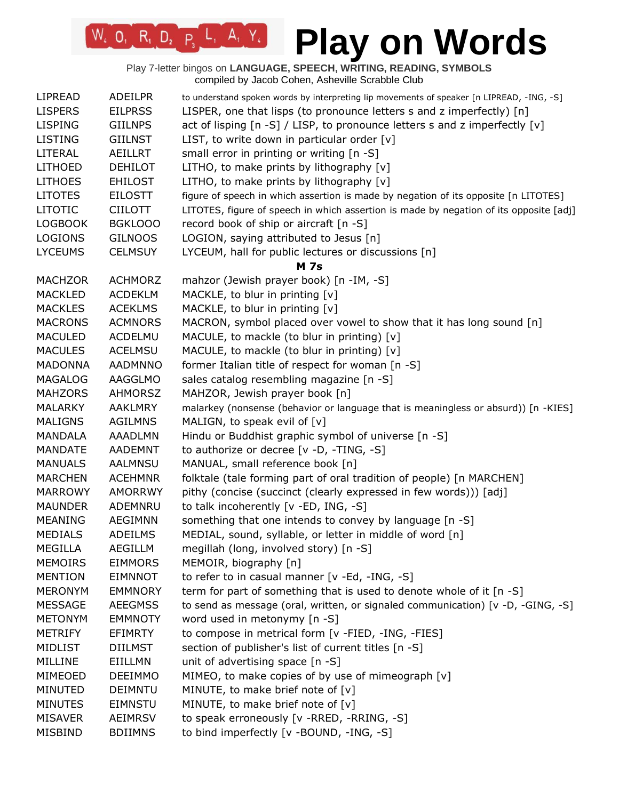# **Play on Words**

| LIPREAD        | <b>ADEILPR</b> | to understand spoken words by interpreting lip movements of speaker [n LIPREAD, -ING, -S] |
|----------------|----------------|-------------------------------------------------------------------------------------------|
| <b>LISPERS</b> | <b>EILPRSS</b> | LISPER, one that lisps (to pronounce letters s and z imperfectly) [n]                     |
| <b>LISPING</b> | <b>GIILNPS</b> | act of lisping [n -S] / LISP, to pronounce letters s and z imperfectly [v]                |
| <b>LISTING</b> | <b>GIILNST</b> | LIST, to write down in particular order $[v]$                                             |
| LITERAL        | <b>AEILLRT</b> | small error in printing or writing [n -S]                                                 |
| <b>LITHOED</b> | <b>DEHILOT</b> | LITHO, to make prints by lithography [v]                                                  |
| <b>LITHOES</b> | <b>EHILOST</b> | LITHO, to make prints by lithography [v]                                                  |
| <b>LITOTES</b> | <b>EILOSTT</b> | figure of speech in which assertion is made by negation of its opposite [n LITOTES]       |
| <b>LITOTIC</b> | <b>CIILOTT</b> | LITOTES, figure of speech in which assertion is made by negation of its opposite [adj]    |
| <b>LOGBOOK</b> | BGKLOOO        | record book of ship or aircraft [n -S]                                                    |
| <b>LOGIONS</b> | <b>GILNOOS</b> | LOGION, saying attributed to Jesus [n]                                                    |
| <b>LYCEUMS</b> | <b>CELMSUY</b> | LYCEUM, hall for public lectures or discussions [n]                                       |
|                |                | <b>M</b> 7s                                                                               |
| <b>MACHZOR</b> | <b>ACHMORZ</b> | mahzor (Jewish prayer book) [n -IM, -S]                                                   |
| <b>MACKLED</b> | <b>ACDEKLM</b> | MACKLE, to blur in printing [v]                                                           |
| <b>MACKLES</b> | <b>ACEKLMS</b> | MACKLE, to blur in printing [v]                                                           |
| <b>MACRONS</b> | <b>ACMNORS</b> | MACRON, symbol placed over vowel to show that it has long sound [n]                       |
| <b>MACULED</b> | ACDELMU        | MACULE, to mackle (to blur in printing) [v]                                               |
| <b>MACULES</b> | <b>ACELMSU</b> | MACULE, to mackle (to blur in printing) [v]                                               |
| <b>MADONNA</b> | <b>AADMNNO</b> | former Italian title of respect for woman [n -S]                                          |
| <b>MAGALOG</b> | AAGGLMO        | sales catalog resembling magazine [n -S]                                                  |
| <b>MAHZORS</b> | <b>AHMORSZ</b> | MAHZOR, Jewish prayer book [n]                                                            |
| <b>MALARKY</b> | <b>AAKLMRY</b> | malarkey (nonsense (behavior or language that is meaningless or absurd)) [n -KIES]        |
| <b>MALIGNS</b> | <b>AGILMNS</b> | MALIGN, to speak evil of [v]                                                              |
| <b>MANDALA</b> | <b>AAADLMN</b> | Hindu or Buddhist graphic symbol of universe [n -S]                                       |
| <b>MANDATE</b> | <b>AADEMNT</b> | to authorize or decree [v -D, -TING, -S]                                                  |
| <b>MANUALS</b> | AALMNSU        | MANUAL, small reference book [n]                                                          |
| <b>MARCHEN</b> | <b>ACEHMNR</b> | folktale (tale forming part of oral tradition of people) [n MARCHEN]                      |
| <b>MARROWY</b> | <b>AMORRWY</b> | pithy (concise (succinct (clearly expressed in few words))) [adj]                         |
| <b>MAUNDER</b> | ADEMNRU        | to talk incoherently [v -ED, ING, -S]                                                     |
| <b>MEANING</b> | <b>AEGIMNN</b> | something that one intends to convey by language [n -S]                                   |
| <b>MEDIALS</b> | <b>ADEILMS</b> | MEDIAL, sound, syllable, or letter in middle of word [n]                                  |
| <b>MEGILLA</b> | AEGILLM        | megillah (long, involved story) [n -S]                                                    |
| <b>MEMOIRS</b> | <b>EIMMORS</b> | MEMOIR, biography [n]                                                                     |
| <b>MENTION</b> | <b>EIMNNOT</b> | to refer to in casual manner [v -Ed, -ING, -S]                                            |
| <b>MERONYM</b> | <b>EMMNORY</b> | term for part of something that is used to denote whole of it [n -S]                      |
| <b>MESSAGE</b> | <b>AEEGMSS</b> | to send as message (oral, written, or signaled communication) [v -D, -GING, -S]           |
| <b>METONYM</b> | <b>EMMNOTY</b> | word used in metonymy [n -S]                                                              |
| <b>METRIFY</b> | <b>EFIMRTY</b> | to compose in metrical form [v -FIED, -ING, -FIES]                                        |
| <b>MIDLIST</b> | <b>DIILMST</b> | section of publisher's list of current titles [n -S]                                      |
| MILLINE        | EIILLMN        | unit of advertising space [n -S]                                                          |
| MIMEOED        | <b>DEEIMMO</b> | MIMEO, to make copies of by use of mimeograph [v]                                         |
| <b>MINUTED</b> | <b>DEIMNTU</b> | MINUTE, to make brief note of [v]                                                         |
| <b>MINUTES</b> | <b>EIMNSTU</b> | MINUTE, to make brief note of [v]                                                         |
| <b>MISAVER</b> | <b>AEIMRSV</b> | to speak erroneously [v -RRED, -RRING, -S]                                                |
| <b>MISBIND</b> | <b>BDIIMNS</b> | to bind imperfectly [v -BOUND, -ING, -S]                                                  |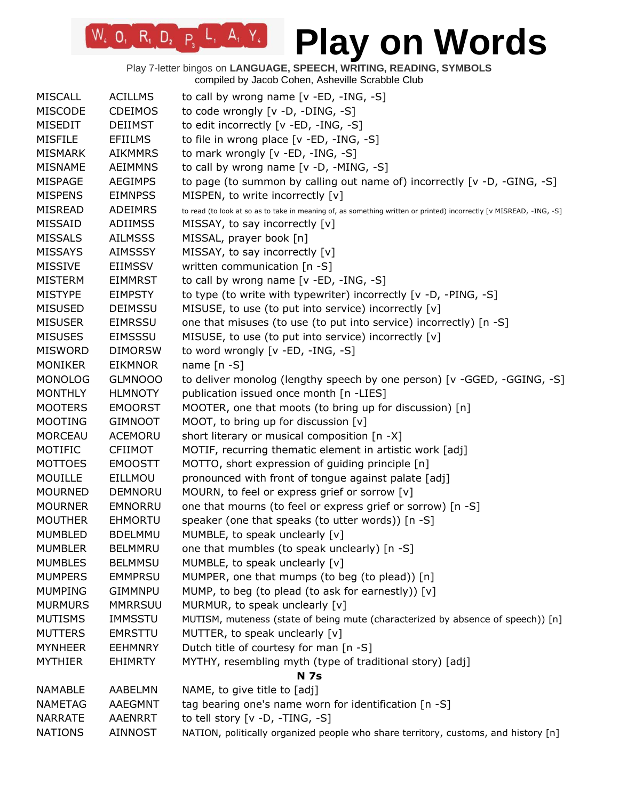Play 7-letter bingos on **LANGUAGE, SPEECH, WRITING, READING, SYMBOLS** compiled by Jacob Cohen, Asheville Scrabble Club

 $W_2$  O<sub>1</sub> R<sub>1</sub> D<sub>2</sub> P<sub>3</sub> L<sub>1</sub> A<sub>1</sub> Y<sub>4</sub>

| <b>MISCALL</b> | <b>ACILLMS</b> | to call by wrong name $[v - ED, -ING, -S]$                                                                          |
|----------------|----------------|---------------------------------------------------------------------------------------------------------------------|
| <b>MISCODE</b> | <b>CDEIMOS</b> | to code wrongly [v -D, -DING, -S]                                                                                   |
| MISEDIT        | <b>DEIIMST</b> | to edit incorrectly [v -ED, -ING, -S]                                                                               |
| <b>MISFILE</b> | <b>EFIILMS</b> | to file in wrong place [v -ED, -ING, -S]                                                                            |
| <b>MISMARK</b> | <b>AIKMMRS</b> | to mark wrongly [v -ED, -ING, -S]                                                                                   |
| <b>MISNAME</b> | <b>AEIMMNS</b> | to call by wrong name [v -D, -MING, -S]                                                                             |
| <b>MISPAGE</b> | <b>AEGIMPS</b> | to page (to summon by calling out name of) incorrectly $[v -D, -GING, -S]$                                          |
| <b>MISPENS</b> | <b>EIMNPSS</b> | MISPEN, to write incorrectly [v]                                                                                    |
| <b>MISREAD</b> | <b>ADEIMRS</b> | to read (to look at so as to take in meaning of, as something written or printed) incorrectly [v MISREAD, -ING, -S] |
| <b>MISSAID</b> | <b>ADIIMSS</b> | MISSAY, to say incorrectly [v]                                                                                      |
| <b>MISSALS</b> | <b>AILMSSS</b> | MISSAL, prayer book [n]                                                                                             |
| <b>MISSAYS</b> | <b>AIMSSSY</b> | MISSAY, to say incorrectly [v]                                                                                      |
| <b>MISSIVE</b> | <b>EIIMSSV</b> | written communication [n -S]                                                                                        |
| <b>MISTERM</b> | <b>EIMMRST</b> | to call by wrong name [v -ED, -ING, -S]                                                                             |
| <b>MISTYPE</b> | <b>EIMPSTY</b> | to type (to write with typewriter) incorrectly [v -D, -PING, -S]                                                    |
| <b>MISUSED</b> | <b>DEIMSSU</b> | MISUSE, to use (to put into service) incorrectly [v]                                                                |
| <b>MISUSER</b> | <b>EIMRSSU</b> | one that misuses (to use (to put into service) incorrectly) [n -S]                                                  |
| <b>MISUSES</b> | <b>EIMSSSU</b> | MISUSE, to use (to put into service) incorrectly [v]                                                                |
| <b>MISWORD</b> | <b>DIMORSW</b> | to word wrongly [v -ED, -ING, -S]                                                                                   |
| <b>MONIKER</b> | <b>EIKMNOR</b> | name $[n - S]$                                                                                                      |
| <b>MONOLOG</b> | <b>GLMNOOO</b> | to deliver monolog (lengthy speech by one person) [v -GGED, -GGING, -S]                                             |
| <b>MONTHLY</b> | <b>HLMNOTY</b> | publication issued once month [n -LIES]                                                                             |
| <b>MOOTERS</b> | <b>EMOORST</b> | MOOTER, one that moots (to bring up for discussion) [n]                                                             |
| <b>MOOTING</b> | <b>GIMNOOT</b> | MOOT, to bring up for discussion [v]                                                                                |
| <b>MORCEAU</b> | ACEMORU        | short literary or musical composition [n -X]                                                                        |
| MOTIFIC        | <b>CFIIMOT</b> | MOTIF, recurring thematic element in artistic work [adj]                                                            |
| <b>MOTTOES</b> | <b>EMOOSTT</b> | MOTTO, short expression of guiding principle [n]                                                                    |
| <b>MOUILLE</b> | EILLMOU        | pronounced with front of tongue against palate [adj]                                                                |
| <b>MOURNED</b> | DEMNORU        | MOURN, to feel or express grief or sorrow [v]                                                                       |
| <b>MOURNER</b> | EMNORRU        | one that mourns (to feel or express grief or sorrow) [n -S]                                                         |
| <b>MOUTHER</b> | <b>EHMORTU</b> | speaker (one that speaks (to utter words)) [n -S]                                                                   |
| <b>MUMBLED</b> | <b>BDELMMU</b> | MUMBLE, to speak unclearly [v]                                                                                      |
| <b>MUMBLER</b> | <b>BELMMRU</b> | one that mumbles (to speak unclearly) [n -S]                                                                        |
| <b>MUMBLES</b> | <b>BELMMSU</b> | MUMBLE, to speak unclearly [v]                                                                                      |
| <b>MUMPERS</b> | <b>EMMPRSU</b> | MUMPER, one that mumps (to beg (to plead)) [n]                                                                      |
| <b>MUMPING</b> | <b>GIMMNPU</b> | MUMP, to beg (to plead (to ask for earnestly)) [v]                                                                  |
| <b>MURMURS</b> | <b>MMRRSUU</b> | MURMUR, to speak unclearly [v]                                                                                      |
| <b>MUTISMS</b> | <b>IMMSSTU</b> | MUTISM, muteness (state of being mute (characterized by absence of speech)) [n]                                     |
| <b>MUTTERS</b> | <b>EMRSTTU</b> | MUTTER, to speak unclearly [v]                                                                                      |
| <b>MYNHEER</b> | <b>EEHMNRY</b> | Dutch title of courtesy for man [n -S]                                                                              |
| <b>MYTHIER</b> | <b>EHIMRTY</b> | MYTHY, resembling myth (type of traditional story) [adj]                                                            |
|                |                | <b>N</b> 7s                                                                                                         |
| <b>NAMABLE</b> | AABELMN        | NAME, to give title to [adj]                                                                                        |
| <b>NAMETAG</b> | <b>AAEGMNT</b> | tag bearing one's name worn for identification [n -S]                                                               |
| <b>NARRATE</b> | <b>AAENRRT</b> | to tell story $[v - D, -TING, -S]$                                                                                  |
| <b>NATIONS</b> | <b>AINNOST</b> | NATION, politically organized people who share territory, customs, and history [n]                                  |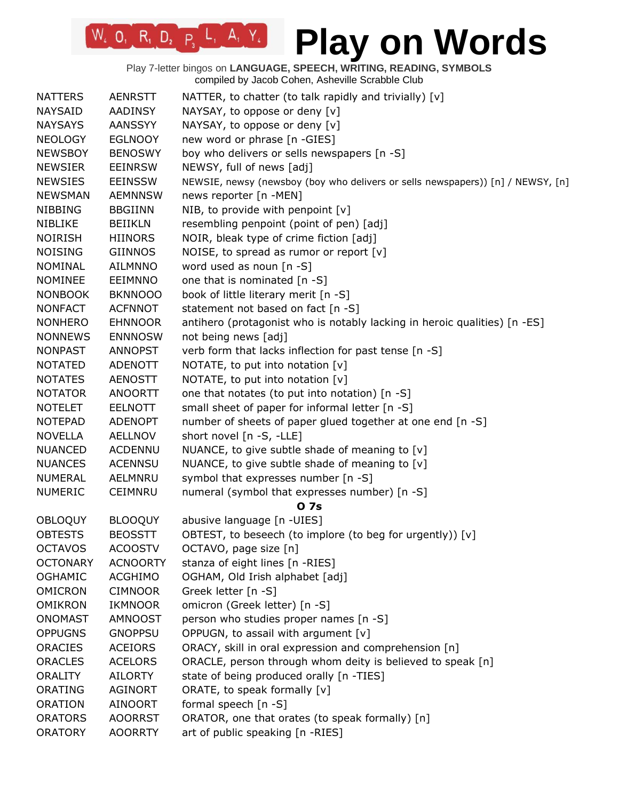Play 7-letter bingos on **LANGUAGE, SPEECH, WRITING, READING, SYMBOLS** compiled by Jacob Cohen, Asheville Scrabble Club

 $W_4$  0, R<sub>1</sub> D<sub>2</sub> P<sub>3</sub> L<sub>1</sub> A<sub>1</sub> Y<sub>4</sub>

| <b>NATTERS</b>  | <b>AENRSTT</b>  | NATTER, to chatter (to talk rapidly and trivially) [v]                          |
|-----------------|-----------------|---------------------------------------------------------------------------------|
| <b>NAYSAID</b>  | <b>AADINSY</b>  | NAYSAY, to oppose or deny [v]                                                   |
| <b>NAYSAYS</b>  | <b>AANSSYY</b>  | NAYSAY, to oppose or deny [v]                                                   |
| <b>NEOLOGY</b>  | <b>EGLNOOY</b>  | new word or phrase [n -GIES]                                                    |
| <b>NEWSBOY</b>  | <b>BENOSWY</b>  | boy who delivers or sells newspapers [n -S]                                     |
| <b>NEWSIER</b>  | <b>EEINRSW</b>  | NEWSY, full of news [adj]                                                       |
| <b>NEWSIES</b>  | <b>EEINSSW</b>  | NEWSIE, newsy (newsboy (boy who delivers or sells newspapers)) [n] / NEWSY, [n] |
| <b>NEWSMAN</b>  | <b>AEMNNSW</b>  | news reporter [n -MEN]                                                          |
| <b>NIBBING</b>  | <b>BBGIINN</b>  | NIB, to provide with penpoint [v]                                               |
| <b>NIBLIKE</b>  | <b>BEIIKLN</b>  | resembling penpoint (point of pen) [adj]                                        |
| <b>NOIRISH</b>  | <b>HIINORS</b>  | NOIR, bleak type of crime fiction [adj]                                         |
| <b>NOISING</b>  | <b>GIINNOS</b>  | NOISE, to spread as rumor or report [v]                                         |
| <b>NOMINAL</b>  | <b>AILMNNO</b>  | word used as noun [n -S]                                                        |
| <b>NOMINEE</b>  | <b>EEIMNNO</b>  | one that is nominated [n -S]                                                    |
| <b>NONBOOK</b>  | <b>BKNNOOO</b>  | book of little literary merit [n -S]                                            |
| <b>NONFACT</b>  | <b>ACFNNOT</b>  | statement not based on fact [n -S]                                              |
| <b>NONHERO</b>  | <b>EHNNOOR</b>  | antihero (protagonist who is notably lacking in heroic qualities) [n -ES]       |
| <b>NONNEWS</b>  | <b>ENNNOSW</b>  | not being news [adj]                                                            |
| <b>NONPAST</b>  | <b>ANNOPST</b>  | verb form that lacks inflection for past tense [n -S]                           |
| <b>NOTATED</b>  | ADENOTT         | NOTATE, to put into notation [v]                                                |
| <b>NOTATES</b>  | <b>AENOSTT</b>  | NOTATE, to put into notation [v]                                                |
| <b>NOTATOR</b>  | <b>ANOORTT</b>  | one that notates (to put into notation) [n -S]                                  |
| <b>NOTELET</b>  | <b>EELNOTT</b>  | small sheet of paper for informal letter [n -S]                                 |
| <b>NOTEPAD</b>  | <b>ADENOPT</b>  | number of sheets of paper glued together at one end [n -S]                      |
| <b>NOVELLA</b>  | <b>AELLNOV</b>  | short novel [n -S, -LLE]                                                        |
| <b>NUANCED</b>  | <b>ACDENNU</b>  | NUANCE, to give subtle shade of meaning to $[v]$                                |
| <b>NUANCES</b>  | <b>ACENNSU</b>  | NUANCE, to give subtle shade of meaning to [v]                                  |
| <b>NUMERAL</b>  | AELMNRU         | symbol that expresses number [n -S]                                             |
| <b>NUMERIC</b>  | <b>CEIMNRU</b>  | numeral (symbol that expresses number) [n -S]                                   |
|                 |                 | 0 7s                                                                            |
| <b>OBLOQUY</b>  | <b>BLOOQUY</b>  | abusive language [n -UIES]                                                      |
| <b>OBTESTS</b>  | <b>BEOSSTT</b>  | OBTEST, to beseech (to implore (to beg for urgently)) [v]                       |
| <b>OCTAVOS</b>  | <b>ACOOSTV</b>  | OCTAVO, page size [n]                                                           |
| <b>OCTONARY</b> | <b>ACNOORTY</b> | stanza of eight lines [n -RIES]                                                 |
| <b>OGHAMIC</b>  | <b>ACGHIMO</b>  | OGHAM, Old Irish alphabet [adj]                                                 |
| <b>OMICRON</b>  | <b>CIMNOOR</b>  | Greek letter [n -S]                                                             |
| <b>OMIKRON</b>  | IKMNOOR         | omicron (Greek letter) [n -S]                                                   |
| <b>ONOMAST</b>  | <b>AMNOOST</b>  | person who studies proper names [n -S]                                          |
| <b>OPPUGNS</b>  | <b>GNOPPSU</b>  | OPPUGN, to assail with argument [v]                                             |
| <b>ORACIES</b>  | <b>ACEIORS</b>  | ORACY, skill in oral expression and comprehension [n]                           |
| <b>ORACLES</b>  | <b>ACELORS</b>  | ORACLE, person through whom deity is believed to speak [n]                      |
| <b>ORALITY</b>  | <b>AILORTY</b>  | state of being produced orally [n -TIES]                                        |
| ORATING         | <b>AGINORT</b>  | ORATE, to speak formally [v]                                                    |
| <b>ORATION</b>  | <b>AINOORT</b>  | formal speech $[n - S]$                                                         |
| <b>ORATORS</b>  | <b>AOORRST</b>  | ORATOR, one that orates (to speak formally) [n]                                 |
| <b>ORATORY</b>  | <b>AOORRTY</b>  | art of public speaking [n -RIES]                                                |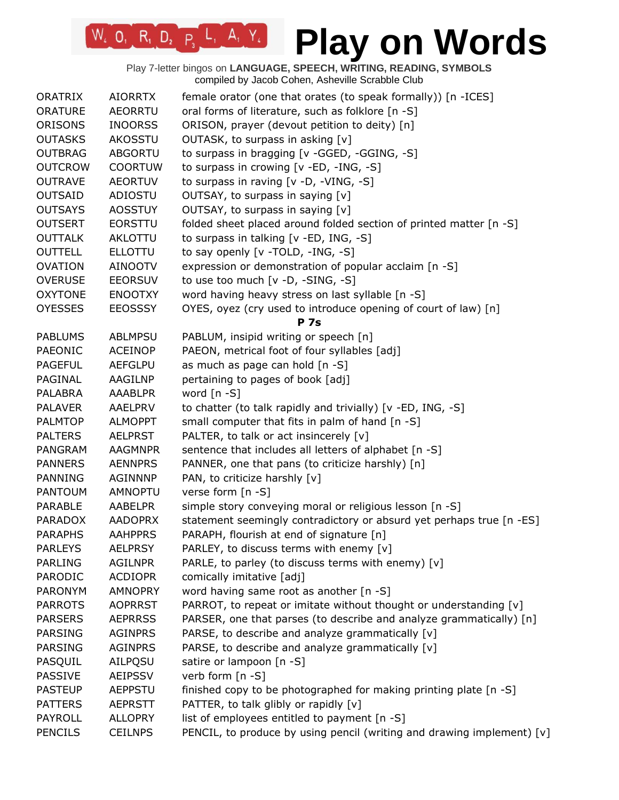Play 7-letter bingos on **LANGUAGE, SPEECH, WRITING, READING, SYMBOLS** compiled by Jacob Cohen, Asheville Scrabble Club

 $W_2$  O, R<sub>1</sub> D<sub>2</sub> P<sub>3</sub> L<sub>1</sub> A<sub>1</sub> Y<sub>4</sub>

| <b>ORATRIX</b> | <b>AIORRTX</b> | female orator (one that orates (to speak formally)) [n -ICES]          |
|----------------|----------------|------------------------------------------------------------------------|
| <b>ORATURE</b> | <b>AEORRTU</b> | oral forms of literature, such as folklore [n -S]                      |
| ORISONS        | <b>INOORSS</b> | ORISON, prayer (devout petition to deity) [n]                          |
| <b>OUTASKS</b> | <b>AKOSSTU</b> | OUTASK, to surpass in asking [v]                                       |
| <b>OUTBRAG</b> | <b>ABGORTU</b> | to surpass in bragging [v -GGED, -GGING, -S]                           |
| <b>OUTCROW</b> | <b>COORTUW</b> | to surpass in crowing [v -ED, -ING, -S]                                |
| <b>OUTRAVE</b> | <b>AEORTUV</b> | to surpass in raving [v -D, -VING, -S]                                 |
| <b>OUTSAID</b> | ADIOSTU        | OUTSAY, to surpass in saying [v]                                       |
| <b>OUTSAYS</b> | <b>AOSSTUY</b> | OUTSAY, to surpass in saying [v]                                       |
| <b>OUTSERT</b> | <b>EORSTTU</b> | folded sheet placed around folded section of printed matter [n -S]     |
| <b>OUTTALK</b> | AKLOTTU        | to surpass in talking [v -ED, ING, -S]                                 |
| <b>OUTTELL</b> | <b>ELLOTTU</b> | to say openly [v -TOLD, -ING, -S]                                      |
| <b>OVATION</b> | <b>AINOOTV</b> | expression or demonstration of popular acclaim [n -S]                  |
| <b>OVERUSE</b> | <b>EEORSUV</b> | to use too much [v -D, -SING, -S]                                      |
| <b>OXYTONE</b> | <b>ENOOTXY</b> | word having heavy stress on last syllable [n -S]                       |
| <b>OYESSES</b> | <b>EEOSSSY</b> | OYES, oyez (cry used to introduce opening of court of law) [n]         |
|                |                | <b>P</b> 7s                                                            |
| <b>PABLUMS</b> | <b>ABLMPSU</b> | PABLUM, insipid writing or speech [n]                                  |
| PAEONIC        | <b>ACEINOP</b> | PAEON, metrical foot of four syllables [adj]                           |
| <b>PAGEFUL</b> | <b>AEFGLPU</b> | as much as page can hold [n -S]                                        |
| PAGINAL        | AAGILNP        | pertaining to pages of book [adj]                                      |
| <b>PALABRA</b> | <b>AAABLPR</b> | word $[n - S]$                                                         |
| <b>PALAVER</b> | <b>AAELPRV</b> | to chatter (to talk rapidly and trivially) [v -ED, ING, -S]            |
| <b>PALMTOP</b> | <b>ALMOPPT</b> | small computer that fits in palm of hand [n -S]                        |
| <b>PALTERS</b> | <b>AELPRST</b> | PALTER, to talk or act insincerely [v]                                 |
| <b>PANGRAM</b> | <b>AAGMNPR</b> | sentence that includes all letters of alphabet [n -S]                  |
| <b>PANNERS</b> | <b>AENNPRS</b> | PANNER, one that pans (to criticize harshly) [n]                       |
| <b>PANNING</b> | <b>AGINNNP</b> | PAN, to criticize harshly [v]                                          |
| <b>PANTOUM</b> | <b>AMNOPTU</b> | verse form [n -S]                                                      |
| PARABLE        | AABELPR        | simple story conveying moral or religious lesson [n -S]                |
| <b>PARADOX</b> | <b>AADOPRX</b> | statement seemingly contradictory or absurd yet perhaps true [n -ES]   |
| <b>PARAPHS</b> | <b>AAHPPRS</b> | PARAPH, flourish at end of signature [n]                               |
| <b>PARLEYS</b> | <b>AELPRSY</b> | PARLEY, to discuss terms with enemy [v]                                |
| <b>PARLING</b> | <b>AGILNPR</b> | PARLE, to parley (to discuss terms with enemy) [v]                     |
| PARODIC        | <b>ACDIOPR</b> | comically imitative [adj]                                              |
| PARONYM        | <b>AMNOPRY</b> | word having same root as another [n -S]                                |
| <b>PARROTS</b> | <b>AOPRRST</b> | PARROT, to repeat or imitate without thought or understanding [v]      |
| <b>PARSERS</b> | <b>AEPRRSS</b> | PARSER, one that parses (to describe and analyze grammatically) [n]    |
| <b>PARSING</b> | <b>AGINPRS</b> | PARSE, to describe and analyze grammatically [v]                       |
| <b>PARSING</b> | <b>AGINPRS</b> | PARSE, to describe and analyze grammatically [v]                       |
| PASQUIL        | <b>AILPQSU</b> | satire or lampoon [n -S]                                               |
| <b>PASSIVE</b> | <b>AEIPSSV</b> | verb form [n -S]                                                       |
| <b>PASTEUP</b> | <b>AEPPSTU</b> | finished copy to be photographed for making printing plate [n -S]      |
| <b>PATTERS</b> | <b>AEPRSTT</b> | PATTER, to talk glibly or rapidly [v]                                  |
| <b>PAYROLL</b> | <b>ALLOPRY</b> | list of employees entitled to payment [n -S]                           |
| <b>PENCILS</b> | <b>CEILNPS</b> | PENCIL, to produce by using pencil (writing and drawing implement) [v] |
|                |                |                                                                        |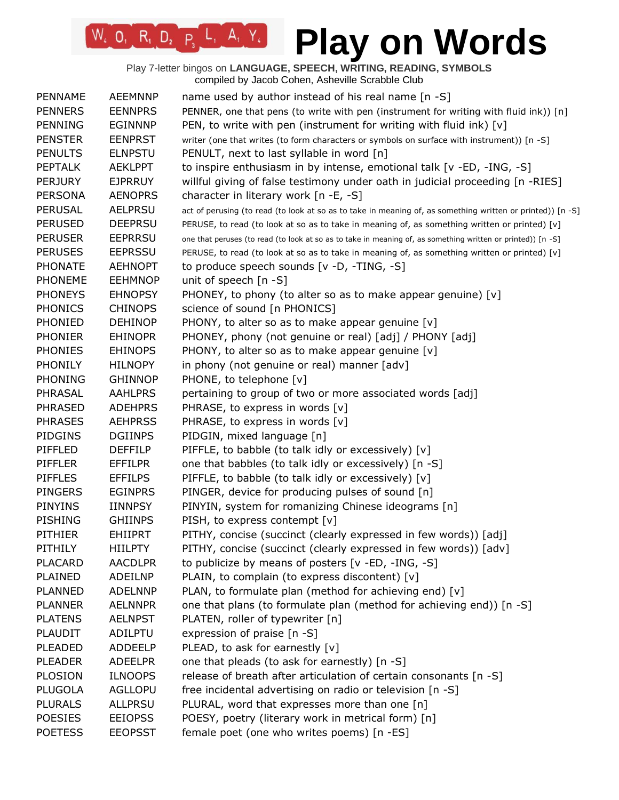Play 7-letter bingos on **LANGUAGE, SPEECH, WRITING, READING, SYMBOLS** compiled by Jacob Cohen, Asheville Scrabble Club

 $W_4$  O, R<sub>1</sub> D<sub>2</sub> P<sub>3</sub> L<sub>1</sub> A<sub>1</sub> Y<sub>4</sub>

| PENNAME        | <b>AEEMNNP</b> | name used by author instead of his real name [n -S]                                                         |
|----------------|----------------|-------------------------------------------------------------------------------------------------------------|
| <b>PENNERS</b> | <b>EENNPRS</b> | PENNER, one that pens (to write with pen (instrument for writing with fluid ink)) [n]                       |
| <b>PENNING</b> | <b>EGINNNP</b> | PEN, to write with pen (instrument for writing with fluid ink) $[v]$                                        |
| <b>PENSTER</b> | <b>EENPRST</b> | writer (one that writes (to form characters or symbols on surface with instrument)) [n -S]                  |
| <b>PENULTS</b> | <b>ELNPSTU</b> | PENULT, next to last syllable in word [n]                                                                   |
| <b>PEPTALK</b> | <b>AEKLPPT</b> | to inspire enthusiasm in by intense, emotional talk [v -ED, -ING, -S]                                       |
| <b>PERJURY</b> | <b>EJPRRUY</b> | willful giving of false testimony under oath in judicial proceeding [n -RIES]                               |
| <b>PERSONA</b> | <b>AENOPRS</b> | character in literary work [n -E, -S]                                                                       |
| <b>PERUSAL</b> | <b>AELPRSU</b> | act of perusing (to read (to look at so as to take in meaning of, as something written or printed)) [n -S]  |
| <b>PERUSED</b> | <b>DEEPRSU</b> | PERUSE, to read (to look at so as to take in meaning of, as something written or printed) [v]               |
| <b>PERUSER</b> | <b>EEPRRSU</b> | one that peruses (to read (to look at so as to take in meaning of, as something written or printed)) [n -S] |
| <b>PERUSES</b> | <b>EEPRSSU</b> | PERUSE, to read (to look at so as to take in meaning of, as something written or printed) [v]               |
| <b>PHONATE</b> | <b>AEHNOPT</b> | to produce speech sounds [v -D, -TING, -S]                                                                  |
| <b>PHONEME</b> | <b>EEHMNOP</b> | unit of speech $[n - S]$                                                                                    |
| <b>PHONEYS</b> | <b>EHNOPSY</b> | PHONEY, to phony (to alter so as to make appear genuine) [v]                                                |
| <b>PHONICS</b> | <b>CHINOPS</b> | science of sound [n PHONICS]                                                                                |
| PHONIED        | <b>DEHINOP</b> | PHONY, to alter so as to make appear genuine [v]                                                            |
| <b>PHONIER</b> | <b>EHINOPR</b> | PHONEY, phony (not genuine or real) [adj] / PHONY [adj]                                                     |
| <b>PHONIES</b> | <b>EHINOPS</b> | PHONY, to alter so as to make appear genuine [v]                                                            |
| <b>PHONILY</b> | <b>HILNOPY</b> | in phony (not genuine or real) manner [adv]                                                                 |
| <b>PHONING</b> | <b>GHINNOP</b> | PHONE, to telephone [v]                                                                                     |
| PHRASAL        | <b>AAHLPRS</b> | pertaining to group of two or more associated words [adj]                                                   |
| <b>PHRASED</b> | <b>ADEHPRS</b> | PHRASE, to express in words [v]                                                                             |
| <b>PHRASES</b> | <b>AEHPRSS</b> | PHRASE, to express in words [v]                                                                             |
| <b>PIDGINS</b> | <b>DGIINPS</b> | PIDGIN, mixed language [n]                                                                                  |
| PIFFLED        | <b>DEFFILP</b> | PIFFLE, to babble (to talk idly or excessively) [v]                                                         |
| PIFFLER        | EFFILPR        | one that babbles (to talk idly or excessively) [n -S]                                                       |
| <b>PIFFLES</b> | <b>EFFILPS</b> | PIFFLE, to babble (to talk idly or excessively) [v]                                                         |
| <b>PINGERS</b> | <b>EGINPRS</b> | PINGER, device for producing pulses of sound [n]                                                            |
| <b>PINYINS</b> | <b>IINNPSY</b> | PINYIN, system for romanizing Chinese ideograms [n]                                                         |
| <b>PISHING</b> | <b>GHIINPS</b> | PISH, to express contempt [v]                                                                               |
| <b>PITHIER</b> | <b>EHIIPRT</b> | PITHY, concise (succinct (clearly expressed in few words)) [adj]                                            |
| PITHILY        | HIILPTY        | PITHY, concise (succinct (clearly expressed in few words)) [adv]                                            |
| <b>PLACARD</b> | <b>AACDLPR</b> | to publicize by means of posters [v -ED, -ING, -S]                                                          |
| PLAINED        | ADEILNP        | PLAIN, to complain (to express discontent) [v]                                                              |
| <b>PLANNED</b> | <b>ADELNNP</b> | PLAN, to formulate plan (method for achieving end) [v]                                                      |
| <b>PLANNER</b> | <b>AELNNPR</b> | one that plans (to formulate plan (method for achieving end)) [n -S]                                        |
| <b>PLATENS</b> | <b>AELNPST</b> | PLATEN, roller of typewriter [n]                                                                            |
| <b>PLAUDIT</b> | ADILPTU        | expression of praise [n -S]                                                                                 |
| PLEADED        | <b>ADDEELP</b> | PLEAD, to ask for earnestly [v]                                                                             |
| <b>PLEADER</b> | <b>ADEELPR</b> | one that pleads (to ask for earnestly) [n -S]                                                               |
| <b>PLOSION</b> | <b>ILNOOPS</b> | release of breath after articulation of certain consonants [n -S]                                           |
| PLUGOLA        | <b>AGLLOPU</b> | free incidental advertising on radio or television [n -S]                                                   |
| <b>PLURALS</b> | <b>ALLPRSU</b> | PLURAL, word that expresses more than one [n]                                                               |
| <b>POESIES</b> | <b>EEIOPSS</b> | POESY, poetry (literary work in metrical form) [n]                                                          |
| <b>POETESS</b> | <b>EEOPSST</b> | female poet (one who writes poems) [n -ES]                                                                  |
|                |                |                                                                                                             |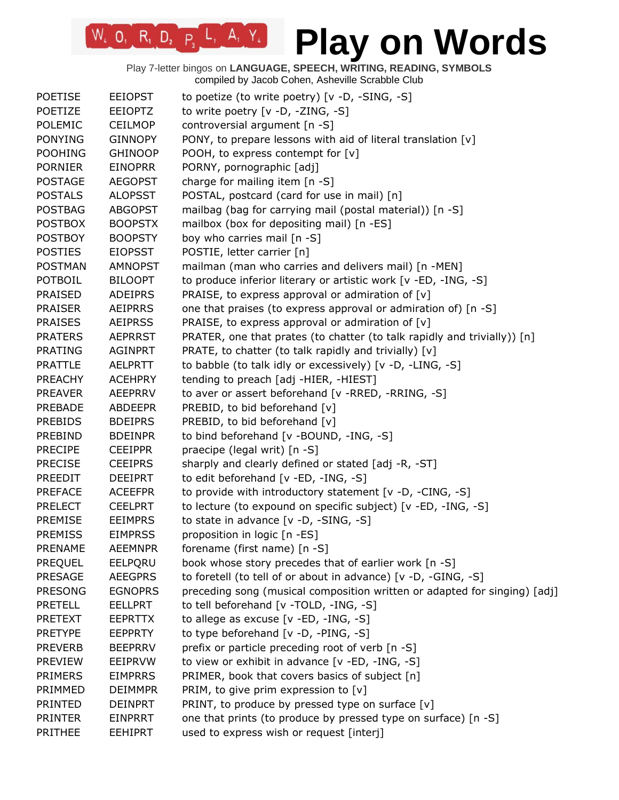| <b>POETISE</b> | <b>EEIOPST</b> | to poetize (to write poetry) [v -D, -SING, -S]                            |
|----------------|----------------|---------------------------------------------------------------------------|
| POETIZE        | <b>EEIOPTZ</b> | to write poetry [v -D, -ZING, -S]                                         |
| <b>POLEMIC</b> | CEILMOP        | controversial argument [n -S]                                             |
| <b>PONYING</b> | <b>GINNOPY</b> | PONY, to prepare lessons with aid of literal translation [v]              |
| <b>POOHING</b> | <b>GHINOOP</b> | POOH, to express contempt for [v]                                         |
| <b>PORNIER</b> | <b>EINOPRR</b> | PORNY, pornographic [adj]                                                 |
| <b>POSTAGE</b> | <b>AEGOPST</b> | charge for mailing item [n -S]                                            |
| <b>POSTALS</b> | <b>ALOPSST</b> | POSTAL, postcard (card for use in mail) [n]                               |
| <b>POSTBAG</b> | <b>ABGOPST</b> | mailbag (bag for carrying mail (postal material)) [n -S]                  |
| <b>POSTBOX</b> | <b>BOOPSTX</b> | mailbox (box for depositing mail) [n -ES]                                 |
| <b>POSTBOY</b> | <b>BOOPSTY</b> | boy who carries mail [n -S]                                               |
| <b>POSTIES</b> | <b>EIOPSST</b> | POSTIE, letter carrier [n]                                                |
| <b>POSTMAN</b> | <b>AMNOPST</b> | mailman (man who carries and delivers mail) [n -MEN]                      |
| POTBOIL        | <b>BILOOPT</b> | to produce inferior literary or artistic work [v -ED, -ING, -S]           |
| <b>PRAISED</b> | <b>ADEIPRS</b> | PRAISE, to express approval or admiration of [v]                          |
| <b>PRAISER</b> | <b>AEIPRRS</b> | one that praises (to express approval or admiration of) [n -S]            |
| <b>PRAISES</b> | <b>AEIPRSS</b> | PRAISE, to express approval or admiration of $[v]$                        |
| <b>PRATERS</b> | <b>AEPRRST</b> | PRATER, one that prates (to chatter (to talk rapidly and trivially)) [n]  |
| <b>PRATING</b> | <b>AGINPRT</b> | PRATE, to chatter (to talk rapidly and trivially) [v]                     |
| <b>PRATTLE</b> | <b>AELPRTT</b> | to babble (to talk idly or excessively) [v -D, -LING, -S]                 |
| <b>PREACHY</b> | <b>ACEHPRY</b> | tending to preach [adj -HIER, -HIEST]                                     |
|                |                |                                                                           |
| <b>PREAVER</b> | <b>AEEPRRV</b> | to aver or assert beforehand [v -RRED, -RRING, -S]                        |
| <b>PREBADE</b> | <b>ABDEEPR</b> | PREBID, to bid beforehand [v]                                             |
| <b>PREBIDS</b> | <b>BDEIPRS</b> | PREBID, to bid beforehand [v]                                             |
| PREBIND        | <b>BDEINPR</b> | to bind beforehand [v -BOUND, -ING, -S]                                   |
| <b>PRECIPE</b> | <b>CEEIPPR</b> | praecipe (legal writ) [n -S]                                              |
| <b>PRECISE</b> | <b>CEEIPRS</b> | sharply and clearly defined or stated [adj -R, -ST]                       |
| PREEDIT        | <b>DEEIPRT</b> | to edit beforehand [v -ED, -ING, -S]                                      |
| <b>PREFACE</b> | <b>ACEEFPR</b> | to provide with introductory statement [v -D, -CING, -S]                  |
| <b>PRELECT</b> | <b>CEELPRT</b> | to lecture (to expound on specific subject) [v -ED, -ING, -S]             |
| PREMISE        | <b>EEIMPRS</b> | to state in advance [v -D, -SING, -S]                                     |
| <b>PREMISS</b> | <b>EIMPRSS</b> | proposition in logic [n -ES]                                              |
| <b>PRENAME</b> | <b>AEEMNPR</b> | forename (first name) [n -S]                                              |
| <b>PREQUEL</b> | EELPQRU        | book whose story precedes that of earlier work [n -S]                     |
| <b>PRESAGE</b> | <b>AEEGPRS</b> | to foretell (to tell of or about in advance) [v -D, -GING, -S]            |
| <b>PRESONG</b> | <b>EGNOPRS</b> | preceding song (musical composition written or adapted for singing) [adj] |
| <b>PRETELL</b> | <b>EELLPRT</b> | to tell beforehand [v -TOLD, -ING, -S]                                    |
| <b>PRETEXT</b> | <b>EEPRTTX</b> | to allege as excuse $[v - ED, -ING, -S]$                                  |
| <b>PRETYPE</b> | <b>EEPPRTY</b> | to type beforehand [v -D, -PING, -S]                                      |
| <b>PREVERB</b> | <b>BEEPRRV</b> | prefix or particle preceding root of verb [n -S]                          |
| <b>PREVIEW</b> | EEIPRVW        | to view or exhibit in advance [v -ED, -ING, -S]                           |
| <b>PRIMERS</b> | <b>EIMPRRS</b> | PRIMER, book that covers basics of subject [n]                            |
| PRIMMED        | <b>DEIMMPR</b> | PRIM, to give prim expression to [v]                                      |
| <b>PRINTED</b> | <b>DEINPRT</b> | PRINT, to produce by pressed type on surface $[v]$                        |
| <b>PRINTER</b> | <b>EINPRRT</b> | one that prints (to produce by pressed type on surface) [n -S]            |
| <b>PRITHEE</b> | <b>EEHIPRT</b> | used to express wish or request [interj]                                  |
|                |                |                                                                           |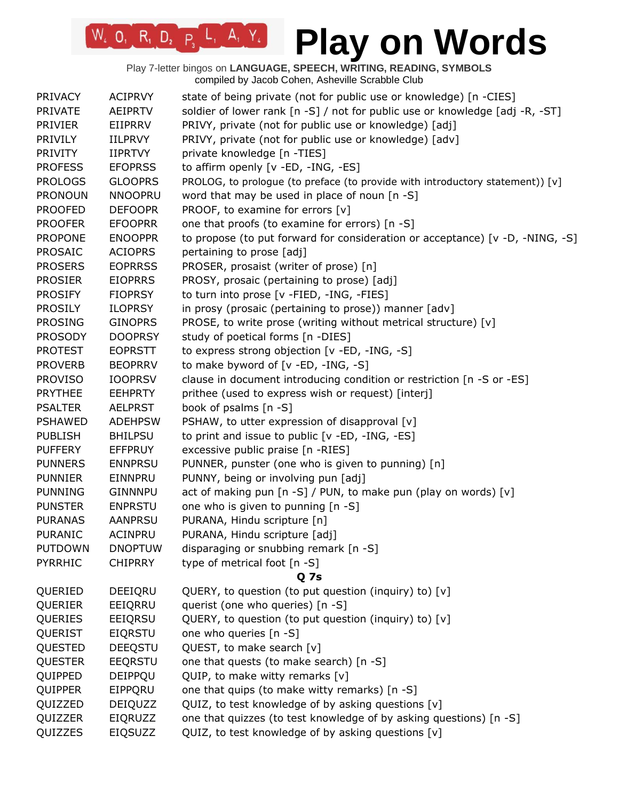| <b>PRIVACY</b> | <b>ACIPRVY</b> | state of being private (not for public use or knowledge) [n -CIES]            |
|----------------|----------------|-------------------------------------------------------------------------------|
| <b>PRIVATE</b> | <b>AEIPRTV</b> | soldier of lower rank [n -S] / not for public use or knowledge [adj -R, -ST]  |
| <b>PRIVIER</b> | EIIPRRV        | PRIVY, private (not for public use or knowledge) [adj]                        |
| <b>PRIVILY</b> | <b>IILPRVY</b> | PRIVY, private (not for public use or knowledge) [adv]                        |
| <b>PRIVITY</b> | <b>IIPRTVY</b> | private knowledge [n -TIES]                                                   |
| <b>PROFESS</b> | <b>EFOPRSS</b> | to affirm openly [v -ED, -ING, -ES]                                           |
| <b>PROLOGS</b> | <b>GLOOPRS</b> | PROLOG, to prologue (to preface (to provide with introductory statement)) [v] |
| <b>PRONOUN</b> | <b>NNOOPRU</b> | word that may be used in place of noun $[n -S]$                               |
| <b>PROOFED</b> | <b>DEFOOPR</b> | PROOF, to examine for errors [v]                                              |
| <b>PROOFER</b> | <b>EFOOPRR</b> | one that proofs (to examine for errors) [n -S]                                |
| <b>PROPONE</b> | <b>ENOOPPR</b> | to propose (to put forward for consideration or acceptance) [v -D, -NING, -S] |
| <b>PROSAIC</b> | <b>ACIOPRS</b> | pertaining to prose [adj]                                                     |
| <b>PROSERS</b> | <b>EOPRRSS</b> | PROSER, prosaist (writer of prose) [n]                                        |
| <b>PROSIER</b> | <b>EIOPRRS</b> | PROSY, prosaic (pertaining to prose) [adj]                                    |
| <b>PROSIFY</b> | <b>FIOPRSY</b> | to turn into prose [v -FIED, -ING, -FIES]                                     |
| <b>PROSILY</b> | <b>ILOPRSY</b> | in prosy (prosaic (pertaining to prose)) manner [adv]                         |
| <b>PROSING</b> | <b>GINOPRS</b> | PROSE, to write prose (writing without metrical structure) [v]                |
| <b>PROSODY</b> | <b>DOOPRSY</b> | study of poetical forms [n -DIES]                                             |
| <b>PROTEST</b> | <b>EOPRSTT</b> | to express strong objection [v -ED, -ING, -S]                                 |
| <b>PROVERB</b> | <b>BEOPRRV</b> | to make byword of [v -ED, -ING, -S]                                           |
| <b>PROVISO</b> | <b>IOOPRSV</b> | clause in document introducing condition or restriction [n -S or -ES]         |
| <b>PRYTHEE</b> | <b>EEHPRTY</b> | prithee (used to express wish or request) [interj]                            |
| <b>PSALTER</b> | <b>AELPRST</b> | book of psalms [n -S]                                                         |
| <b>PSHAWED</b> | <b>ADEHPSW</b> | PSHAW, to utter expression of disapproval [v]                                 |
| <b>PUBLISH</b> | <b>BHILPSU</b> | to print and issue to public [v -ED, -ING, -ES]                               |
| <b>PUFFERY</b> | <b>EFFPRUY</b> | excessive public praise [n -RIES]                                             |
| <b>PUNNERS</b> | <b>ENNPRSU</b> | PUNNER, punster (one who is given to punning) [n]                             |
| <b>PUNNIER</b> | EINNPRU        | PUNNY, being or involving pun [adj]                                           |
| <b>PUNNING</b> | <b>GINNNPU</b> | act of making pun [n -S] / PUN, to make pun (play on words) [v]               |
| <b>PUNSTER</b> | <b>ENPRSTU</b> | one who is given to punning [n -S]                                            |
| <b>PURANAS</b> | <b>AANPRSU</b> | PURANA, Hindu scripture [n]                                                   |
| <b>PURANIC</b> | <b>ACINPRU</b> | PURANA, Hindu scripture [adj]                                                 |
| <b>PUTDOWN</b> | <b>DNOPTUW</b> | disparaging or snubbing remark [n -S]                                         |
| <b>PYRRHIC</b> | <b>CHIPRRY</b> | type of metrical foot [n -S]                                                  |
|                |                | Q 7s                                                                          |
| QUERIED        | DEEIQRU        | QUERY, to question (to put question (inquiry) to) [v]                         |
| QUERIER        | EEIQRRU        | querist (one who queries) [n -S]                                              |
| QUERIES        | EEIQRSU        | QUERY, to question (to put question (inquiry) to) [v]                         |
| QUERIST        | <b>EIQRSTU</b> | one who queries [n -S]                                                        |
| QUESTED        | DEEQSTU        | QUEST, to make search [v]                                                     |
| <b>QUESTER</b> | EEQRSTU        | one that quests (to make search) [n -S]                                       |
| QUIPPED        | DEIPPQU        | QUIP, to make witty remarks [v]                                               |
| QUIPPER        | EIPPQRU        | one that quips (to make witty remarks) [n -S]                                 |
| QUIZZED        | DEIQUZZ        | QUIZ, to test knowledge of by asking questions [v]                            |
| QUIZZER        | EIQRUZZ        | one that quizzes (to test knowledge of by asking questions) [n -S]            |
| QUIZZES        | EIQSUZZ        | QUIZ, to test knowledge of by asking questions [v]                            |
|                |                |                                                                               |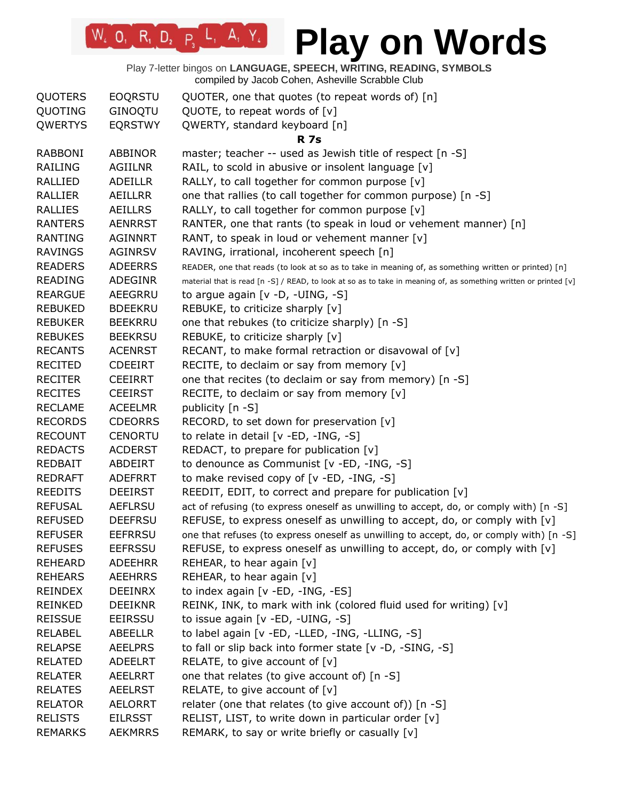| <b>QUOTERS</b> | <b>EOQRSTU</b> | QUOTER, one that quotes (to repeat words of) [n]                                                                 |
|----------------|----------------|------------------------------------------------------------------------------------------------------------------|
| QUOTING        | GINOQTU        | QUOTE, to repeat words of $[v]$                                                                                  |
| QWERTYS        | <b>EQRSTWY</b> | QWERTY, standard keyboard [n]                                                                                    |
|                |                | <b>R</b> 7s                                                                                                      |
| <b>RABBONI</b> | <b>ABBINOR</b> | master; teacher -- used as Jewish title of respect [n -S]                                                        |
| <b>RAILING</b> | <b>AGIILNR</b> | RAIL, to scold in abusive or insolent language [v]                                                               |
| RALLIED        | ADEILLR        | RALLY, to call together for common purpose [v]                                                                   |
| RALLIER        | AEILLRR        | one that rallies (to call together for common purpose) [n -S]                                                    |
| <b>RALLIES</b> | <b>AEILLRS</b> | RALLY, to call together for common purpose [v]                                                                   |
| <b>RANTERS</b> | <b>AENRRST</b> | RANTER, one that rants (to speak in loud or vehement manner) [n]                                                 |
| <b>RANTING</b> | <b>AGINNRT</b> | RANT, to speak in loud or vehement manner [v]                                                                    |
| <b>RAVINGS</b> | <b>AGINRSV</b> | RAVING, irrational, incoherent speech [n]                                                                        |
| <b>READERS</b> | <b>ADEERRS</b> | READER, one that reads (to look at so as to take in meaning of, as something written or printed) [n]             |
| READING        | ADEGINR        | material that is read [n -S] / READ, to look at so as to take in meaning of, as something written or printed [v] |
| <b>REARGUE</b> | AEEGRRU        | to argue again $[v -D, -UING, -S]$                                                                               |
| <b>REBUKED</b> | <b>BDEEKRU</b> | REBUKE, to criticize sharply [v]                                                                                 |
| <b>REBUKER</b> | <b>BEEKRRU</b> | one that rebukes (to criticize sharply) [n -S]                                                                   |
| <b>REBUKES</b> | <b>BEEKRSU</b> | REBUKE, to criticize sharply [v]                                                                                 |
| <b>RECANTS</b> | <b>ACENRST</b> | RECANT, to make formal retraction or disavowal of [v]                                                            |
| <b>RECITED</b> | <b>CDEEIRT</b> | RECITE, to declaim or say from memory [v]                                                                        |
| <b>RECITER</b> | <b>CEEIRRT</b> | one that recites (to declaim or say from memory) [n -S]                                                          |
| <b>RECITES</b> | <b>CEEIRST</b> | RECITE, to declaim or say from memory [v]                                                                        |
| <b>RECLAME</b> | <b>ACEELMR</b> | publicity [n -S]                                                                                                 |
| <b>RECORDS</b> | <b>CDEORRS</b> | RECORD, to set down for preservation [v]                                                                         |
| <b>RECOUNT</b> | <b>CENORTU</b> | to relate in detail [v -ED, -ING, -S]                                                                            |
| <b>REDACTS</b> | <b>ACDERST</b> | REDACT, to prepare for publication $[v]$                                                                         |
| <b>REDBAIT</b> | ABDEIRT        | to denounce as Communist [v -ED, -ING, -S]                                                                       |
| <b>REDRAFT</b> | ADEFRRT        | to make revised copy of [v -ED, -ING, -S]                                                                        |
| <b>REEDITS</b> | <b>DEEIRST</b> | REEDIT, EDIT, to correct and prepare for publication $[v]$                                                       |
| <b>REFUSAL</b> | <b>AEFLRSU</b> | act of refusing (to express oneself as unwilling to accept, do, or comply with) [n -S]                           |
| <b>REFUSED</b> | <b>DEEFRSU</b> | REFUSE, to express oneself as unwilling to accept, do, or comply with $[v]$                                      |
| <b>REFUSER</b> | <b>EEFRRSU</b> | one that refuses (to express oneself as unwilling to accept, do, or comply with) [n -S]                          |
| <b>REFUSES</b> | <b>EEFRSSU</b> | REFUSE, to express oneself as unwilling to accept, do, or comply with $[v]$                                      |
| <b>REHEARD</b> | <b>ADEEHRR</b> | REHEAR, to hear again [v]                                                                                        |
| <b>REHEARS</b> | <b>AEEHRRS</b> | REHEAR, to hear again [v]                                                                                        |
| <b>REINDEX</b> | <b>DEEINRX</b> | to index again [v -ED, -ING, -ES]                                                                                |
| <b>REINKED</b> | <b>DEEIKNR</b> | REINK, INK, to mark with ink (colored fluid used for writing) [v]                                                |
| <b>REISSUE</b> | <b>EEIRSSU</b> | to issue again [v -ED, -UING, -S]                                                                                |
| <b>RELABEL</b> | ABEELLR        | to label again [v -ED, -LLED, -ING, -LLING, -S]                                                                  |
| <b>RELAPSE</b> | <b>AEELPRS</b> | to fall or slip back into former state [v -D, -SING, -S]                                                         |
| <b>RELATED</b> | ADEELRT        | RELATE, to give account of $[v]$                                                                                 |
| <b>RELATER</b> | <b>AEELRRT</b> | one that relates (to give account of) [n -S]                                                                     |
| <b>RELATES</b> | <b>AEELRST</b> | RELATE, to give account of $[v]$                                                                                 |
| <b>RELATOR</b> | <b>AELORRT</b> | relater (one that relates (to give account of)) [n -S]                                                           |
| <b>RELISTS</b> | <b>EILRSST</b> | RELIST, LIST, to write down in particular order [v]                                                              |
| <b>REMARKS</b> | <b>AEKMRRS</b> | REMARK, to say or write briefly or casually [v]                                                                  |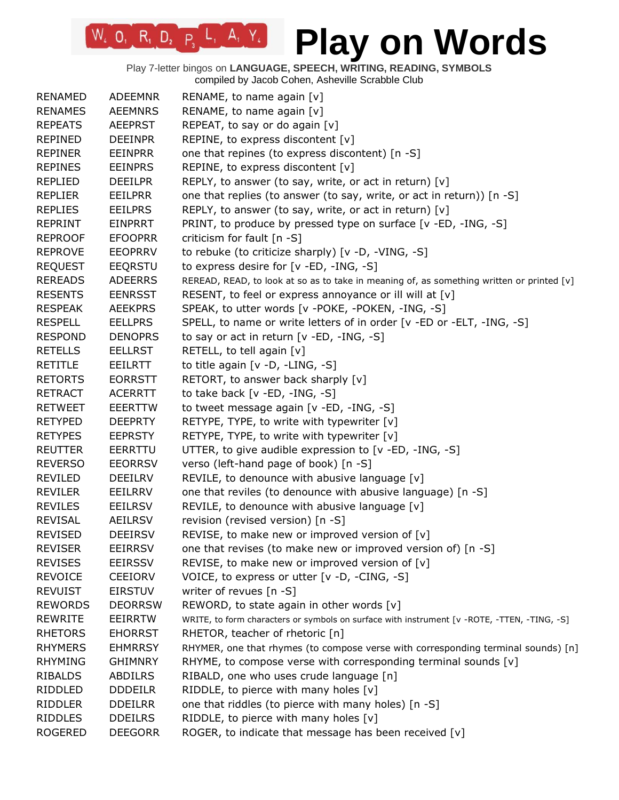Play 7-letter bingos on **LANGUAGE, SPEECH, WRITING, READING, SYMBOLS** compiled by Jacob Cohen, Asheville Scrabble Club

 $W_4$  0, R<sub>1</sub> D<sub>2</sub> P<sub>3</sub> L<sub>1</sub> A<sub>1</sub> Y<sub>4</sub>

| <b>RENAMED</b> | <b>ADEEMNR</b> | RENAME, to name again [v]                                                                   |
|----------------|----------------|---------------------------------------------------------------------------------------------|
| <b>RENAMES</b> | <b>AEEMNRS</b> | RENAME, to name again [v]                                                                   |
| <b>REPEATS</b> | <b>AEEPRST</b> | REPEAT, to say or do again [v]                                                              |
| <b>REPINED</b> | <b>DEEINPR</b> | REPINE, to express discontent [v]                                                           |
| <b>REPINER</b> | <b>EEINPRR</b> | one that repines (to express discontent) [n -S]                                             |
| <b>REPINES</b> | <b>EEINPRS</b> | REPINE, to express discontent [v]                                                           |
| <b>REPLIED</b> | <b>DEEILPR</b> | REPLY, to answer (to say, write, or act in return) $[v]$                                    |
| <b>REPLIER</b> | <b>EEILPRR</b> | one that replies (to answer (to say, write, or act in return)) [n -S]                       |
| <b>REPLIES</b> | <b>EEILPRS</b> | REPLY, to answer (to say, write, or act in return) $[v]$                                    |
| <b>REPRINT</b> | <b>EINPRRT</b> | PRINT, to produce by pressed type on surface [v -ED, -ING, -S]                              |
| <b>REPROOF</b> | <b>EFOOPRR</b> | criticism for fault [n -S]                                                                  |
| <b>REPROVE</b> | <b>EEOPRRV</b> | to rebuke (to criticize sharply) [v -D, -VING, -S]                                          |
| <b>REQUEST</b> | <b>EEQRSTU</b> | to express desire for [v -ED, -ING, -S]                                                     |
| <b>REREADS</b> | <b>ADEERRS</b> | REREAD, READ, to look at so as to take in meaning of, as something written or printed [v]   |
| <b>RESENTS</b> | <b>EENRSST</b> | RESENT, to feel or express annoyance or ill will at [v]                                     |
| <b>RESPEAK</b> | <b>AEEKPRS</b> | SPEAK, to utter words [v -POKE, -POKEN, -ING, -S]                                           |
| <b>RESPELL</b> | <b>EELLPRS</b> | SPELL, to name or write letters of in order [v -ED or -ELT, -ING, -S]                       |
| <b>RESPOND</b> | <b>DENOPRS</b> | to say or act in return [v -ED, -ING, -S]                                                   |
| <b>RETELLS</b> | <b>EELLRST</b> | RETELL, to tell again [v]                                                                   |
| <b>RETITLE</b> | EEILRTT        | to title again $[v -D, -LING, -S]$                                                          |
| <b>RETORTS</b> | <b>EORRSTT</b> | RETORT, to answer back sharply [v]                                                          |
| <b>RETRACT</b> | <b>ACERRTT</b> | to take back [v -ED, -ING, -S]                                                              |
| <b>RETWEET</b> | <b>EEERTTW</b> | to tweet message again [v -ED, -ING, -S]                                                    |
| <b>RETYPED</b> | <b>DEEPRTY</b> | RETYPE, TYPE, to write with typewriter [v]                                                  |
| <b>RETYPES</b> | <b>EEPRSTY</b> | RETYPE, TYPE, to write with typewriter [v]                                                  |
| <b>REUTTER</b> | EERRTTU        | UTTER, to give audible expression to [v -ED, -ING, -S]                                      |
| <b>REVERSO</b> | <b>EEORRSV</b> | verso (left-hand page of book) [n -S]                                                       |
| <b>REVILED</b> | <b>DEEILRV</b> | REVILE, to denounce with abusive language [v]                                               |
| <b>REVILER</b> | EEILRRV        | one that reviles (to denounce with abusive language) [n -S]                                 |
| <b>REVILES</b> | <b>EEILRSV</b> | REVILE, to denounce with abusive language [v]                                               |
| <b>REVISAL</b> | AEILRSV        | revision (revised version) [n -S]                                                           |
| <b>REVISED</b> | <b>DEEIRSV</b> | REVISE, to make new or improved version of [v]                                              |
| <b>REVISER</b> | EEIRRSV        | one that revises (to make new or improved version of) [n -S]                                |
| <b>REVISES</b> | <b>EEIRSSV</b> | REVISE, to make new or improved version of $[v]$                                            |
| <b>REVOICE</b> | <b>CEEIORV</b> | VOICE, to express or utter [v -D, -CING, -S]                                                |
| <b>REVUIST</b> | <b>EIRSTUV</b> | writer of revues [n -S]                                                                     |
| <b>REWORDS</b> | <b>DEORRSW</b> | REWORD, to state again in other words $[v]$                                                 |
| <b>REWRITE</b> | <b>EEIRRTW</b> | WRITE, to form characters or symbols on surface with instrument [v -ROTE, -TTEN, -TING, -S] |
| <b>RHETORS</b> | <b>EHORRST</b> | RHETOR, teacher of rhetoric [n]                                                             |
| <b>RHYMERS</b> | <b>EHMRRSY</b> | RHYMER, one that rhymes (to compose verse with corresponding terminal sounds) [n]           |
| <b>RHYMING</b> | <b>GHIMNRY</b> | RHYME, to compose verse with corresponding terminal sounds [v]                              |
| RIBALDS        | <b>ABDILRS</b> | RIBALD, one who uses crude language [n]                                                     |
| RIDDLED        | <b>DDDEILR</b> | RIDDLE, to pierce with many holes $[v]$                                                     |
| <b>RIDDLER</b> | <b>DDEILRR</b> | one that riddles (to pierce with many holes) [n -S]                                         |
| <b>RIDDLES</b> | <b>DDEILRS</b> | RIDDLE, to pierce with many holes $[v]$                                                     |
| <b>ROGERED</b> | <b>DEEGORR</b> | ROGER, to indicate that message has been received [v]                                       |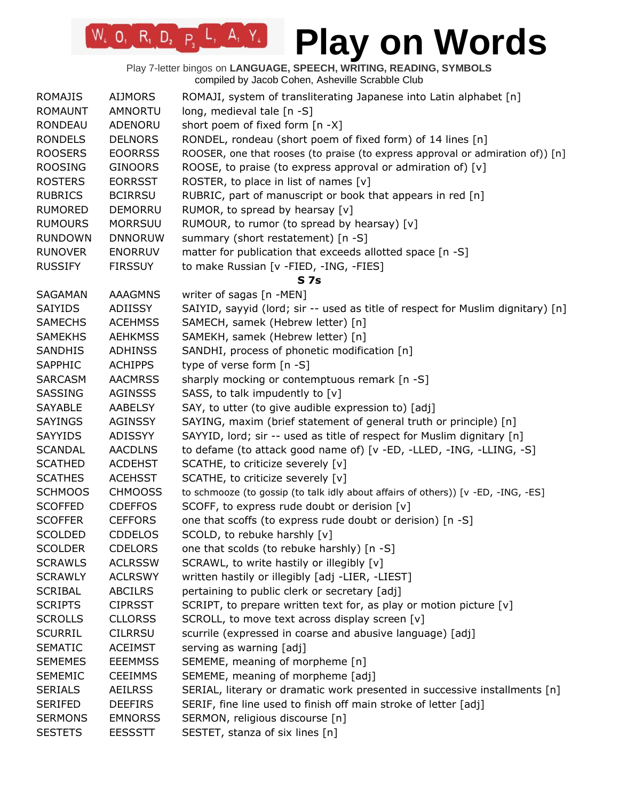Play 7-letter bingos on **LANGUAGE, SPEECH, WRITING, READING, SYMBOLS** compiled by Jacob Cohen, Asheville Scrabble Club

 $W_4$  0, R<sub>1</sub> D<sub>2</sub> P<sub>3</sub> L<sub>1</sub> A<sub>1</sub> Y<sub>4</sub>

| <b>ROMAJIS</b> | <b>AIJMORS</b> | ROMAJI, system of transliterating Japanese into Latin alphabet [n]                |
|----------------|----------------|-----------------------------------------------------------------------------------|
| <b>ROMAUNT</b> | <b>AMNORTU</b> | long, medieval tale $[n - S]$                                                     |
| <b>RONDEAU</b> | ADENORU        | short poem of fixed form [n -X]                                                   |
| <b>RONDELS</b> | <b>DELNORS</b> | RONDEL, rondeau (short poem of fixed form) of 14 lines [n]                        |
| <b>ROOSERS</b> | <b>EOORRSS</b> | ROOSER, one that rooses (to praise (to express approval or admiration of)) [n]    |
| <b>ROOSING</b> | <b>GINOORS</b> | ROOSE, to praise (to express approval or admiration of) [v]                       |
| <b>ROSTERS</b> | <b>EORRSST</b> | ROSTER, to place in list of names $[v]$                                           |
| <b>RUBRICS</b> | <b>BCIRRSU</b> | RUBRIC, part of manuscript or book that appears in red [n]                        |
| <b>RUMORED</b> | DEMORRU        | RUMOR, to spread by hearsay [v]                                                   |
| <b>RUMOURS</b> | <b>MORRSUU</b> | RUMOUR, to rumor (to spread by hearsay) [v]                                       |
| <b>RUNDOWN</b> | <b>DNNORUW</b> | summary (short restatement) [n -S]                                                |
| <b>RUNOVER</b> | <b>ENORRUV</b> | matter for publication that exceeds allotted space [n -S]                         |
| <b>RUSSIFY</b> | <b>FIRSSUY</b> | to make Russian [v -FIED, -ING, -FIES]                                            |
|                |                | <b>S7s</b>                                                                        |
| SAGAMAN        | <b>AAAGMNS</b> | writer of sagas [n -MEN]                                                          |
| <b>SAIYIDS</b> | <b>ADIISSY</b> | SAIYID, sayyid (lord; sir -- used as title of respect for Muslim dignitary) [n]   |
| <b>SAMECHS</b> | <b>ACEHMSS</b> | SAMECH, samek (Hebrew letter) [n]                                                 |
| <b>SAMEKHS</b> | <b>AEHKMSS</b> | SAMEKH, samek (Hebrew letter) [n]                                                 |
| <b>SANDHIS</b> | <b>ADHINSS</b> | SANDHI, process of phonetic modification [n]                                      |
| SAPPHIC        | <b>ACHIPPS</b> | type of verse form [n -S]                                                         |
| SARCASM        | <b>AACMRSS</b> | sharply mocking or contemptuous remark [n -S]                                     |
| <b>SASSING</b> | <b>AGINSSS</b> | SASS, to talk impudently to [v]                                                   |
| <b>SAYABLE</b> | <b>AABELSY</b> | SAY, to utter (to give audible expression to) [adj]                               |
| <b>SAYINGS</b> | <b>AGINSSY</b> | SAYING, maxim (brief statement of general truth or principle) [n]                 |
| SAYYIDS        | ADISSYY        | SAYYID, lord; sir -- used as title of respect for Muslim dignitary [n]            |
| <b>SCANDAL</b> | <b>AACDLNS</b> | to defame (to attack good name of) [v -ED, -LLED, -ING, -LLING, -S]               |
| <b>SCATHED</b> | <b>ACDEHST</b> | SCATHE, to criticize severely [v]                                                 |
| <b>SCATHES</b> | <b>ACEHSST</b> | SCATHE, to criticize severely [v]                                                 |
| <b>SCHMOOS</b> | <b>CHMOOSS</b> | to schmooze (to gossip (to talk idly about affairs of others)) [v -ED, -ING, -ES] |
| <b>SCOFFED</b> | <b>CDEFFOS</b> | SCOFF, to express rude doubt or derision [v]                                      |
| <b>SCOFFER</b> | <b>CEFFORS</b> | one that scoffs (to express rude doubt or derision) [n -S]                        |
| <b>SCOLDED</b> | <b>CDDELOS</b> | SCOLD, to rebuke harshly [v]                                                      |
| <b>SCOLDER</b> | <b>CDELORS</b> | one that scolds (to rebuke harshly) [n -S]                                        |
| <b>SCRAWLS</b> | <b>ACLRSSW</b> | SCRAWL, to write hastily or illegibly [v]                                         |
| <b>SCRAWLY</b> | <b>ACLRSWY</b> | written hastily or illegibly [adj -LIER, -LIEST]                                  |
| <b>SCRIBAL</b> | <b>ABCILRS</b> | pertaining to public clerk or secretary [adj]                                     |
| <b>SCRIPTS</b> | <b>CIPRSST</b> | SCRIPT, to prepare written text for, as play or motion picture [v]                |
| <b>SCROLLS</b> | <b>CLLORSS</b> | SCROLL, to move text across display screen [v]                                    |
| <b>SCURRIL</b> | <b>CILRRSU</b> | scurrile (expressed in coarse and abusive language) [adj]                         |
| <b>SEMATIC</b> | <b>ACEIMST</b> | serving as warning [adj]                                                          |
| <b>SEMEMES</b> | <b>EEEMMSS</b> | SEMEME, meaning of morpheme [n]                                                   |
| <b>SEMEMIC</b> | <b>CEEIMMS</b> | SEMEME, meaning of morpheme [adj]                                                 |
| <b>SERIALS</b> | <b>AEILRSS</b> | SERIAL, literary or dramatic work presented in successive installments [n]        |
| <b>SERIFED</b> | <b>DEEFIRS</b> | SERIF, fine line used to finish off main stroke of letter [adj]                   |
| <b>SERMONS</b> | <b>EMNORSS</b> | SERMON, religious discourse [n]                                                   |
| <b>SESTETS</b> | <b>EESSSTT</b> | SESTET, stanza of six lines [n]                                                   |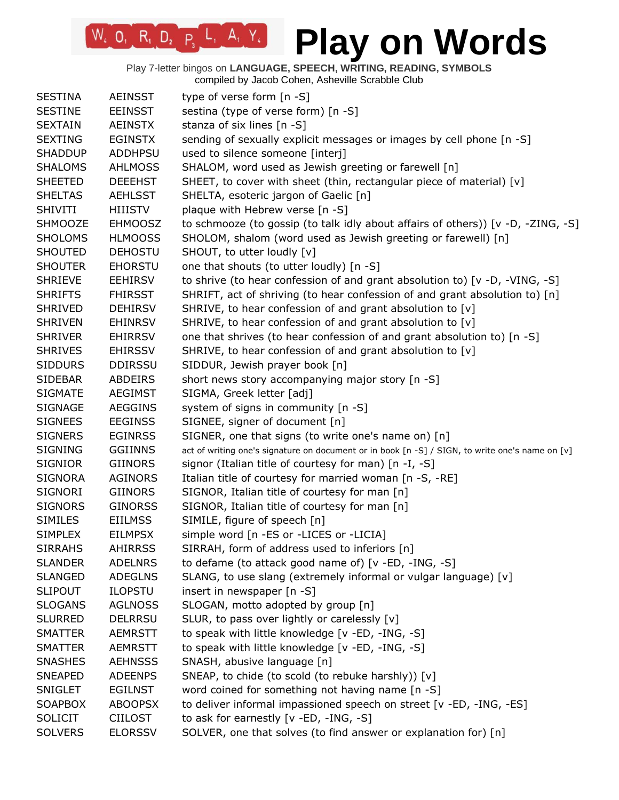Play 7-letter bingos on **LANGUAGE, SPEECH, WRITING, READING, SYMBOLS** compiled by Jacob Cohen, Asheville Scrabble Club

 $W_4$  O, R<sub>1</sub> D<sub>2</sub> P<sub>3</sub> L<sub>1</sub> A<sub>1</sub> Y<sub>4</sub>

| <b>SESTINA</b> | <b>AEINSST</b> | type of verse form [n -S]                                                                       |
|----------------|----------------|-------------------------------------------------------------------------------------------------|
| <b>SESTINE</b> | <b>EEINSST</b> | sestina (type of verse form) [n -S]                                                             |
| <b>SEXTAIN</b> | <b>AEINSTX</b> | stanza of six lines [n -S]                                                                      |
| <b>SEXTING</b> | <b>EGINSTX</b> | sending of sexually explicit messages or images by cell phone [n -S]                            |
| <b>SHADDUP</b> | <b>ADDHPSU</b> | used to silence someone [interj]                                                                |
| <b>SHALOMS</b> | <b>AHLMOSS</b> | SHALOM, word used as Jewish greeting or farewell [n]                                            |
| <b>SHEETED</b> | <b>DEEEHST</b> | SHEET, to cover with sheet (thin, rectangular piece of material) [v]                            |
| <b>SHELTAS</b> | <b>AEHLSST</b> | SHELTA, esoteric jargon of Gaelic [n]                                                           |
| <b>SHIVITI</b> | <b>HIIISTV</b> | plaque with Hebrew verse [n -S]                                                                 |
| <b>SHMOOZE</b> | <b>EHMOOSZ</b> | to schmooze (to gossip (to talk idly about affairs of others)) [v -D, -ZING, -S]                |
| <b>SHOLOMS</b> | <b>HLMOOSS</b> | SHOLOM, shalom (word used as Jewish greeting or farewell) [n]                                   |
| <b>SHOUTED</b> | <b>DEHOSTU</b> | SHOUT, to utter loudly [v]                                                                      |
| <b>SHOUTER</b> | <b>EHORSTU</b> | one that shouts (to utter loudly) [n -S]                                                        |
| <b>SHRIEVE</b> | <b>EEHIRSV</b> | to shrive (to hear confession of and grant absolution to) [v -D, -VING, -S]                     |
| <b>SHRIFTS</b> | <b>FHIRSST</b> | SHRIFT, act of shriving (to hear confession of and grant absolution to) [n]                     |
| <b>SHRIVED</b> | <b>DEHIRSV</b> | SHRIVE, to hear confession of and grant absolution to [v]                                       |
| <b>SHRIVEN</b> | <b>EHINRSV</b> | SHRIVE, to hear confession of and grant absolution to [v]                                       |
| <b>SHRIVER</b> | <b>EHIRRSV</b> | one that shrives (to hear confession of and grant absolution to) [n -S]                         |
| <b>SHRIVES</b> | <b>EHIRSSV</b> | SHRIVE, to hear confession of and grant absolution to [v]                                       |
| <b>SIDDURS</b> | <b>DDIRSSU</b> | SIDDUR, Jewish prayer book [n]                                                                  |
| <b>SIDEBAR</b> | ABDEIRS        | short news story accompanying major story [n -S]                                                |
| <b>SIGMATE</b> | <b>AEGIMST</b> | SIGMA, Greek letter [adj]                                                                       |
| <b>SIGNAGE</b> | <b>AEGGINS</b> | system of signs in community [n -S]                                                             |
| <b>SIGNEES</b> | <b>EEGINSS</b> | SIGNEE, signer of document [n]                                                                  |
| <b>SIGNERS</b> | <b>EGINRSS</b> | SIGNER, one that signs (to write one's name on) [n]                                             |
| <b>SIGNING</b> | <b>GGIINNS</b> | act of writing one's signature on document or in book [n -S] / SIGN, to write one's name on [v] |
| <b>SIGNIOR</b> | <b>GIINORS</b> | signor (Italian title of courtesy for man) [n -I, -S]                                           |
| <b>SIGNORA</b> | <b>AGINORS</b> | Italian title of courtesy for married woman [n -S, -RE]                                         |
| <b>SIGNORI</b> | <b>GIINORS</b> | SIGNOR, Italian title of courtesy for man [n]                                                   |
| <b>SIGNORS</b> | <b>GINORSS</b> | SIGNOR, Italian title of courtesy for man [n]                                                   |
| <b>SIMILES</b> | <b>EIILMSS</b> | SIMILE, figure of speech [n]                                                                    |
| <b>SIMPLEX</b> | <b>EILMPSX</b> | simple word [n -ES or -LICES or -LICIA]                                                         |
| <b>SIRRAHS</b> | AHIRRSS        | SIRRAH, form of address used to inferiors [n]                                                   |
| <b>SLANDER</b> | <b>ADELNRS</b> | to defame (to attack good name of) [v -ED, -ING, -S]                                            |
| <b>SLANGED</b> | <b>ADEGLNS</b> | SLANG, to use slang (extremely informal or vulgar language) [v]                                 |
| <b>SLIPOUT</b> | <b>ILOPSTU</b> | insert in newspaper [n -S]                                                                      |
| <b>SLOGANS</b> | <b>AGLNOSS</b> | SLOGAN, motto adopted by group [n]                                                              |
| <b>SLURRED</b> | <b>DELRRSU</b> | SLUR, to pass over lightly or carelessly [v]                                                    |
| <b>SMATTER</b> | <b>AEMRSTT</b> | to speak with little knowledge [v -ED, -ING, -S]                                                |
| <b>SMATTER</b> | <b>AEMRSTT</b> | to speak with little knowledge [v -ED, -ING, -S]                                                |
| <b>SNASHES</b> | <b>AEHNSSS</b> | SNASH, abusive language [n]                                                                     |
| <b>SNEAPED</b> | <b>ADEENPS</b> | SNEAP, to chide (to scold (to rebuke harshly)) [v]                                              |
| <b>SNIGLET</b> | <b>EGILNST</b> | word coined for something not having name [n -S]                                                |
|                |                | to deliver informal impassioned speech on street [v -ED, -ING, -ES]                             |
| <b>SOAPBOX</b> | <b>ABOOPSX</b> |                                                                                                 |
| <b>SOLICIT</b> | <b>CIILOST</b> | to ask for earnestly [v -ED, -ING, -S]                                                          |
| <b>SOLVERS</b> | <b>ELORSSV</b> | SOLVER, one that solves (to find answer or explanation for) [n]                                 |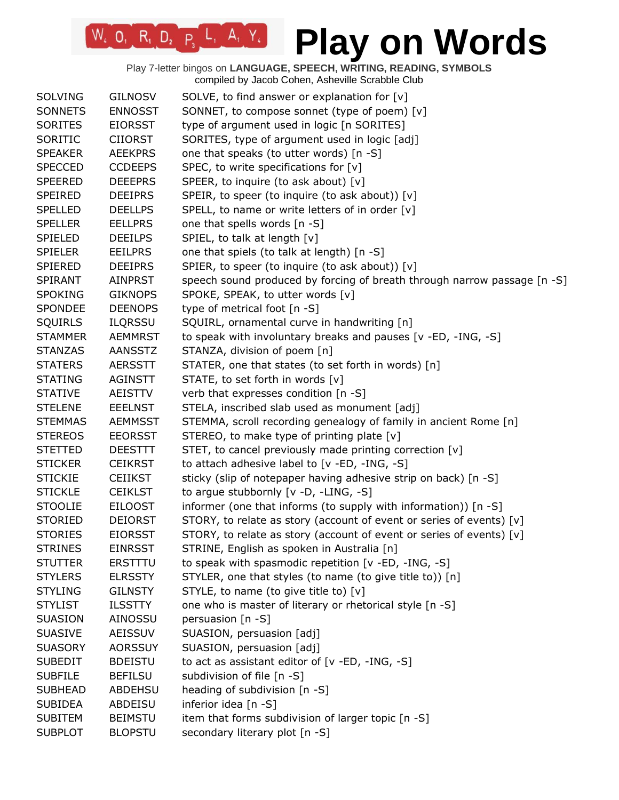| <b>SOLVING</b> | <b>GILNOSV</b> | SOLVE, to find answer or explanation for $[v]$                           |
|----------------|----------------|--------------------------------------------------------------------------|
| <b>SONNETS</b> | <b>ENNOSST</b> | SONNET, to compose sonnet (type of poem) [v]                             |
| <b>SORITES</b> | <b>EIORSST</b> | type of argument used in logic [n SORITES]                               |
| SORITIC        | <b>CIIORST</b> | SORITES, type of argument used in logic [adj]                            |
| <b>SPEAKER</b> | <b>AEEKPRS</b> | one that speaks (to utter words) [n -S]                                  |
| <b>SPECCED</b> | <b>CCDEEPS</b> | SPEC, to write specifications for $[v]$                                  |
| <b>SPEERED</b> | <b>DEEEPRS</b> | SPEER, to inquire (to ask about) [v]                                     |
| SPEIRED        | <b>DEEIPRS</b> | SPEIR, to speer (to inquire (to ask about)) [v]                          |
| <b>SPELLED</b> | <b>DEELLPS</b> | SPELL, to name or write letters of in order [v]                          |
| <b>SPELLER</b> | <b>EELLPRS</b> | one that spells words [n -S]                                             |
| <b>SPIELED</b> | <b>DEEILPS</b> | SPIEL, to talk at length [v]                                             |
| <b>SPIELER</b> | <b>EEILPRS</b> | one that spiels (to talk at length) [n -S]                               |
| <b>SPIERED</b> | <b>DEEIPRS</b> | SPIER, to speer (to inquire (to ask about)) [v]                          |
| <b>SPIRANT</b> | AINPRST        | speech sound produced by forcing of breath through narrow passage [n -S] |
| <b>SPOKING</b> | <b>GIKNOPS</b> | SPOKE, SPEAK, to utter words [v]                                         |
| <b>SPONDEE</b> | <b>DEENOPS</b> | type of metrical foot [n -S]                                             |
| <b>SQUIRLS</b> | <b>ILQRSSU</b> | SQUIRL, ornamental curve in handwriting [n]                              |
| <b>STAMMER</b> | <b>AEMMRST</b> | to speak with involuntary breaks and pauses [v -ED, -ING, -S]            |
| <b>STANZAS</b> | <b>AANSSTZ</b> | STANZA, division of poem [n]                                             |
| <b>STATERS</b> | <b>AERSSTT</b> | STATER, one that states (to set forth in words) [n]                      |
| <b>STATING</b> | AGINSTT        | STATE, to set forth in words [v]                                         |
| <b>STATIVE</b> | AEISTTV        | verb that expresses condition [n -S]                                     |
| <b>STELENE</b> | <b>EEELNST</b> | STELA, inscribed slab used as monument [adj]                             |
| <b>STEMMAS</b> | <b>AEMMSST</b> | STEMMA, scroll recording genealogy of family in ancient Rome [n]         |
| <b>STEREOS</b> | <b>EEORSST</b> | STEREO, to make type of printing plate [v]                               |
| <b>STETTED</b> | <b>DEESTTT</b> | STET, to cancel previously made printing correction [v]                  |
| <b>STICKER</b> | <b>CEIKRST</b> | to attach adhesive label to [v -ED, -ING, -S]                            |
| <b>STICKIE</b> | <b>CEIIKST</b> | sticky (slip of notepaper having adhesive strip on back) [n -S]          |
| <b>STICKLE</b> | <b>CEIKLST</b> | to argue stubbornly [v -D, -LING, -S]                                    |
| <b>STOOLIE</b> | <b>EILOOST</b> | informer (one that informs (to supply with information)) [n -S]          |
| <b>STORIED</b> | <b>DEIORST</b> | STORY, to relate as story (account of event or series of events) [v]     |
| <b>STORIES</b> | <b>EIORSST</b> | STORY, to relate as story (account of event or series of events) [v]     |
| <b>STRINES</b> | <b>EINRSST</b> | STRINE, English as spoken in Australia [n]                               |
| <b>STUTTER</b> | <b>ERSTTTU</b> | to speak with spasmodic repetition [v -ED, -ING, -S]                     |
| <b>STYLERS</b> | <b>ELRSSTY</b> | STYLER, one that styles (to name (to give title to)) [n]                 |
| <b>STYLING</b> | <b>GILNSTY</b> | STYLE, to name (to give title to) [v]                                    |
| <b>STYLIST</b> | <b>ILSSTTY</b> | one who is master of literary or rhetorical style [n -S]                 |
| <b>SUASION</b> | AINOSSU        | persuasion [n -S]                                                        |
| <b>SUASIVE</b> | <b>AEISSUV</b> | SUASION, persuasion [adj]                                                |
| <b>SUASORY</b> | <b>AORSSUY</b> | SUASION, persuasion [adj]                                                |
| <b>SUBEDIT</b> | <b>BDEISTU</b> | to act as assistant editor of [v -ED, -ING, -S]                          |
| <b>SUBFILE</b> | <b>BEFILSU</b> | subdivision of file [n -S]                                               |
| <b>SUBHEAD</b> | <b>ABDEHSU</b> | heading of subdivision [n -S]                                            |
| <b>SUBIDEA</b> | ABDEISU        | inferior idea [n -S]                                                     |
| <b>SUBITEM</b> | <b>BEIMSTU</b> | item that forms subdivision of larger topic [n -S]                       |
| <b>SUBPLOT</b> | <b>BLOPSTU</b> | secondary literary plot [n -S]                                           |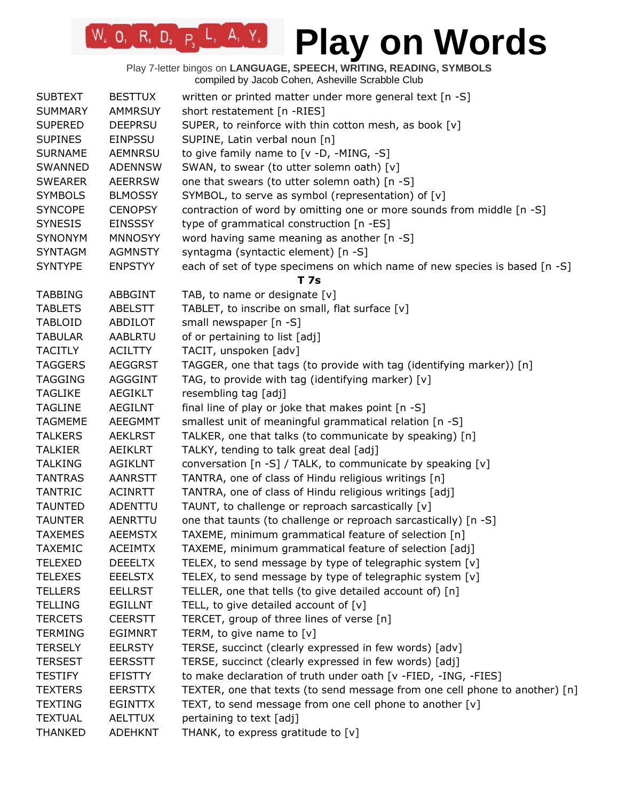| <b>SUBTEXT</b> | <b>BESTTUX</b> | written or printed matter under more general text [n -S]                    |
|----------------|----------------|-----------------------------------------------------------------------------|
| <b>SUMMARY</b> | <b>AMMRSUY</b> | short restatement [n -RIES]                                                 |
| <b>SUPERED</b> | <b>DEEPRSU</b> | SUPER, to reinforce with thin cotton mesh, as book [v]                      |
| <b>SUPINES</b> | <b>EINPSSU</b> | SUPINE, Latin verbal noun [n]                                               |
| <b>SURNAME</b> | <b>AEMNRSU</b> | to give family name to $[v -D, -MING, -S]$                                  |
| SWANNED        | <b>ADENNSW</b> | SWAN, to swear (to utter solemn oath) [v]                                   |
| <b>SWEARER</b> | <b>AEERRSW</b> | one that swears (to utter solemn oath) [n -S]                               |
| <b>SYMBOLS</b> | <b>BLMOSSY</b> | SYMBOL, to serve as symbol (representation) of [v]                          |
| <b>SYNCOPE</b> | <b>CENOPSY</b> | contraction of word by omitting one or more sounds from middle [n -S]       |
| <b>SYNESIS</b> | <b>EINSSSY</b> | type of grammatical construction [n -ES]                                    |
| <b>SYNONYM</b> | <b>MNNOSYY</b> | word having same meaning as another [n -S]                                  |
| <b>SYNTAGM</b> | <b>AGMNSTY</b> | syntagma (syntactic element) [n -S]                                         |
| <b>SYNTYPE</b> | <b>ENPSTYY</b> | each of set of type specimens on which name of new species is based [n -S]  |
|                |                | T 7s                                                                        |
| <b>TABBING</b> | ABBGINT        | TAB, to name or designate [v]                                               |
| <b>TABLETS</b> | <b>ABELSTT</b> | TABLET, to inscribe on small, flat surface [v]                              |
| <b>TABLOID</b> | ABDILOT        | small newspaper [n -S]                                                      |
| <b>TABULAR</b> | <b>AABLRTU</b> | of or pertaining to list [adj]                                              |
| <b>TACITLY</b> | <b>ACILTTY</b> | TACIT, unspoken [adv]                                                       |
| <b>TAGGERS</b> | <b>AEGGRST</b> | TAGGER, one that tags (to provide with tag (identifying marker)) [n]        |
| <b>TAGGING</b> | AGGGINT        | TAG, to provide with tag (identifying marker) $[v]$                         |
| <b>TAGLIKE</b> | AEGIKLT        | resembling tag [adj]                                                        |
| <b>TAGLINE</b> | <b>AEGILNT</b> | final line of play or joke that makes point [n -S]                          |
| <b>TAGMEME</b> | <b>AEEGMMT</b> | smallest unit of meaningful grammatical relation [n -S]                     |
| <b>TALKERS</b> | <b>AEKLRST</b> | TALKER, one that talks (to communicate by speaking) [n]                     |
| <b>TALKIER</b> | AEIKLRT        | TALKY, tending to talk great deal [adj]                                     |
| <b>TALKING</b> | <b>AGIKLNT</b> | conversation [n -S] / TALK, to communicate by speaking [v]                  |
| <b>TANTRAS</b> | <b>AANRSTT</b> | TANTRA, one of class of Hindu religious writings [n]                        |
| <b>TANTRIC</b> | <b>ACINRTT</b> | TANTRA, one of class of Hindu religious writings [adj]                      |
| <b>TAUNTED</b> | ADENTTU        | TAUNT, to challenge or reproach sarcastically [v]                           |
| <b>TAUNTER</b> | AENRTTU        | one that taunts (to challenge or reproach sarcastically) [n -S]             |
| <b>TAXEMES</b> | <b>AEEMSTX</b> | TAXEME, minimum grammatical feature of selection [n]                        |
| <b>TAXEMIC</b> | <b>ACEIMTX</b> | TAXEME, minimum grammatical feature of selection [adj]                      |
| <b>TELEXED</b> | <b>DEEELTX</b> | TELEX, to send message by type of telegraphic system [v]                    |
| <b>TELEXES</b> | <b>EEELSTX</b> | TELEX, to send message by type of telegraphic system [v]                    |
| <b>TELLERS</b> | EELLRST        | TELLER, one that tells (to give detailed account of) [n]                    |
| <b>TELLING</b> | <b>EGILLNT</b> | TELL, to give detailed account of $[v]$                                     |
| <b>TERCETS</b> | <b>CEERSTT</b> | TERCET, group of three lines of verse [n]                                   |
| <b>TERMING</b> | <b>EGIMNRT</b> | TERM, to give name to $[v]$                                                 |
| <b>TERSELY</b> | <b>EELRSTY</b> | TERSE, succinct (clearly expressed in few words) [adv]                      |
| <b>TERSEST</b> | <b>EERSSTT</b> | TERSE, succinct (clearly expressed in few words) [adj]                      |
| <b>TESTIFY</b> | <b>EFISTTY</b> | to make declaration of truth under oath [v -FIED, -ING, -FIES]              |
| <b>TEXTERS</b> | <b>EERSTTX</b> | TEXTER, one that texts (to send message from one cell phone to another) [n] |
| <b>TEXTING</b> | <b>EGINTTX</b> | TEXT, to send message from one cell phone to another [v]                    |
| <b>TEXTUAL</b> | <b>AELTTUX</b> | pertaining to text [adj]                                                    |
| <b>THANKED</b> | <b>ADEHKNT</b> | THANK, to express gratitude to [v]                                          |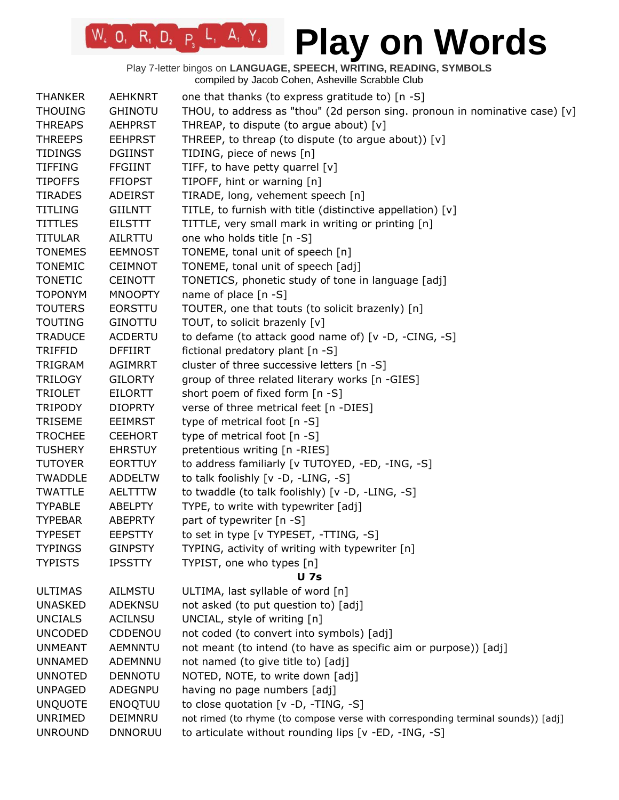# **Play on Words**

| <b>THANKER</b> | <b>AEHKNRT</b> | one that thanks (to express gratitude to) [n -S]                                 |
|----------------|----------------|----------------------------------------------------------------------------------|
| <b>THOUING</b> | <b>GHINOTU</b> | THOU, to address as "thou" (2d person sing. pronoun in nominative case) [v]      |
| <b>THREAPS</b> | <b>AEHPRST</b> | THREAP, to dispute (to argue about) [v]                                          |
| <b>THREEPS</b> | <b>EEHPRST</b> | THREEP, to threap (to dispute (to argue about)) [v]                              |
| <b>TIDINGS</b> | <b>DGIINST</b> | TIDING, piece of news [n]                                                        |
| <b>TIFFING</b> | <b>FFGIINT</b> | TIFF, to have petty quarrel [v]                                                  |
| <b>TIPOFFS</b> | <b>FFIOPST</b> | TIPOFF, hint or warning [n]                                                      |
| <b>TIRADES</b> | <b>ADEIRST</b> | TIRADE, long, vehement speech [n]                                                |
| <b>TITLING</b> | GIILNTT        | TITLE, to furnish with title (distinctive appellation) [v]                       |
| <b>TITTLES</b> | <b>EILSTTT</b> | TITTLE, very small mark in writing or printing [n]                               |
| <b>TITULAR</b> | AILRTTU        | one who holds title [n -S]                                                       |
| <b>TONEMES</b> | <b>EEMNOST</b> | TONEME, tonal unit of speech [n]                                                 |
| <b>TONEMIC</b> | <b>CEIMNOT</b> | TONEME, tonal unit of speech [adj]                                               |
| <b>TONETIC</b> | <b>CEINOTT</b> | TONETICS, phonetic study of tone in language [adj]                               |
| <b>TOPONYM</b> | <b>MNOOPTY</b> | name of place $[n - S]$                                                          |
| <b>TOUTERS</b> | <b>EORSTTU</b> | TOUTER, one that touts (to solicit brazenly) [n]                                 |
| <b>TOUTING</b> | <b>GINOTTU</b> | TOUT, to solicit brazenly [v]                                                    |
| <b>TRADUCE</b> | <b>ACDERTU</b> | to defame (to attack good name of) [v -D, -CING, -S]                             |
| <b>TRIFFID</b> | <b>DFFIIRT</b> | fictional predatory plant [n -S]                                                 |
| <b>TRIGRAM</b> | <b>AGIMRRT</b> | cluster of three successive letters [n -S]                                       |
| <b>TRILOGY</b> | <b>GILORTY</b> | group of three related literary works [n -GIES]                                  |
| <b>TRIOLET</b> | <b>EILORTT</b> | short poem of fixed form [n -S]                                                  |
| <b>TRIPODY</b> | <b>DIOPRTY</b> | verse of three metrical feet [n -DIES]                                           |
| <b>TRISEME</b> | <b>EEIMRST</b> | type of metrical foot [n -S]                                                     |
| <b>TROCHEE</b> | <b>CEEHORT</b> | type of metrical foot [n -S]                                                     |
| <b>TUSHERY</b> | <b>EHRSTUY</b> | pretentious writing [n -RIES]                                                    |
| <b>TUTOYER</b> | <b>EORTTUY</b> | to address familiarly [v TUTOYED, -ED, -ING, -S]                                 |
| <b>TWADDLE</b> | <b>ADDELTW</b> | to talk foolishly [v -D, -LING, -S]                                              |
| <b>TWATTLE</b> | <b>AELTTTW</b> | to twaddle (to talk foolishly) [v -D, -LING, -S]                                 |
| <b>TYPABLE</b> | <b>ABELPTY</b> | TYPE, to write with typewriter [adj]                                             |
| <b>TYPEBAR</b> | <b>ABEPRTY</b> | part of typewriter [n -S]                                                        |
| <b>TYPESET</b> | <b>EEPSTTY</b> | to set in type [v TYPESET, -TTING, -S]                                           |
| <b>TYPINGS</b> | <b>GINPSTY</b> | TYPING, activity of writing with typewriter [n]                                  |
| <b>TYPISTS</b> | <b>IPSSTTY</b> | TYPIST, one who types [n]                                                        |
|                |                | <b>U</b> 7s                                                                      |
| <b>ULTIMAS</b> | <b>AILMSTU</b> | ULTIMA, last syllable of word [n]                                                |
| <b>UNASKED</b> | <b>ADEKNSU</b> | not asked (to put question to) [adj]                                             |
| <b>UNCIALS</b> | <b>ACILNSU</b> | UNCIAL, style of writing [n]                                                     |
| <b>UNCODED</b> | CDDENOU        | not coded (to convert into symbols) [adj]                                        |
| <b>UNMEANT</b> | <b>AEMNNTU</b> | not meant (to intend (to have as specific aim or purpose)) [adj]                 |
| <b>UNNAMED</b> | ADEMNNU        | not named (to give title to) [adj]                                               |
| <b>UNNOTED</b> | <b>DENNOTU</b> | NOTED, NOTE, to write down [adj]                                                 |
| <b>UNPAGED</b> | ADEGNPU        | having no page numbers [adj]                                                     |
| <b>UNQUOTE</b> | <b>ENOQTUU</b> | to close quotation [v -D, -TING, -S]                                             |
| UNRIMED        | DEIMNRU        | not rimed (to rhyme (to compose verse with corresponding terminal sounds)) [adj] |
| <b>UNROUND</b> | <b>DNNORUU</b> | to articulate without rounding lips [v -ED, -ING, -S]                            |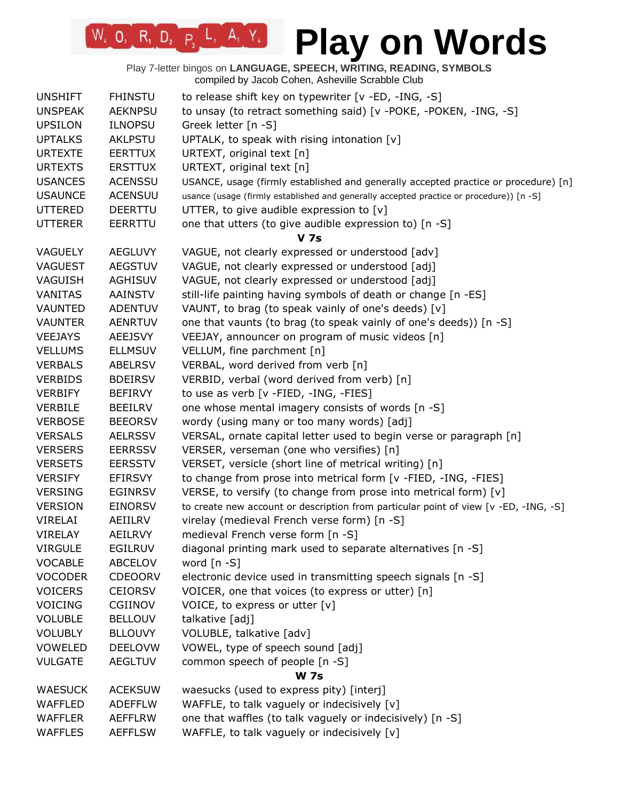# **Play on Words**

| <b>UNSHIFT</b> | <b>FHINSTU</b> | to release shift key on typewriter [v -ED, -ING, -S]                                    |
|----------------|----------------|-----------------------------------------------------------------------------------------|
| <b>UNSPEAK</b> | <b>AEKNPSU</b> | to unsay (to retract something said) [v -POKE, -POKEN, -ING, -S]                        |
| <b>UPSILON</b> | <b>ILNOPSU</b> | Greek letter [n -S]                                                                     |
| <b>UPTALKS</b> | <b>AKLPSTU</b> | UPTALK, to speak with rising intonation [v]                                             |
| <b>URTEXTE</b> | <b>EERTTUX</b> | URTEXT, original text [n]                                                               |
| <b>URTEXTS</b> | <b>ERSTTUX</b> | URTEXT, original text [n]                                                               |
| <b>USANCES</b> | <b>ACENSSU</b> | USANCE, usage (firmly established and generally accepted practice or procedure) [n]     |
| <b>USAUNCE</b> | <b>ACENSUU</b> | usance (usage (firmly established and generally accepted practice or procedure)) [n -S] |
| <b>UTTERED</b> | <b>DEERTTU</b> | UTTER, to give audible expression to [v]                                                |
| <b>UTTERER</b> | EERRTTU        | one that utters (to give audible expression to) [n -S]                                  |
|                |                | <b>V</b> 7s                                                                             |
| <b>VAGUELY</b> | <b>AEGLUVY</b> | VAGUE, not clearly expressed or understood [adv]                                        |
| <b>VAGUEST</b> | <b>AEGSTUV</b> | VAGUE, not clearly expressed or understood [adj]                                        |
| VAGUISH        | <b>AGHISUV</b> | VAGUE, not clearly expressed or understood [adj]                                        |
| <b>VANITAS</b> | <b>AAINSTV</b> | still-life painting having symbols of death or change [n -ES]                           |
| <b>VAUNTED</b> | <b>ADENTUV</b> | VAUNT, to brag (to speak vainly of one's deeds) [v]                                     |
| <b>VAUNTER</b> | <b>AENRTUV</b> | one that vaunts (to brag (to speak vainly of one's deeds)) [n -S]                       |
| <b>VEEJAYS</b> | <b>AEEJSVY</b> | VEEJAY, announcer on program of music videos [n]                                        |
| <b>VELLUMS</b> | <b>ELLMSUV</b> | VELLUM, fine parchment [n]                                                              |
| <b>VERBALS</b> | <b>ABELRSV</b> | VERBAL, word derived from verb [n]                                                      |
| <b>VERBIDS</b> | <b>BDEIRSV</b> | VERBID, verbal (word derived from verb) [n]                                             |
| <b>VERBIFY</b> | <b>BEFIRVY</b> | to use as verb [v -FIED, -ING, -FIES]                                                   |
| <b>VERBILE</b> | <b>BEEILRV</b> | one whose mental imagery consists of words [n -S]                                       |
| <b>VERBOSE</b> | <b>BEEORSV</b> | wordy (using many or too many words) [adj]                                              |
| <b>VERSALS</b> | <b>AELRSSV</b> | VERSAL, ornate capital letter used to begin verse or paragraph [n]                      |
| <b>VERSERS</b> | <b>EERRSSV</b> | VERSER, verseman (one who versifies) [n]                                                |
| <b>VERSETS</b> | <b>EERSSTV</b> | VERSET, versicle (short line of metrical writing) [n]                                   |
| <b>VERSIFY</b> | <b>EFIRSVY</b> | to change from prose into metrical form [v -FIED, -ING, -FIES]                          |
| <b>VERSING</b> | <b>EGINRSV</b> | VERSE, to versify (to change from prose into metrical form) [v]                         |
| <b>VERSION</b> | <b>EINORSV</b> | to create new account or description from particular point of view [v -ED, -ING, -S]    |
| VIRELAI        | AEIILRV        | virelay (medieval French verse form) [n -S]                                             |
| <b>VIRELAY</b> | <b>AEILRVY</b> | medieval French verse form [n -S]                                                       |
| <b>VIRGULE</b> | <b>EGILRUV</b> | diagonal printing mark used to separate alternatives [n -S]                             |
| <b>VOCABLE</b> | ABCELOV        | word $[n - S]$                                                                          |
| <b>VOCODER</b> | <b>CDEOORV</b> | electronic device used in transmitting speech signals [n -S]                            |
| <b>VOICERS</b> | <b>CEIORSV</b> | VOICER, one that voices (to express or utter) [n]                                       |
| <b>VOICING</b> | CGIINOV        | VOICE, to express or utter [v]                                                          |
| <b>VOLUBLE</b> | <b>BELLOUV</b> | talkative [adj]                                                                         |
| <b>VOLUBLY</b> | <b>BLLOUVY</b> | VOLUBLE, talkative [adv]                                                                |
| <b>VOWELED</b> | <b>DEELOVW</b> | VOWEL, type of speech sound [adj]                                                       |
| <b>VULGATE</b> | <b>AEGLTUV</b> | common speech of people [n -S]                                                          |
|                |                | <b>W</b> 7s                                                                             |
| <b>WAESUCK</b> | <b>ACEKSUW</b> | waesucks (used to express pity) [interj]                                                |
|                |                |                                                                                         |
| <b>WAFFLED</b> | <b>ADEFFLW</b> | WAFFLE, to talk vaguely or indecisively [v]                                             |
| <b>WAFFLER</b> | <b>AEFFLRW</b> | one that waffles (to talk vaguely or indecisively) [n -S]                               |
| <b>WAFFLES</b> | <b>AEFFLSW</b> | WAFFLE, to talk vaguely or indecisively [v]                                             |